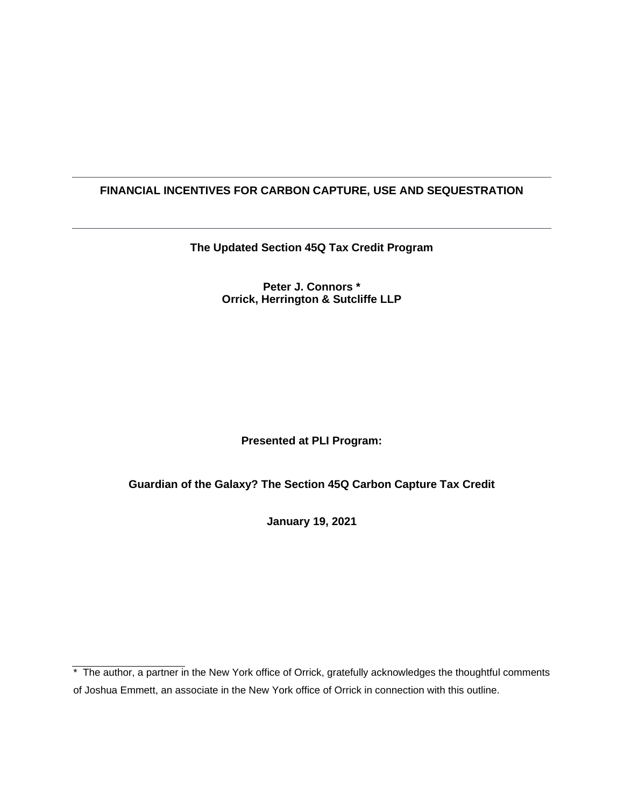# **FINANCIAL INCENTIVES FOR CARBON CAPTURE, USE AND SEQUESTRATION**

**The Updated Section 45Q Tax Credit Program** 

### **Peter J. Connors \* Orrick, Herrington & Sutcliffe LLP**

# **Presented at PLI Program:**

# **Guardian of the Galaxy? The Section 45Q Carbon Capture Tax Credit**

**January 19, 2021** 

<sup>\*</sup> The author, a partner in the New York office of Orrick, gratefully acknowledges the thoughtful comments of Joshua Emmett, an associate in the New York office of Orrick in connection with this outline.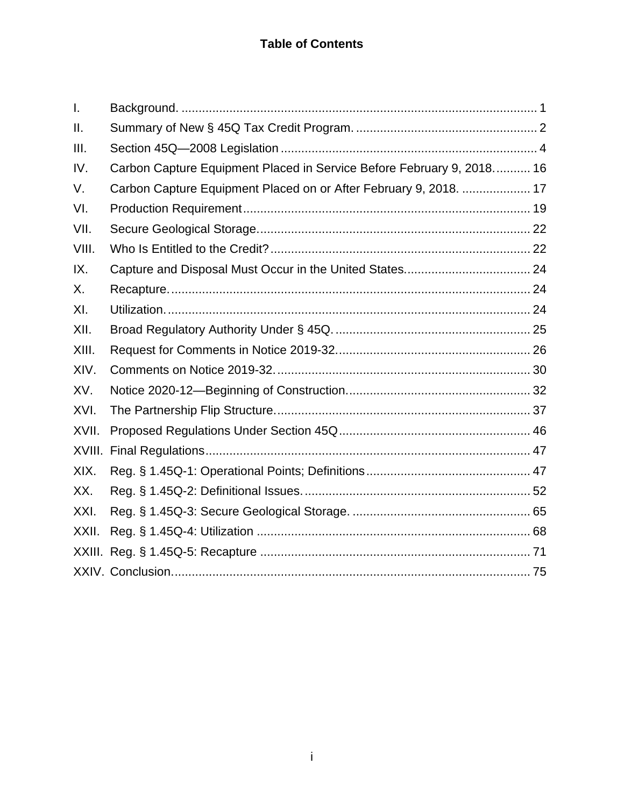| $\mathsf{L}$ |                                                                       |
|--------------|-----------------------------------------------------------------------|
| ΙΙ.          |                                                                       |
| Ш.           |                                                                       |
| IV.          | Carbon Capture Equipment Placed in Service Before February 9, 2018 16 |
| V.           | Carbon Capture Equipment Placed on or After February 9, 2018.  17     |
| VI.          |                                                                       |
| VII.         |                                                                       |
| VIII.        |                                                                       |
| IX.          |                                                                       |
| Х.           |                                                                       |
| XI.          |                                                                       |
| XII.         |                                                                       |
| XIII.        |                                                                       |
| XIV.         |                                                                       |
| XV.          |                                                                       |
| XVI.         |                                                                       |
| XVII.        |                                                                       |
|              |                                                                       |
| XIX.         |                                                                       |
| XX.          |                                                                       |
| XXI.         |                                                                       |
| XXII.        |                                                                       |
|              |                                                                       |
|              |                                                                       |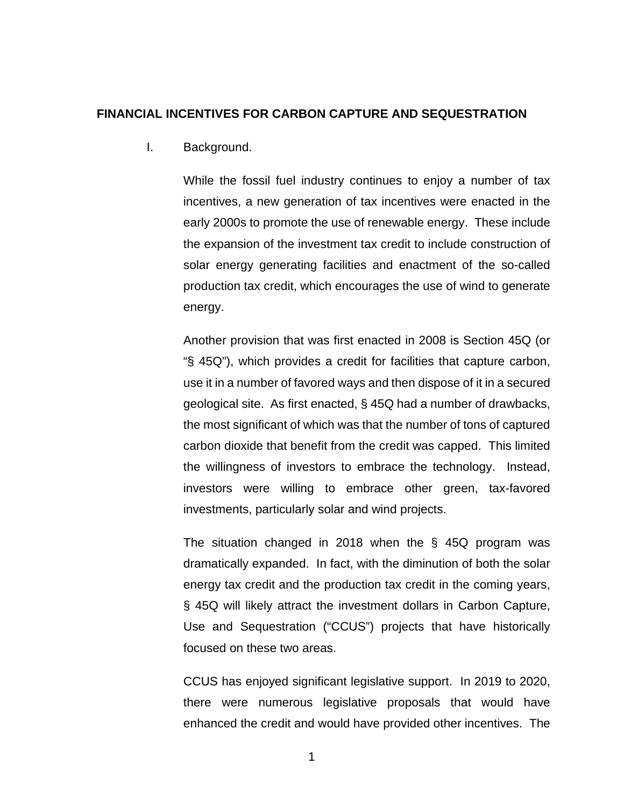### <span id="page-2-0"></span>**FINANCIAL INCENTIVES FOR CARBON CAPTURE AND SEQUESTRATION**

I. Background.

While the fossil fuel industry continues to enjoy a number of tax incentives, a new generation of tax incentives were enacted in the early 2000s to promote the use of renewable energy. These include the expansion of the investment tax credit to include construction of solar energy generating facilities and enactment of the so-called production tax credit, which encourages the use of wind to generate energy.

Another provision that was first enacted in 2008 is Section 45Q (or "§ 45Q"), which provides a credit for facilities that capture carbon, use it in a number of favored ways and then dispose of it in a secured geological site. As first enacted, § 45Q had a number of drawbacks, the most significant of which was that the number of tons of captured carbon dioxide that benefit from the credit was capped. This limited the willingness of investors to embrace the technology. Instead, investors were willing to embrace other green, tax-favored investments, particularly solar and wind projects.

The situation changed in 2018 when the § 45Q program was dramatically expanded. In fact, with the diminution of both the solar energy tax credit and the production tax credit in the coming years, § 45Q will likely attract the investment dollars in Carbon Capture, Use and Sequestration ("CCUS") projects that have historically focused on these two areas.

CCUS has enjoyed significant legislative support. In 2019 to 2020, there were numerous legislative proposals that would have enhanced the credit and would have provided other incentives. The

1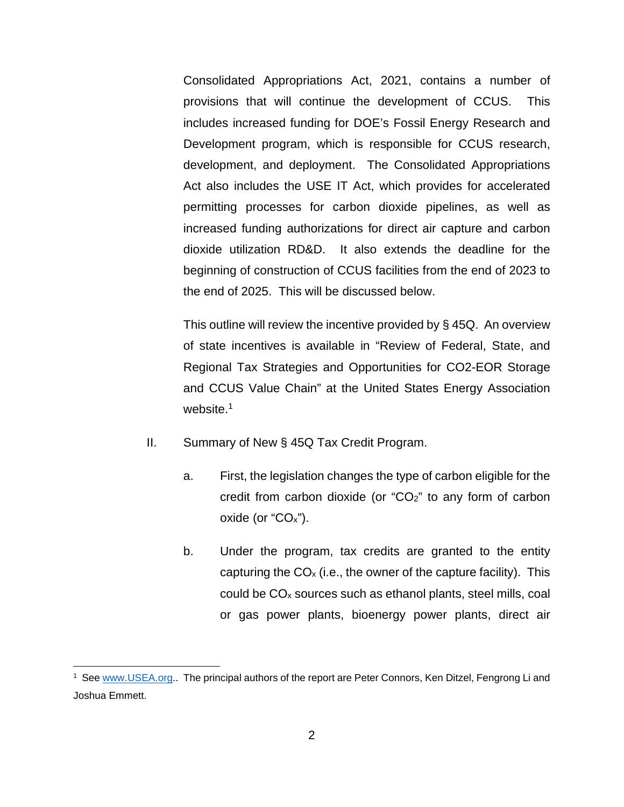Consolidated Appropriations Act, 2021, contains a number of provisions that will continue the development of CCUS. This includes increased funding for DOE's Fossil Energy Research and Development program, which is responsible for CCUS research, development, and deployment. The Consolidated Appropriations Act also includes the USE IT Act, which provides for accelerated permitting processes for carbon dioxide pipelines, as well as increased funding authorizations for direct air capture and carbon dioxide utilization RD&D. It also extends the deadline for the beginning of construction of CCUS facilities from the end of 2023 to the end of 2025. This will be discussed below.

This outline will review the incentive provided by § 45Q. An overview of state incentives is available in "Review of Federal, State, and Regional Tax Strategies and Opportunities for CO2-EOR Storage and CCUS Value Chain" at the United States Energy Association website.<sup>1</sup>

- <span id="page-3-0"></span>II. Summary of New § 45Q Tax Credit Program.
	- a. First, the legislation changes the type of carbon eligible for the credit from carbon dioxide (or "CO2" to any form of carbon oxide (or " $CO<sub>x</sub>$ ").
	- b. Under the program, tax credits are granted to the entity capturing the  $CO<sub>x</sub>$  (i.e., the owner of the capture facility). This could be  $CO<sub>x</sub>$  sources such as ethanol plants, steel mills, coal or gas power plants, bioenergy power plants, direct air

<sup>&</sup>lt;sup>1</sup> See [www.USEA.org.](http://www.usea.org/). The principal authors of the report are Peter Connors, Ken Ditzel, Fengrong Li and Joshua Emmett.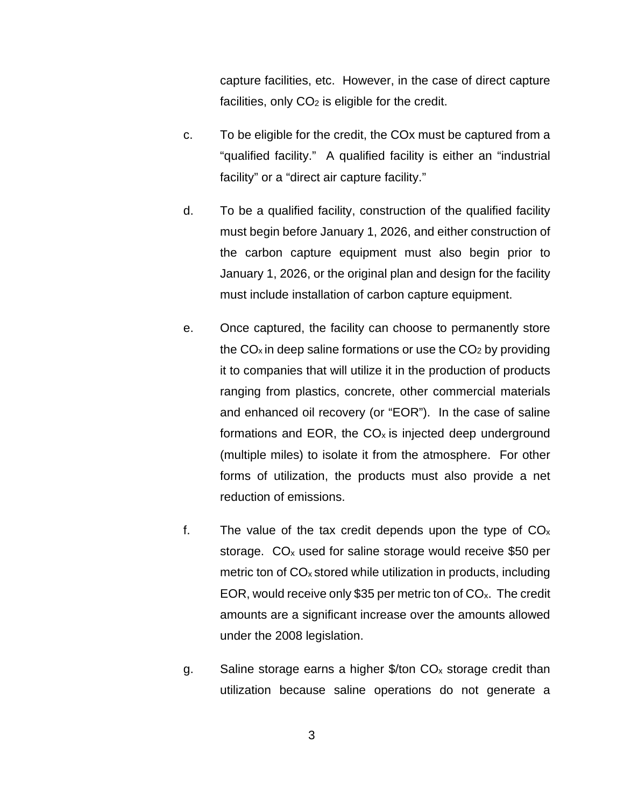capture facilities, etc. However, in the case of direct capture facilities, only  $CO<sub>2</sub>$  is eligible for the credit.

- c. To be eligible for the credit, the COx must be captured from a "qualified facility." A qualified facility is either an "industrial facility" or a "direct air capture facility."
- d. To be a qualified facility, construction of the qualified facility must begin before January 1, 2026, and either construction of the carbon capture equipment must also begin prior to January 1, 2026, or the original plan and design for the facility must include installation of carbon capture equipment.
- e. Once captured, the facility can choose to permanently store the  $CO<sub>x</sub>$  in deep saline formations or use the  $CO<sub>2</sub>$  by providing it to companies that will utilize it in the production of products ranging from plastics, concrete, other commercial materials and enhanced oil recovery (or "EOR"). In the case of saline formations and EOR, the  $CO<sub>x</sub>$  is injected deep underground (multiple miles) to isolate it from the atmosphere. For other forms of utilization, the products must also provide a net reduction of emissions.
- f. The value of the tax credit depends upon the type of  $CO<sub>x</sub>$ storage.  $CO<sub>x</sub>$  used for saline storage would receive \$50 per metric ton of  $CO<sub>x</sub>$  stored while utilization in products, including EOR, would receive only \$35 per metric ton of  $CO<sub>x</sub>$ . The credit amounts are a significant increase over the amounts allowed under the 2008 legislation.
- g. Saline storage earns a higher  $$/$ ton CO<sub>x</sub> storage credit than utilization because saline operations do not generate a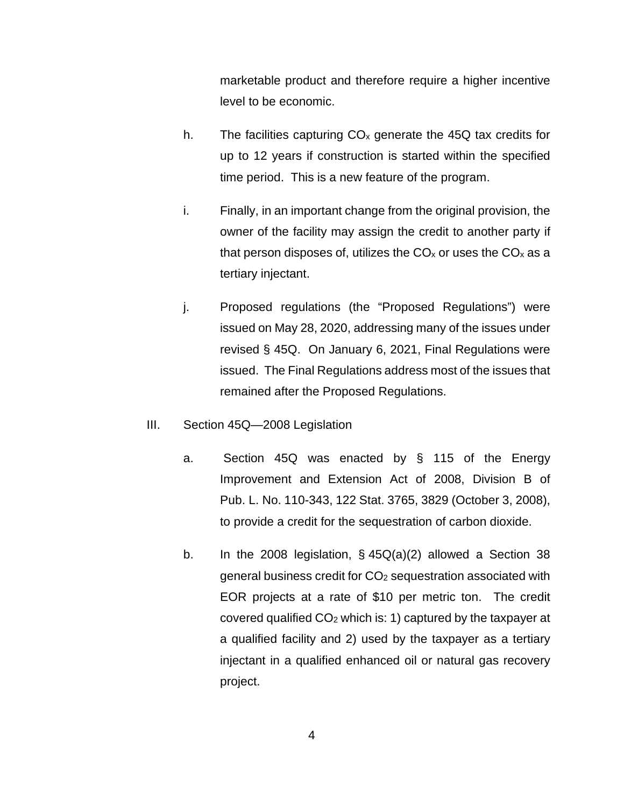marketable product and therefore require a higher incentive level to be economic.

- h. The facilities capturing  $CO<sub>x</sub>$  generate the 45Q tax credits for up to 12 years if construction is started within the specified time period. This is a new feature of the program.
- i. Finally, in an important change from the original provision, the owner of the facility may assign the credit to another party if that person disposes of, utilizes the  $CO<sub>x</sub>$  or uses the  $CO<sub>x</sub>$  as a tertiary injectant.
- j. Proposed regulations (the "Proposed Regulations") were issued on May 28, 2020, addressing many of the issues under revised § 45Q. On January 6, 2021, Final Regulations were issued. The Final Regulations address most of the issues that remained after the Proposed Regulations.
- <span id="page-5-0"></span>III. Section 45Q—2008 Legislation
	- a. Section 45Q was enacted by § 115 of the Energy Improvement and Extension Act of 2008, Division B of Pub. L. No. 110-343, 122 Stat. 3765, 3829 (October 3, 2008), to provide a credit for the sequestration of carbon dioxide.
	- b. In the 2008 legislation,  $\S$  45 $Q(a)(2)$  allowed a Section 38 general business credit for CO2 sequestration associated with EOR projects at a rate of \$10 per metric ton. The credit covered qualified  $CO<sub>2</sub>$  which is: 1) captured by the taxpayer at a qualified facility and 2) used by the taxpayer as a tertiary injectant in a qualified enhanced oil or natural gas recovery project.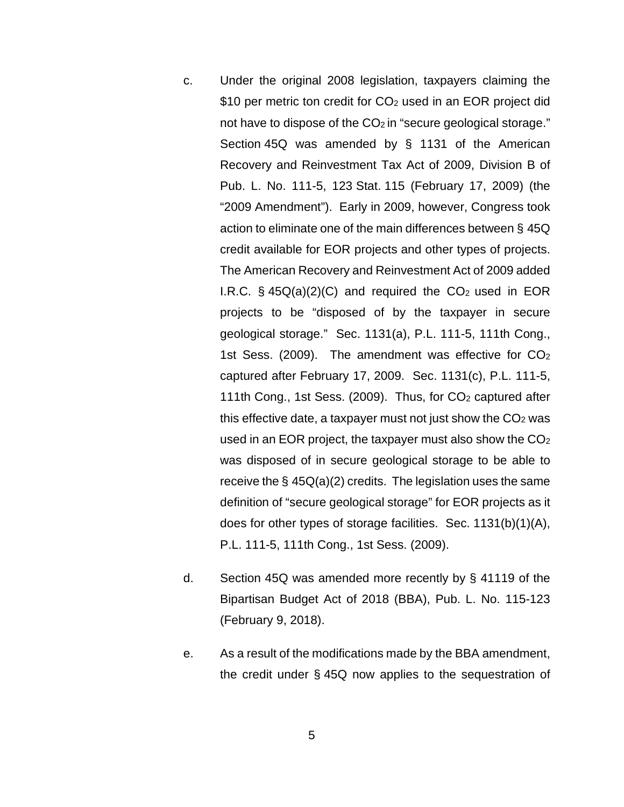- c. Under the original 2008 legislation, taxpayers claiming the \$10 per metric ton credit for CO<sub>2</sub> used in an EOR project did not have to dispose of the  $CO<sub>2</sub>$  in "secure geological storage." Section 45Q was amended by § 1131 of the American Recovery and Reinvestment Tax Act of 2009, Division B of Pub. L. No. 111-5, 123 Stat. 115 (February 17, 2009) (the "2009 Amendment"). Early in 2009, however, Congress took action to eliminate one of the main differences between § 45Q credit available for EOR projects and other types of projects. The American Recovery and Reinvestment Act of 2009 added I.R.C.  $\frac{6}{5}$  45Q(a)(2)(C) and required the CO<sub>2</sub> used in EOR projects to be "disposed of by the taxpayer in secure geological storage." Sec. 1131(a), P.L. 111-5, 111th Cong., 1st Sess. (2009). The amendment was effective for CO<sup>2</sup> captured after February 17, 2009. Sec. 1131(c), P.L. 111-5, 111th Cong., 1st Sess. (2009). Thus, for CO<sub>2</sub> captured after this effective date, a taxpayer must not just show the  $CO<sub>2</sub>$  was used in an EOR project, the taxpayer must also show the  $CO<sub>2</sub>$ was disposed of in secure geological storage to be able to receive the  $\S$  45 $Q(a)(2)$  credits. The legislation uses the same definition of "secure geological storage" for EOR projects as it does for other types of storage facilities. Sec. 1131(b)(1)(A), P.L. 111-5, 111th Cong., 1st Sess. (2009).
- d. Section 45Q was amended more recently by § 41119 of the Bipartisan Budget Act of 2018 (BBA), Pub. L. No. 115-123 (February 9, 2018).
- e. As a result of the modifications made by the BBA amendment, the credit under § 45Q now applies to the sequestration of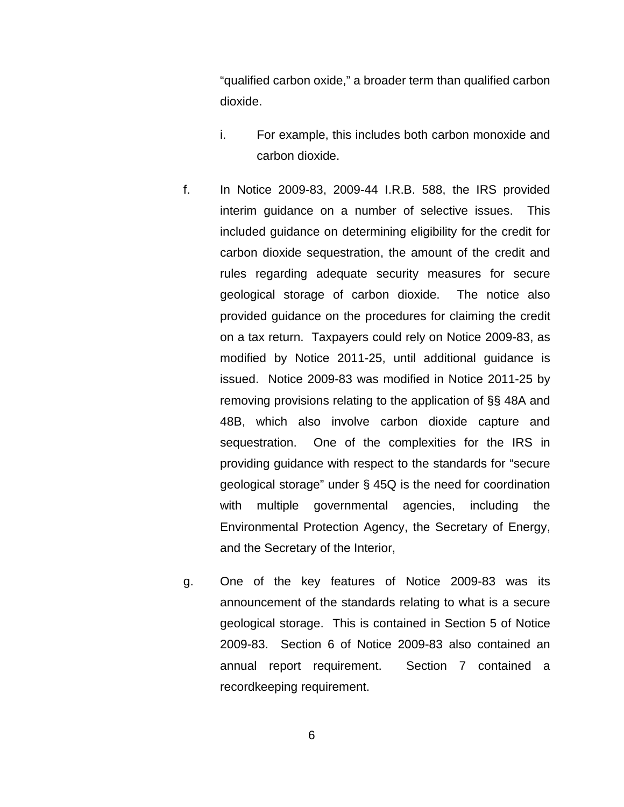"qualified carbon oxide," a broader term than qualified carbon dioxide.

- i. For example, this includes both carbon monoxide and carbon dioxide.
- f. In Notice 2009-83, 2009-44 I.R.B. 588, the IRS provided interim guidance on a number of selective issues. This included guidance on determining eligibility for the credit for carbon dioxide sequestration, the amount of the credit and rules regarding adequate security measures for secure geological storage of carbon dioxide. The notice also provided guidance on the procedures for claiming the credit on a tax return. Taxpayers could rely on Notice 2009-83, as modified by Notice 2011-25, until additional guidance is issued. Notice 2009-83 was modified in Notice 2011-25 by removing provisions relating to the application of §§ 48A and 48B, which also involve carbon dioxide capture and sequestration. One of the complexities for the IRS in providing guidance with respect to the standards for "secure geological storage" under § 45Q is the need for coordination with multiple governmental agencies, including the Environmental Protection Agency, the Secretary of Energy, and the Secretary of the Interior,
- g. One of the key features of Notice 2009-83 was its announcement of the standards relating to what is a secure geological storage. This is contained in Section 5 of Notice 2009-83. Section 6 of Notice 2009-83 also contained an annual report requirement. Section 7 contained a recordkeeping requirement.

6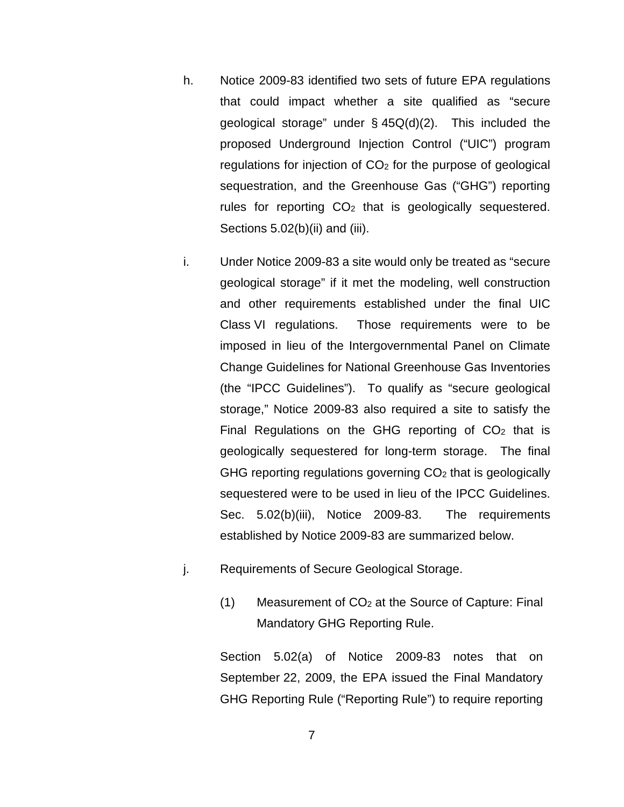- h. Notice 2009-83 identified two sets of future EPA regulations that could impact whether a site qualified as "secure geological storage" under § 45Q(d)(2). This included the proposed Underground Injection Control ("UIC") program regulations for injection of  $CO<sub>2</sub>$  for the purpose of geological sequestration, and the Greenhouse Gas ("GHG") reporting rules for reporting  $CO<sub>2</sub>$  that is geologically sequestered. Sections 5.02(b)(ii) and (iii).
- i. Under Notice 2009-83 a site would only be treated as "secure geological storage" if it met the modeling, well construction and other requirements established under the final UIC Class VI regulations. Those requirements were to be imposed in lieu of the Intergovernmental Panel on Climate Change Guidelines for National Greenhouse Gas Inventories (the "IPCC Guidelines"). To qualify as "secure geological storage," Notice 2009-83 also required a site to satisfy the Final Regulations on the GHG reporting of  $CO<sub>2</sub>$  that is geologically sequestered for long-term storage. The final GHG reporting regulations governing CO<sub>2</sub> that is geologically sequestered were to be used in lieu of the IPCC Guidelines. Sec. 5.02(b)(iii), Notice 2009-83. The requirements established by Notice 2009-83 are summarized below.
- j. Requirements of Secure Geological Storage.
	- $(1)$  Measurement of  $CO<sub>2</sub>$  at the Source of Capture: Final Mandatory GHG Reporting Rule.

Section 5.02(a) of Notice 2009-83 notes that on September 22, 2009, the EPA issued the Final Mandatory GHG Reporting Rule ("Reporting Rule") to require reporting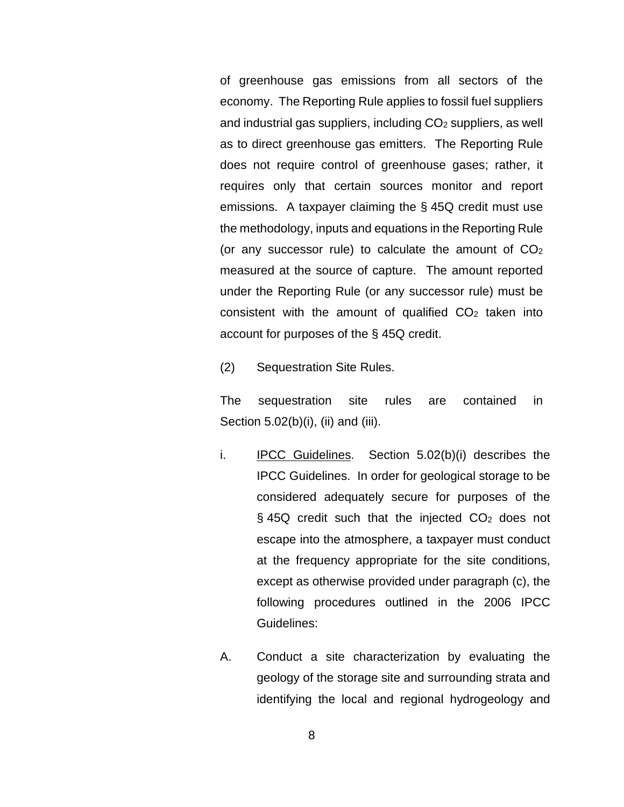of greenhouse gas emissions from all sectors of the economy. The Reporting Rule applies to fossil fuel suppliers and industrial gas suppliers, including  $CO<sub>2</sub>$  suppliers, as well as to direct greenhouse gas emitters. The Reporting Rule does not require control of greenhouse gases; rather, it requires only that certain sources monitor and report emissions. A taxpayer claiming the § 45Q credit must use the methodology, inputs and equations in the Reporting Rule (or any successor rule) to calculate the amount of  $CO<sub>2</sub>$ measured at the source of capture. The amount reported under the Reporting Rule (or any successor rule) must be consistent with the amount of qualified  $CO<sub>2</sub>$  taken into account for purposes of the § 45Q credit.

(2) Sequestration Site Rules.

The sequestration site rules are contained in Section 5.02(b)(i), (ii) and (iii).

- i. IPCC Guidelines. Section 5.02(b)(i) describes the IPCC Guidelines. In order for geological storage to be considered adequately secure for purposes of the § 45Q credit such that the injected CO<sub>2</sub> does not escape into the atmosphere, a taxpayer must conduct at the frequency appropriate for the site conditions, except as otherwise provided under paragraph (c), the following procedures outlined in the 2006 IPCC Guidelines:
- A. Conduct a site characterization by evaluating the geology of the storage site and surrounding strata and identifying the local and regional hydrogeology and

8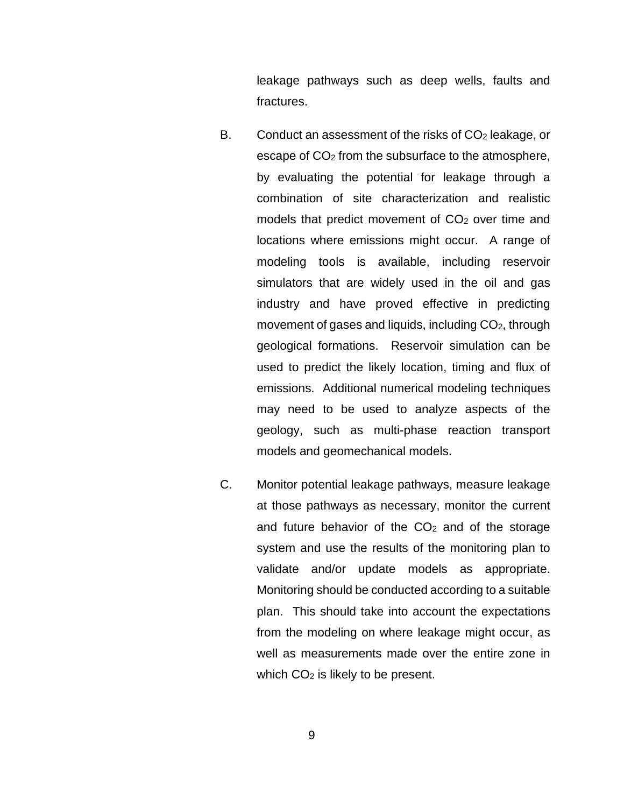leakage pathways such as deep wells, faults and fractures.

- B. Conduct an assessment of the risks of  $CO<sub>2</sub>$  leakage, or escape of CO<sub>2</sub> from the subsurface to the atmosphere, by evaluating the potential for leakage through a combination of site characterization and realistic models that predict movement of  $CO<sub>2</sub>$  over time and locations where emissions might occur. A range of modeling tools is available, including reservoir simulators that are widely used in the oil and gas industry and have proved effective in predicting movement of gases and liquids, including CO<sub>2</sub>, through geological formations. Reservoir simulation can be used to predict the likely location, timing and flux of emissions. Additional numerical modeling techniques may need to be used to analyze aspects of the geology, such as multi-phase reaction transport models and geomechanical models.
- C. Monitor potential leakage pathways, measure leakage at those pathways as necessary, monitor the current and future behavior of the  $CO<sub>2</sub>$  and of the storage system and use the results of the monitoring plan to validate and/or update models as appropriate. Monitoring should be conducted according to a suitable plan. This should take into account the expectations from the modeling on where leakage might occur, as well as measurements made over the entire zone in which  $CO<sub>2</sub>$  is likely to be present.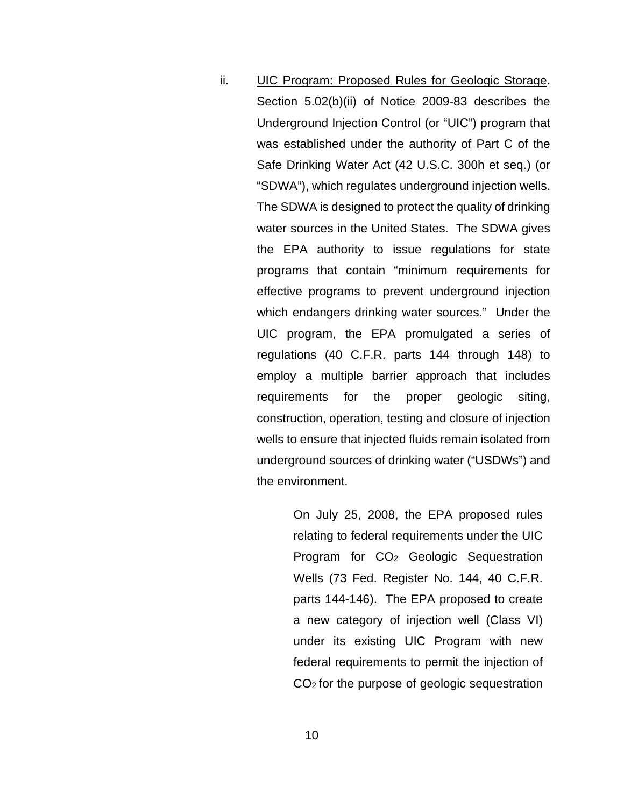ii. UIC Program: Proposed Rules for Geologic Storage. Section 5.02(b)(ii) of Notice 2009-83 describes the Underground Injection Control (or "UIC") program that was established under the authority of Part C of the Safe Drinking Water Act (42 U.S.C. 300h et seq.) (or "SDWA"), which regulates underground injection wells. The SDWA is designed to protect the quality of drinking water sources in the United States. The SDWA gives the EPA authority to issue regulations for state programs that contain "minimum requirements for effective programs to prevent underground injection which endangers drinking water sources." Under the UIC program, the EPA promulgated a series of regulations (40 C.F.R. parts 144 through 148) to employ a multiple barrier approach that includes requirements for the proper geologic siting, construction, operation, testing and closure of injection wells to ensure that injected fluids remain isolated from underground sources of drinking water ("USDWs") and the environment.

> On July 25, 2008, the EPA proposed rules relating to federal requirements under the UIC Program for CO<sub>2</sub> Geologic Sequestration Wells (73 Fed. Register No. 144, 40 C.F.R. parts 144-146). The EPA proposed to create a new category of injection well (Class VI) under its existing UIC Program with new federal requirements to permit the injection of CO2 for the purpose of geologic sequestration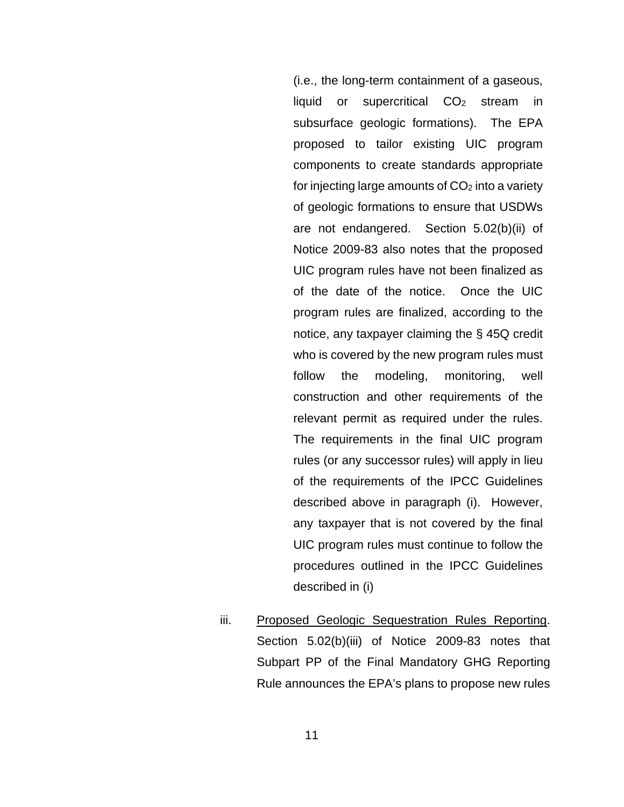(i.e., the long-term containment of a gaseous, liquid or supercritical CO2 stream in subsurface geologic formations). The EPA proposed to tailor existing UIC program components to create standards appropriate for injecting large amounts of  $CO<sub>2</sub>$  into a variety of geologic formations to ensure that USDWs are not endangered. Section 5.02(b)(ii) of Notice 2009-83 also notes that the proposed UIC program rules have not been finalized as of the date of the notice. Once the UIC program rules are finalized, according to the notice, any taxpayer claiming the § 45Q credit who is covered by the new program rules must follow the modeling, monitoring, well construction and other requirements of the relevant permit as required under the rules. The requirements in the final UIC program rules (or any successor rules) will apply in lieu of the requirements of the IPCC Guidelines described above in paragraph (i). However, any taxpayer that is not covered by the final UIC program rules must continue to follow the procedures outlined in the IPCC Guidelines described in (i)

iii. Proposed Geologic Sequestration Rules Reporting. Section 5.02(b)(iii) of Notice 2009-83 notes that Subpart PP of the Final Mandatory GHG Reporting Rule announces the EPA's plans to propose new rules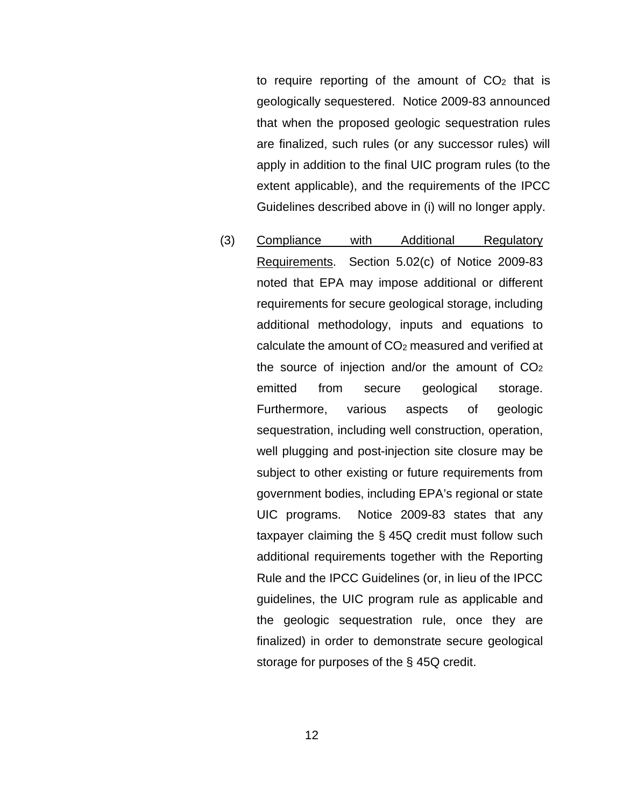to require reporting of the amount of  $CO<sub>2</sub>$  that is geologically sequestered. Notice 2009-83 announced that when the proposed geologic sequestration rules are finalized, such rules (or any successor rules) will apply in addition to the final UIC program rules (to the extent applicable), and the requirements of the IPCC Guidelines described above in (i) will no longer apply.

(3) Compliance with Additional Regulatory Requirements. Section 5.02(c) of Notice 2009-83 noted that EPA may impose additional or different requirements for secure geological storage, including additional methodology, inputs and equations to calculate the amount of  $CO<sub>2</sub>$  measured and verified at the source of injection and/or the amount of  $CO<sub>2</sub>$ emitted from secure geological storage. Furthermore, various aspects of geologic sequestration, including well construction, operation, well plugging and post-injection site closure may be subject to other existing or future requirements from government bodies, including EPA's regional or state UIC programs. Notice 2009-83 states that any taxpayer claiming the § 45Q credit must follow such additional requirements together with the Reporting Rule and the IPCC Guidelines (or, in lieu of the IPCC guidelines, the UIC program rule as applicable and the geologic sequestration rule, once they are finalized) in order to demonstrate secure geological storage for purposes of the § 45Q credit.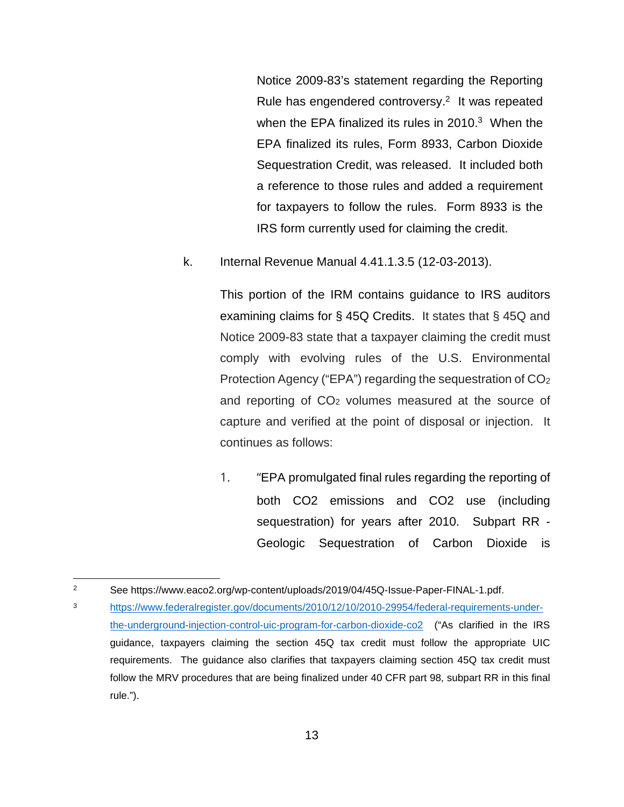Notice 2009-83's statement regarding the Reporting Rule has engendered controversy.<sup>2</sup> It was repeated when the EPA finalized its rules in  $2010<sup>3</sup>$  When the EPA finalized its rules, Form 8933, Carbon Dioxide Sequestration Credit, was released. It included both a reference to those rules and added a requirement for taxpayers to follow the rules. Form 8933 is the IRS form currently used for claiming the credit.

k. Internal Revenue Manual 4.41.1.3.5 (12-03-2013).

This portion of the IRM contains guidance to IRS auditors examining claims for § 45Q Credits. It states that § 45Q and [Notice 2009-83](https://www.taxnotes.com/irs-notices/credits/irs-issues-interim-guidance-carbon-dioxide-sequestration-credit/2009/10/09/1fv01) state that a taxpayer claiming the credit must comply with evolving rules of the U.S. Environmental Protection Agency ("EPA") regarding the sequestration of CO<sup>2</sup> and reporting of  $CO<sub>2</sub>$  volumes measured at the source of capture and verified at the point of disposal or injection. It continues as follows:

1. "EPA promulgated final rules regarding the reporting of both CO2 emissions and CO2 use (including sequestration) for years after 2010. Subpart RR - Geologic Sequestration of Carbon Dioxide is

<sup>2</sup> See https://www.eaco2.org/wp-content/uploads/2019/04/45Q-Issue-Paper-FINAL-1.pdf.

<sup>3</sup> [https://www.federalregister.gov/documents/2010/12/10/2010-29954/federal-requirements-under](https://www.federalregister.gov/documents/2010/12/10/2010-29954/federal-requirements-under-the-underground-injection-control-uic-program-for-carbon-dioxide-co2)[the-underground-injection-control-uic-program-for-carbon-dioxide-co2](https://www.federalregister.gov/documents/2010/12/10/2010-29954/federal-requirements-under-the-underground-injection-control-uic-program-for-carbon-dioxide-co2) ("As clarified in the IRS guidance, taxpayers claiming the section 45Q tax credit must follow the appropriate UIC requirements. The guidance also clarifies that taxpayers claiming section 45Q tax credit must follow the MRV procedures that are being finalized under 40 CFR part 98, subpart RR in this final rule.").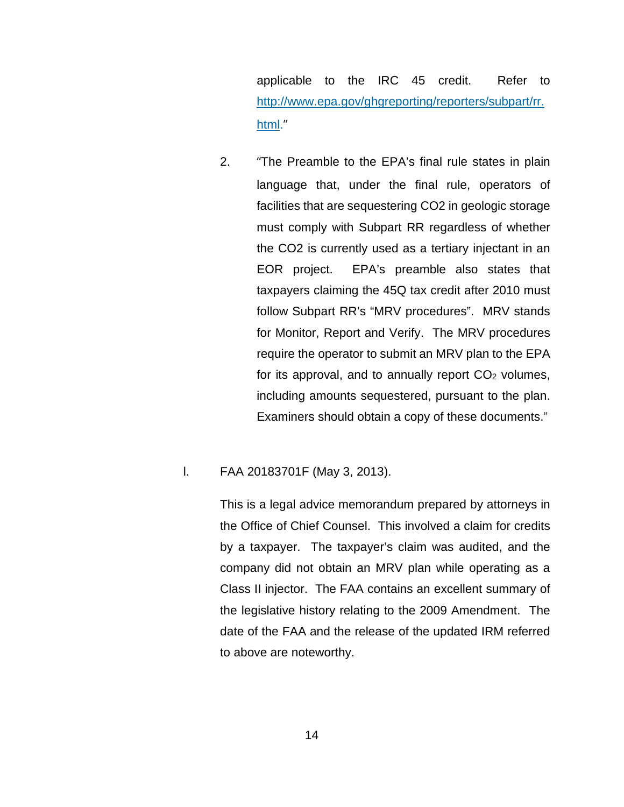applicable to the [IRC 45](https://www.taxnotes.com/lr/resolve/federal-research-library/sec-45-electricity-produced-from-certain-renewable-resources-etc/cnpv) credit. Refer to [http://www.epa.gov/ghgreporting/reporters/subpart/rr.](http://www.epa.gov/ghgreporting/reporters/subpart/rr.html) [html.](http://www.epa.gov/ghgreporting/reporters/subpart/rr.html)"

2. "The Preamble to the EPA's final rule states in plain language that, under the final rule, operators of facilities that are sequestering CO2 in geologic storage must comply with Subpart RR regardless of whether the CO2 is currently used as a tertiary injectant in an EOR project. EPA's preamble also states that taxpayers claiming the 45Q tax credit after 2010 must follow Subpart RR's "MRV procedures". MRV stands for Monitor, Report and Verify. The MRV procedures require the operator to submit an MRV plan to the EPA for its approval, and to annually report  $CO<sub>2</sub>$  volumes, including amounts sequestered, pursuant to the plan. Examiners should obtain a copy of these documents."

## l. FAA 20183701F (May 3, 2013).

This is a legal advice memorandum prepared by attorneys in the Office of Chief Counsel. This involved a claim for credits by a taxpayer. The taxpayer's claim was audited, and the company did not obtain an MRV plan while operating as a Class II injector. The FAA contains an excellent summary of the legislative history relating to the 2009 Amendment. The date of the FAA and the release of the updated IRM referred to above are noteworthy.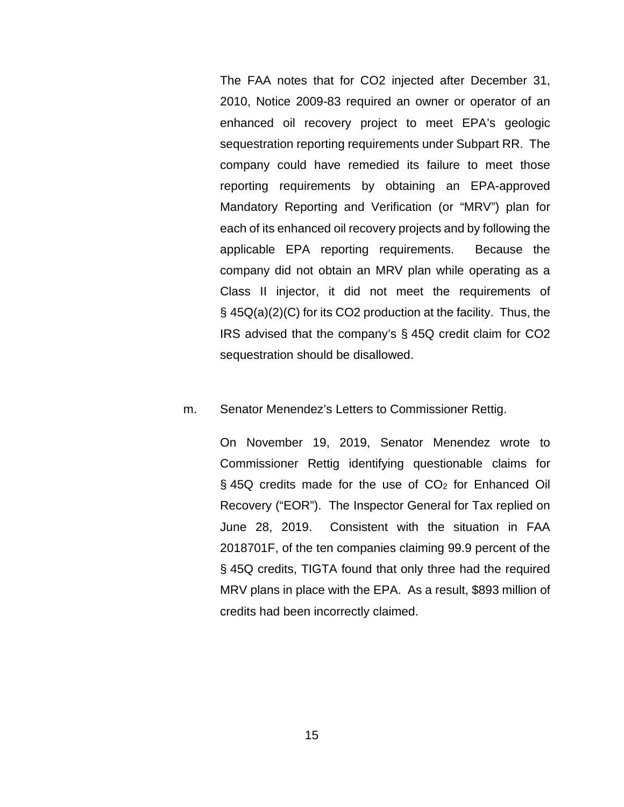The FAA notes that for CO2 injected after December 31, 2010, Notice 2009-83 required an owner or operator of an enhanced oil recovery project to meet EPA's geologic sequestration reporting requirements under Subpart RR. The company could have remedied its failure to meet those reporting requirements by obtaining an EPA-approved Mandatory Reporting and Verification (or "MRV") plan for each of its enhanced oil recovery projects and by following the applicable EPA reporting requirements. Because the company did not obtain an MRV plan while operating as a Class II injector, it did not meet the requirements of § 45Q(a)(2)(C) for its CO2 production at the facility. Thus, the IRS advised that the company's § 45Q credit claim for CO2 sequestration should be disallowed.

#### m. Senator Menendez's Letters to Commissioner Rettig.

On November 19, 2019, Senator Menendez wrote to Commissioner Rettig identifying questionable claims for  $\S$  45Q credits made for the use of  $CO<sub>2</sub>$  for Enhanced Oil Recovery ("EOR"). The Inspector General for Tax replied on June 28, 2019. Consistent with the situation in FAA 2018701F, of the ten companies claiming 99.9 percent of the § 45Q credits, TIGTA found that only three had the required MRV plans in place with the EPA. As a result, \$893 million of credits had been incorrectly claimed.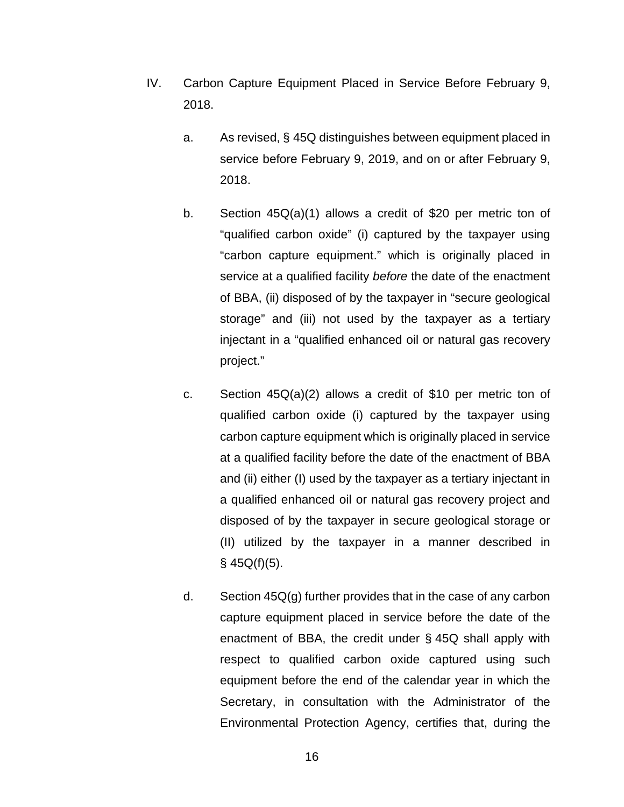- <span id="page-17-0"></span>IV. Carbon Capture Equipment Placed in Service Before February 9, 2018.
	- a. As revised, § 45Q distinguishes between equipment placed in service before February 9, 2019, and on or after February 9, 2018.
	- b. Section 45Q(a)(1) allows a credit of \$20 per metric ton of "qualified carbon oxide" (i) captured by the taxpayer using "carbon capture equipment." which is originally placed in service at a qualified facility *before* the date of the enactment of BBA, (ii) disposed of by the taxpayer in "secure geological storage" and (iii) not used by the taxpayer as a tertiary injectant in a "qualified enhanced oil or natural gas recovery project."
	- c. Section 45Q(a)(2) allows a credit of \$10 per metric ton of qualified carbon oxide (i) captured by the taxpayer using carbon capture equipment which is originally placed in service at a qualified facility before the date of the enactment of BBA and (ii) either (I) used by the taxpayer as a tertiary injectant in a qualified enhanced oil or natural gas recovery project and disposed of by the taxpayer in secure geological storage or (II) utilized by the taxpayer in a manner described in  $§$  45Q(f)(5).
	- d. Section 45Q(g) further provides that in the case of any carbon capture equipment placed in service before the date of the enactment of BBA, the credit under § 45Q shall apply with respect to qualified carbon oxide captured using such equipment before the end of the calendar year in which the Secretary, in consultation with the Administrator of the Environmental Protection Agency, certifies that, during the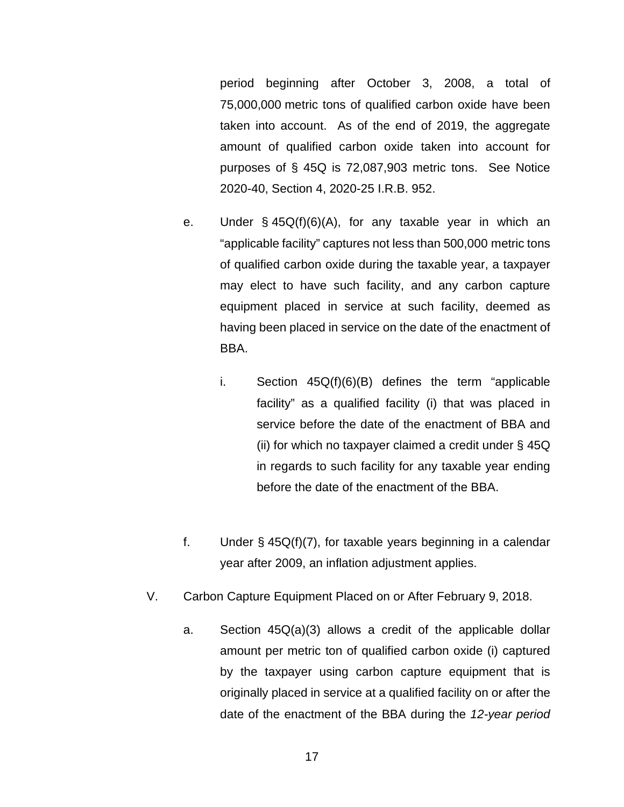period beginning after October 3, 2008, a total of 75,000,000 metric tons of qualified carbon oxide have been taken into account. As of the end of 2019, the aggregate amount of qualified carbon oxide taken into account for purposes of [§ 45Q](https://www.taxnotes.com/lr/resolve/cpwr) is 72,087,903 metric tons. See Notice 2020-40, Section 4, 2020-25 I.R.B. 952.

- e. Under § 45Q(f)(6)(A), for any taxable year in which an "applicable facility" captures not less than 500,000 metric tons of qualified carbon oxide during the taxable year, a taxpayer may elect to have such facility, and any carbon capture equipment placed in service at such facility, deemed as having been placed in service on the date of the enactment of BBA.
	- i. Section 45Q(f)(6)(B) defines the term "applicable facility" as a qualified facility (i) that was placed in service before the date of the enactment of BBA and (ii) for which no taxpayer claimed a credit under § 45Q in regards to such facility for any taxable year ending before the date of the enactment of the BBA.
- f. Under  $\S$  45Q(f)(7), for taxable years beginning in a calendar year after 2009, an inflation adjustment applies.
- <span id="page-18-0"></span>V. Carbon Capture Equipment Placed on or After February 9, 2018.
	- a. Section 45Q(a)(3) allows a credit of the applicable dollar amount per metric ton of qualified carbon oxide (i) captured by the taxpayer using carbon capture equipment that is originally placed in service at a qualified facility on or after the date of the enactment of the BBA during the *12-year period*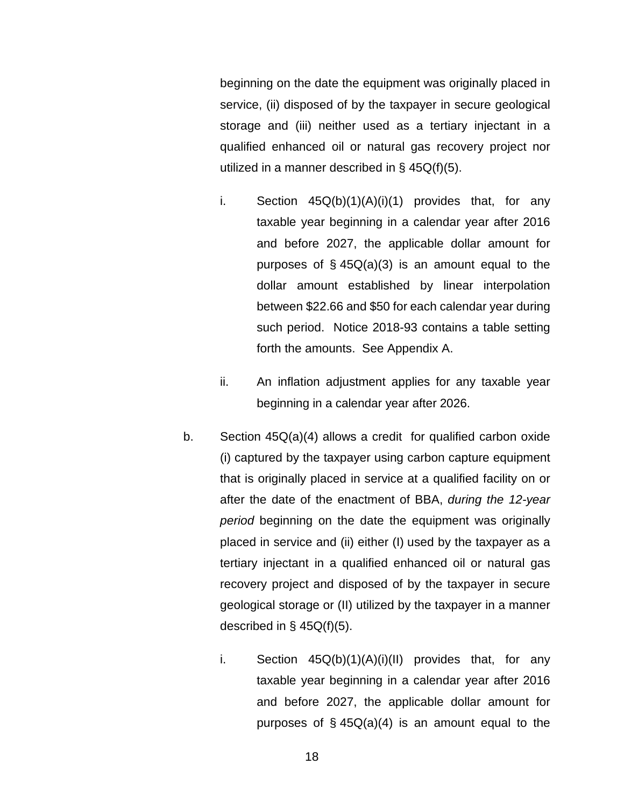beginning on the date the equipment was originally placed in service, (ii) disposed of by the taxpayer in secure geological storage and (iii) neither used as a tertiary injectant in a qualified enhanced oil or natural gas recovery project nor utilized in a manner described in § 45Q(f)(5).

- i. Section  $45Q(b)(1)(A)(i)(1)$  provides that, for any taxable year beginning in a calendar year after 2016 and before 2027, the applicable dollar amount for purposes of  $\S$  45Q(a)(3) is an amount equal to the dollar amount established by linear interpolation between \$22.66 and \$50 for each calendar year during such period. Notice 2018-93 contains a table setting forth the amounts. See Appendix A.
- ii. An inflation adjustment applies for any taxable year beginning in a calendar year after 2026.
- b. Section 45Q(a)(4) allows a credit for qualified carbon oxide (i) captured by the taxpayer using carbon capture equipment that is originally placed in service at a qualified facility on or after the date of the enactment of BBA, *during the 12-year period* beginning on the date the equipment was originally placed in service and (ii) either (I) used by the taxpayer as a tertiary injectant in a qualified enhanced oil or natural gas recovery project and disposed of by the taxpayer in secure geological storage or (II) utilized by the taxpayer in a manner described in  $\S$  45Q(f)(5).
	- i. Section  $45Q(b)(1)(A)(i)(II)$  provides that, for any taxable year beginning in a calendar year after 2016 and before 2027, the applicable dollar amount for purposes of  $\S$  45Q(a)(4) is an amount equal to the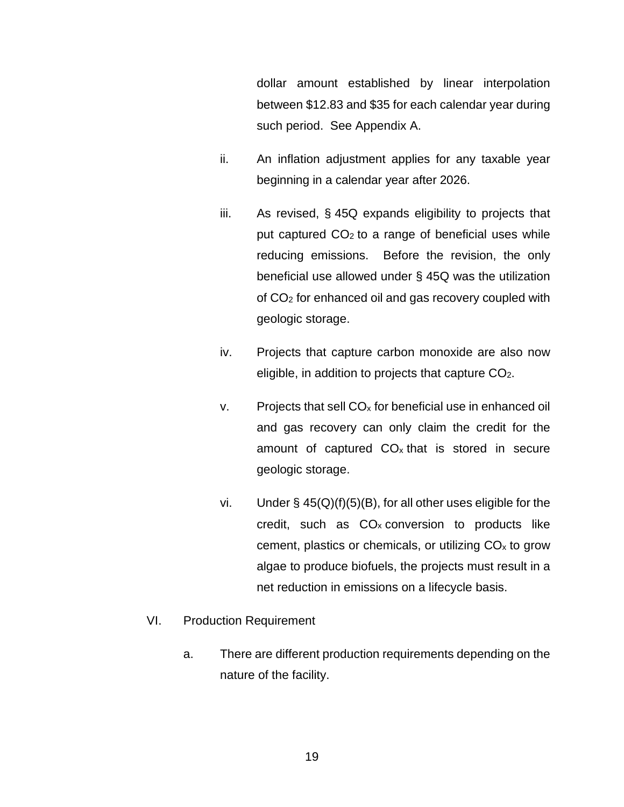dollar amount established by linear interpolation between \$12.83 and \$35 for each calendar year during such period. See Appendix A.

- ii. An inflation adjustment applies for any taxable year beginning in a calendar year after 2026.
- iii. As revised, § 45Q expands eligibility to projects that put captured  $CO<sub>2</sub>$  to a range of beneficial uses while reducing emissions. Before the revision, the only beneficial use allowed under § 45Q was the utilization of CO2 for enhanced oil and gas recovery coupled with geologic storage.
- iv. Projects that capture carbon monoxide are also now eligible, in addition to projects that capture CO2.
- $v.$  Projects that sell  $CO<sub>x</sub>$  for beneficial use in enhanced oil and gas recovery can only claim the credit for the amount of captured  $CO<sub>x</sub>$  that is stored in secure geologic storage.
- vi. Under  $\S$  45(Q)(f)(5)(B), for all other uses eligible for the credit, such as  $CO<sub>x</sub>$  conversion to products like cement, plastics or chemicals, or utilizing  $CO<sub>x</sub>$  to grow algae to produce biofuels, the projects must result in a net reduction in emissions on a lifecycle basis.
- <span id="page-20-0"></span>VI. Production Requirement
	- a. There are different production requirements depending on the nature of the facility.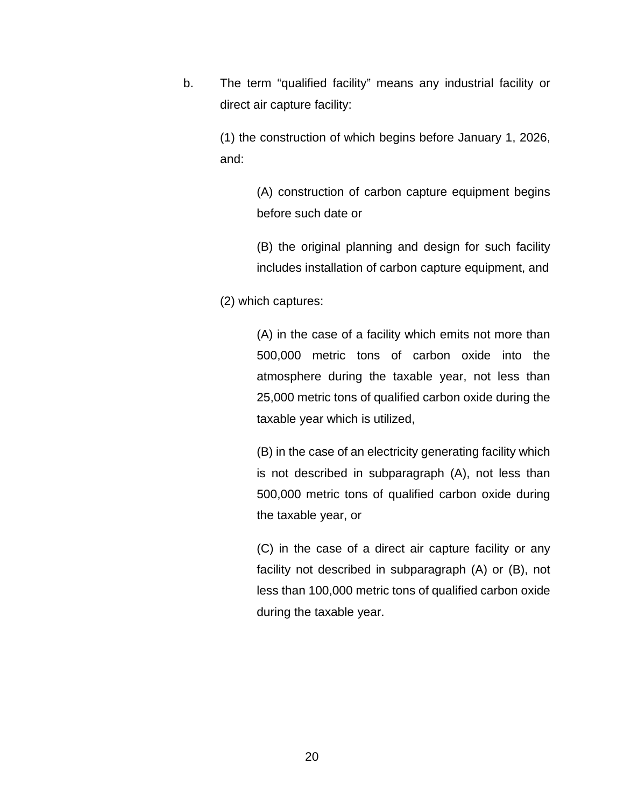b. The term "qualified facility" means any industrial facility or direct air capture facility:

> (1) the construction of which begins before January 1, 2026, and:

> > (A) construction of carbon capture equipment begins before such date or

> > (B) the original planning and design for such facility includes installation of carbon capture equipment, and

(2) which captures:

(A) in the case of a facility which emits not more than 500,000 metric tons of carbon oxide into the atmosphere during the taxable year, not less than 25,000 metric tons of qualified carbon oxide during the taxable year which is utilized,

(B) in the case of an electricity generating facility which is not described in subparagraph (A), not less than 500,000 metric tons of qualified carbon oxide during the taxable year, or

(C) in the case of a direct air capture facility or any facility not described in subparagraph (A) or (B), not less than 100,000 metric tons of qualified carbon oxide during the taxable year.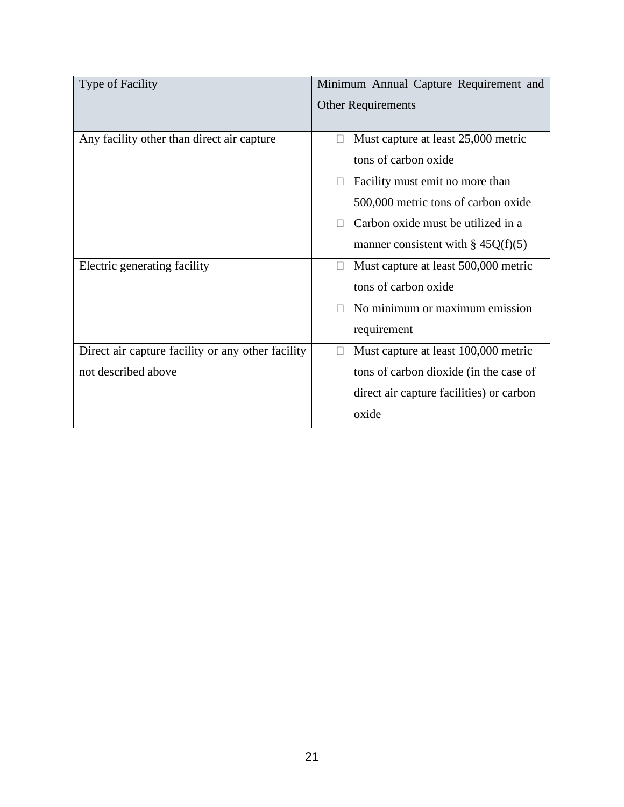| <b>Type of Facility</b>                           | Minimum Annual Capture Requirement and         |
|---------------------------------------------------|------------------------------------------------|
|                                                   | <b>Other Requirements</b>                      |
|                                                   |                                                |
| Any facility other than direct air capture        | Must capture at least 25,000 metric            |
|                                                   | tons of carbon oxide                           |
|                                                   | Facility must emit no more than<br>П           |
|                                                   | 500,000 metric tons of carbon oxide            |
|                                                   | Carbon oxide must be utilized in a             |
|                                                   | manner consistent with $\S$ 45Q(f)(5)          |
| Electric generating facility                      | Must capture at least 500,000 metric<br>$\Box$ |
|                                                   | tons of carbon oxide                           |
|                                                   | No minimum or maximum emission                 |
|                                                   | requirement                                    |
| Direct air capture facility or any other facility | Must capture at least 100,000 metric           |
| not described above                               | tons of carbon dioxide (in the case of         |
|                                                   | direct air capture facilities) or carbon       |
|                                                   | oxide                                          |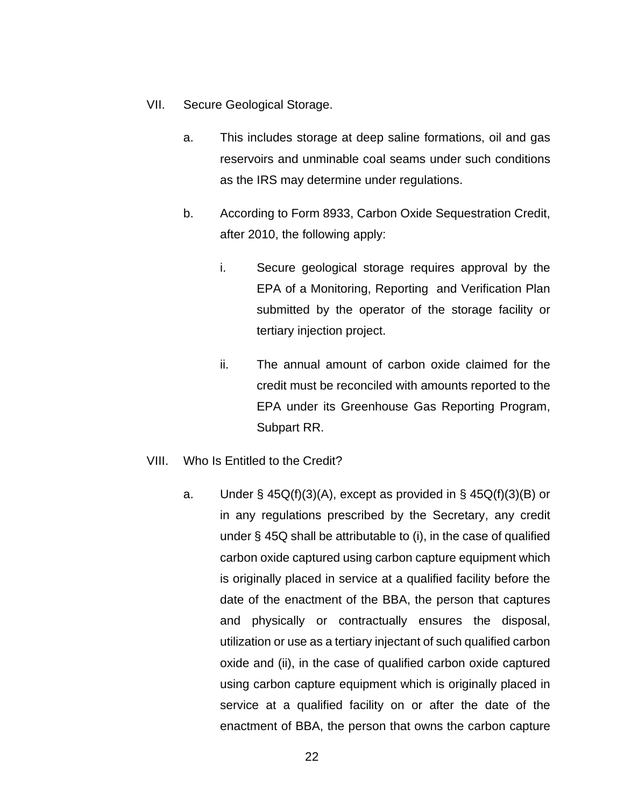- <span id="page-23-0"></span>VII. Secure Geological Storage.
	- a. This includes storage at deep saline formations, oil and gas reservoirs and unminable coal seams under such conditions as the IRS may determine under regulations.
	- b. According to Form 8933, Carbon Oxide Sequestration Credit, after 2010, the following apply:
		- i. Secure geological storage requires approval by the EPA of a Monitoring, Reporting and Verification Plan submitted by the operator of the storage facility or tertiary injection project.
		- ii. The annual amount of carbon oxide claimed for the credit must be reconciled with amounts reported to the EPA under its Greenhouse Gas Reporting Program, Subpart RR.
- <span id="page-23-1"></span>VIII. Who Is Entitled to the Credit?
	- a. Under §  $45Q(f)(3)(A)$ , except as provided in §  $45Q(f)(3)(B)$  or in any regulations prescribed by the Secretary, any credit under § 45Q shall be attributable to (i), in the case of qualified carbon oxide captured using carbon capture equipment which is originally placed in service at a qualified facility before the date of the enactment of the BBA, the person that captures and physically or contractually ensures the disposal, utilization or use as a tertiary injectant of such qualified carbon oxide and (ii), in the case of qualified carbon oxide captured using carbon capture equipment which is originally placed in service at a qualified facility on or after the date of the enactment of BBA, the person that owns the carbon capture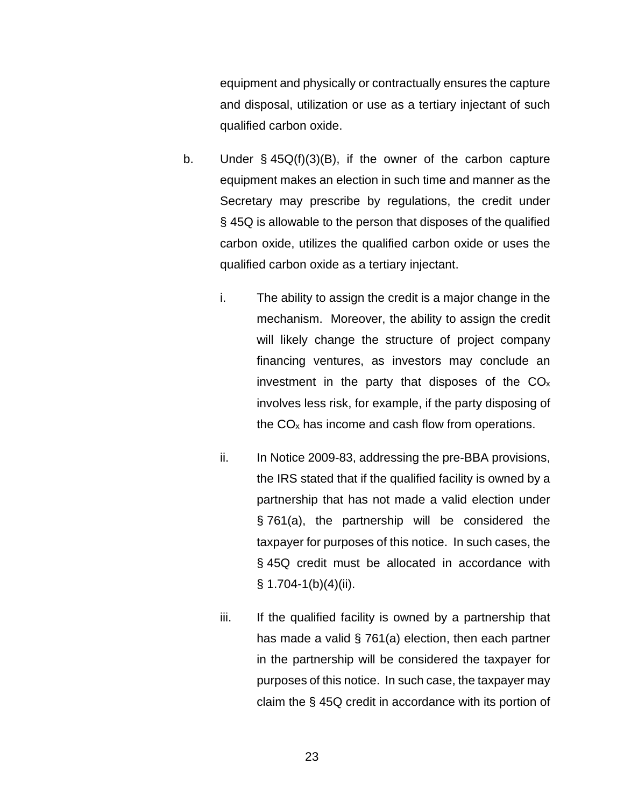equipment and physically or contractually ensures the capture and disposal, utilization or use as a tertiary injectant of such qualified carbon oxide.

- b. Under § 45Q(f)(3)(B), if the owner of the carbon capture equipment makes an election in such time and manner as the Secretary may prescribe by regulations, the credit under § 45Q is allowable to the person that disposes of the qualified carbon oxide, utilizes the qualified carbon oxide or uses the qualified carbon oxide as a tertiary injectant.
	- i. The ability to assign the credit is a major change in the mechanism. Moreover, the ability to assign the credit will likely change the structure of project company financing ventures, as investors may conclude an investment in the party that disposes of the  $CO<sub>x</sub>$ involves less risk, for example, if the party disposing of the  $CO<sub>x</sub>$  has income and cash flow from operations.
	- ii. In Notice 2009-83, addressing the pre-BBA provisions, the IRS stated that if the qualified facility is owned by a partnership that has not made a valid election under § 761(a), the partnership will be considered the taxpayer for purposes of this notice. In such cases, the § 45Q credit must be allocated in accordance with  $§ 1.704-1(b)(4)(ii).$
	- iii. If the qualified facility is owned by a partnership that has made a valid § 761(a) election, then each partner in the partnership will be considered the taxpayer for purposes of this notice. In such case, the taxpayer may claim the § 45Q credit in accordance with its portion of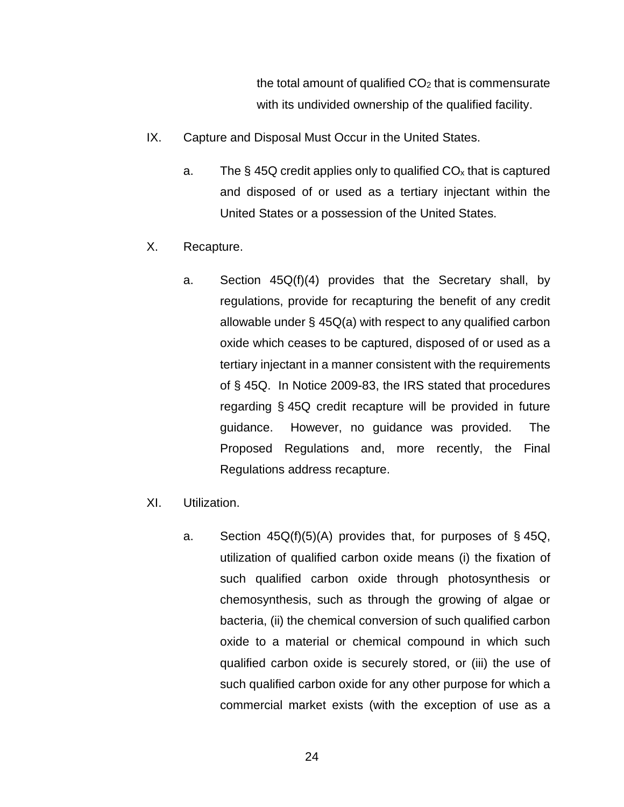the total amount of qualified  $CO<sub>2</sub>$  that is commensurate with its undivided ownership of the qualified facility.

- <span id="page-25-0"></span>IX. Capture and Disposal Must Occur in the United States.
	- a. The  $\S$  45Q credit applies only to qualified  $CO<sub>x</sub>$  that is captured and disposed of or used as a tertiary injectant within the United States or a possession of the United States.
- <span id="page-25-1"></span>X. Recapture.
	- a. Section 45Q(f)(4) provides that the Secretary shall, by regulations, provide for recapturing the benefit of any credit allowable under § 45Q(a) with respect to any qualified carbon oxide which ceases to be captured, disposed of or used as a tertiary injectant in a manner consistent with the requirements of § 45Q. In Notice 2009-83, the IRS stated that procedures regarding § 45Q credit recapture will be provided in future guidance. However, no guidance was provided. The Proposed Regulations and, more recently, the Final Regulations address recapture.
- <span id="page-25-2"></span>XI. Utilization.
	- a. Section  $45Q(f)(5)(A)$  provides that, for purposes of §45Q, utilization of qualified carbon oxide means (i) the fixation of such qualified carbon oxide through photosynthesis or chemosynthesis, such as through the growing of algae or bacteria, (ii) the chemical conversion of such qualified carbon oxide to a material or chemical compound in which such qualified carbon oxide is securely stored, or (iii) the use of such qualified carbon oxide for any other purpose for which a commercial market exists (with the exception of use as a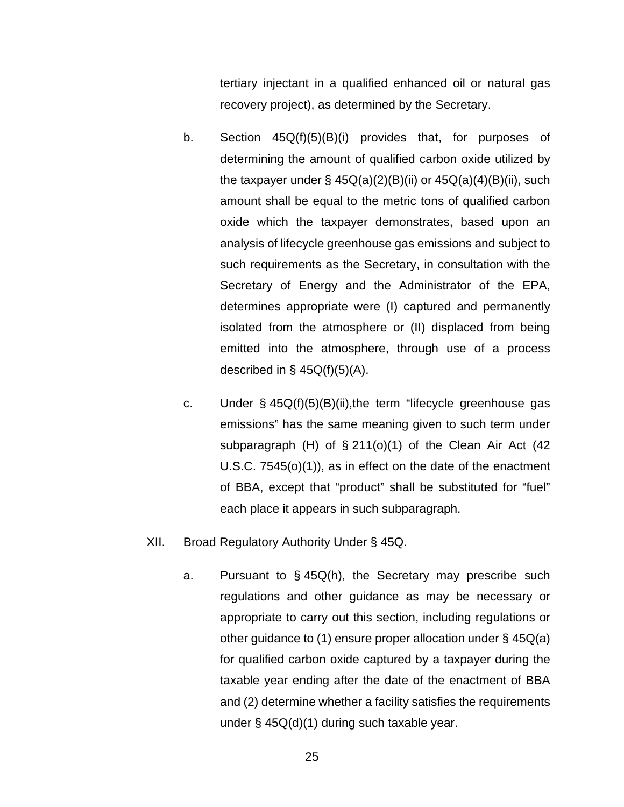tertiary injectant in a qualified enhanced oil or natural gas recovery project), as determined by the Secretary.

- b. Section 45Q(f)(5)(B)(i) provides that, for purposes of determining the amount of qualified carbon oxide utilized by the taxpayer under  $\S$  45Q(a)(2)(B)(ii) or 45Q(a)(4)(B)(ii), such amount shall be equal to the metric tons of qualified carbon oxide which the taxpayer demonstrates, based upon an analysis of lifecycle greenhouse gas emissions and subject to such requirements as the Secretary, in consultation with the Secretary of Energy and the Administrator of the EPA, determines appropriate were (I) captured and permanently isolated from the atmosphere or (II) displaced from being emitted into the atmosphere, through use of a process described in  $\S$  45Q(f)(5)(A).
- c. Under § 45Q(f)(5)(B)(ii),the term "lifecycle greenhouse gas emissions" has the same meaning given to such term under subparagraph  $(H)$  of  $\S 211(0)(1)$  of the Clean Air Act (42) U.S.C. 7545(o)(1)), as in effect on the date of the enactment of BBA, except that "product" shall be substituted for "fuel" each place it appears in such subparagraph.
- <span id="page-26-0"></span>XII. Broad Regulatory Authority Under § 45Q.
	- a. Pursuant to § 45Q(h), the Secretary may prescribe such regulations and other guidance as may be necessary or appropriate to carry out this section, including regulations or other guidance to (1) ensure proper allocation under § 45Q(a) for qualified carbon oxide captured by a taxpayer during the taxable year ending after the date of the enactment of BBA and (2) determine whether a facility satisfies the requirements under § 45Q(d)(1) during such taxable year.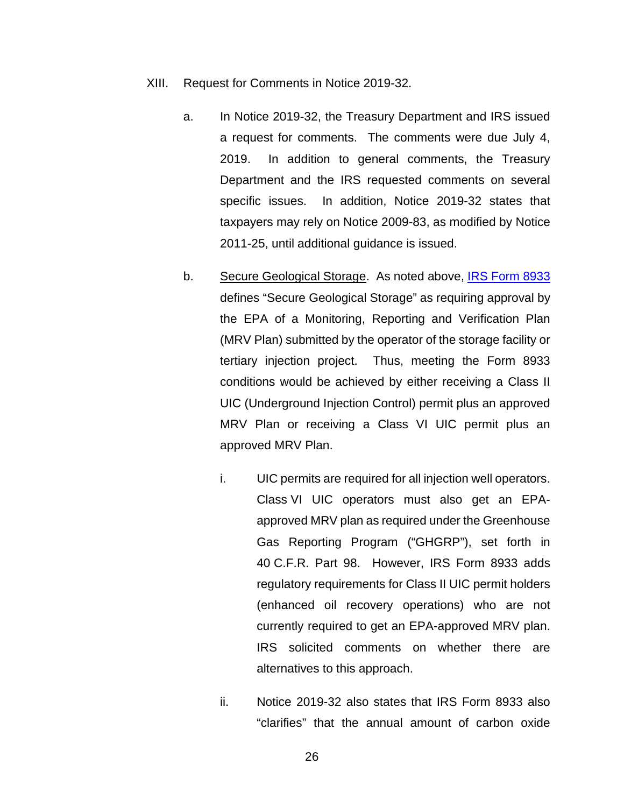- <span id="page-27-0"></span>XIII. Request for Comments in Notice 2019-32.
	- a. In Notice 2019-32, the Treasury Department and IRS issued a request for comments. The comments were due July 4, 2019. In addition to general comments, the Treasury Department and the IRS requested comments on several specific issues. In addition, Notice 2019-32 states that taxpayers may rely on Notice 2009-83, as modified by Notice 2011-25, until additional guidance is issued.
	- b. Secure Geological Storage. As noted above, IRS Form 8933 defines "Secure Geological Storage" as requiring approval by the EPA of a Monitoring, Reporting and Verification Plan (MRV Plan) submitted by the operator of the storage facility or tertiary injection project. Thus, meeting the Form 8933 conditions would be achieved by either receiving a Class II UIC (Underground Injection Control) permit plus an approved MRV Plan or receiving a Class VI UIC permit plus an approved MRV Plan.
		- i. UIC permits are required for all injection well operators. Class VI UIC operators must also get an EPAapproved MRV plan as required under the Greenhouse Gas Reporting Program ("GHGRP"), set forth in 40 C.F.R. Part 98. However, IRS Form 8933 adds regulatory requirements for Class II UIC permit holders (enhanced oil recovery operations) who are not currently required to get an EPA-approved MRV plan. IRS solicited comments on whether there are alternatives to this approach.
		- ii. Notice 2019-32 also states that IRS Form 8933 also "clarifies" that the annual amount of carbon oxide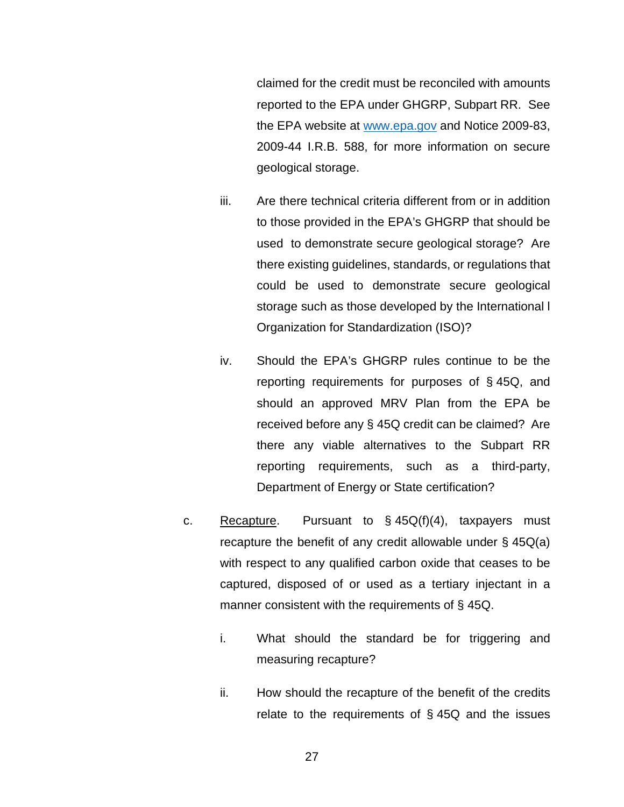claimed for the credit must be reconciled with amounts reported to the EPA under GHGRP, Subpart RR. See the EPA website at [www.epa.gov](http://www.epa.gov/) and Notice 2009-83, 2009-44 I.R.B. 588, for more information on secure geological storage.

- iii. Are there technical criteria different from or in addition to those provided in the EPA's GHGRP that should be used to demonstrate secure geological storage? Are there existing guidelines, standards, or regulations that could be used to demonstrate secure geological storage such as those developed by the International l Organization for Standardization (ISO)?
- iv. Should the EPA's GHGRP rules continue to be the reporting requirements for purposes of § 45Q, and should an approved MRV Plan from the EPA be received before any § 45Q credit can be claimed? Are there any viable alternatives to the Subpart RR reporting requirements, such as a third-party, Department of Energy or State certification?
- c. Recapture. Pursuant to  $\S$  45Q(f)(4), taxpayers must recapture the benefit of any credit allowable under § 45Q(a) with respect to any qualified carbon oxide that ceases to be captured, disposed of or used as a tertiary injectant in a manner consistent with the requirements of § 45Q.
	- i. What should the standard be for triggering and measuring recapture?
	- ii. How should the recapture of the benefit of the credits relate to the requirements of § 45Q and the issues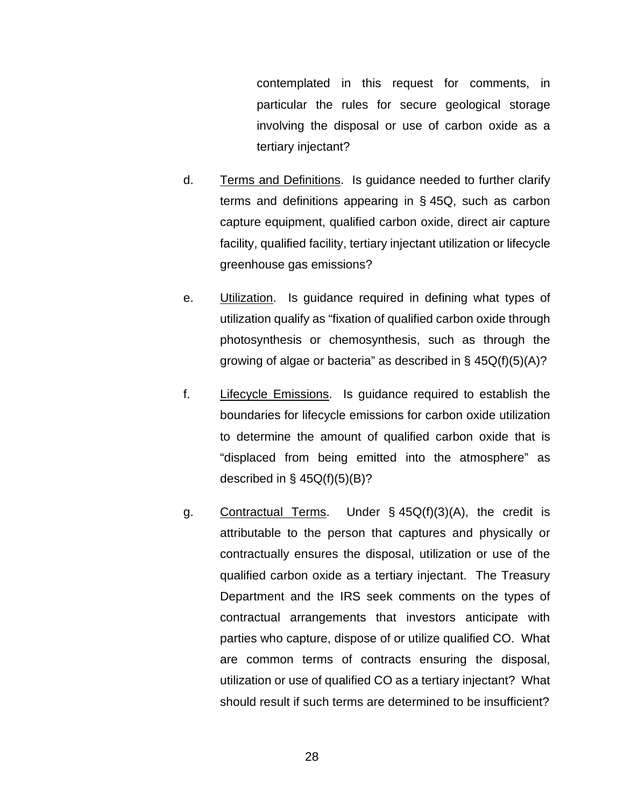contemplated in this request for comments, in particular the rules for secure geological storage involving the disposal or use of carbon oxide as a tertiary injectant?

- d. Terms and Definitions. Is guidance needed to further clarify terms and definitions appearing in § 45Q, such as carbon capture equipment, qualified carbon oxide, direct air capture facility, qualified facility, tertiary injectant utilization or lifecycle greenhouse gas emissions?
- e. Utilization. Is guidance required in defining what types of utilization qualify as "fixation of qualified carbon oxide through photosynthesis or chemosynthesis, such as through the growing of algae or bacteria" as described in § 45Q(f)(5)(A)?
- f. Lifecycle Emissions. Is guidance required to establish the boundaries for lifecycle emissions for carbon oxide utilization to determine the amount of qualified carbon oxide that is "displaced from being emitted into the atmosphere" as described in  $\S$  45Q(f)(5)(B)?
- g. Contractual Terms. Under § 45Q(f)(3)(A), the credit is attributable to the person that captures and physically or contractually ensures the disposal, utilization or use of the qualified carbon oxide as a tertiary injectant. The Treasury Department and the IRS seek comments on the types of contractual arrangements that investors anticipate with parties who capture, dispose of or utilize qualified CO. What are common terms of contracts ensuring the disposal, utilization or use of qualified CO as a tertiary injectant? What should result if such terms are determined to be insufficient?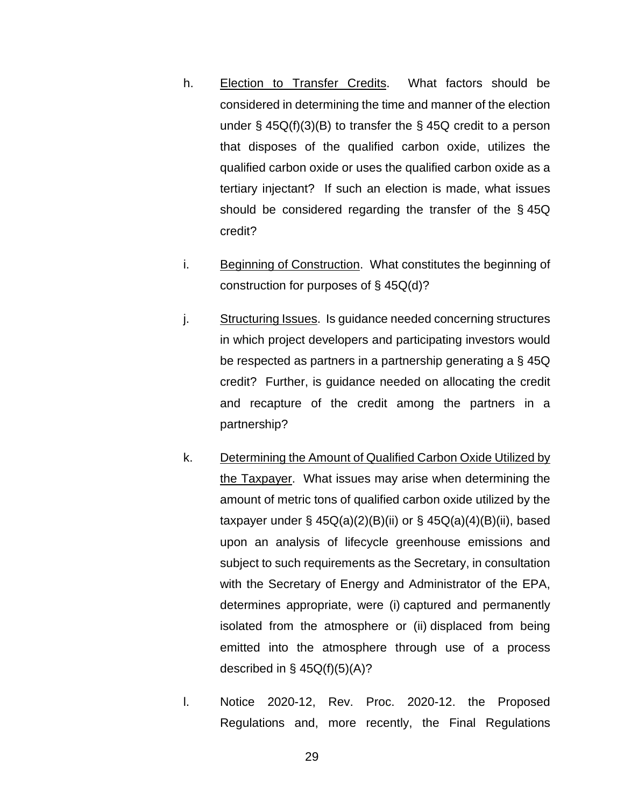- h. Election to Transfer Credits. What factors should be considered in determining the time and manner of the election under  $\S$  45Q(f)(3)(B) to transfer the  $\S$  45Q credit to a person that disposes of the qualified carbon oxide, utilizes the qualified carbon oxide or uses the qualified carbon oxide as a tertiary injectant? If such an election is made, what issues should be considered regarding the transfer of the § 45Q credit?
- i. Beginning of Construction. What constitutes the beginning of construction for purposes of § 45Q(d)?
- j. Structuring Issues. Is guidance needed concerning structures in which project developers and participating investors would be respected as partners in a partnership generating a § 45Q credit? Further, is guidance needed on allocating the credit and recapture of the credit among the partners in a partnership?
- k. Determining the Amount of Qualified Carbon Oxide Utilized by the Taxpayer. What issues may arise when determining the amount of metric tons of qualified carbon oxide utilized by the taxpayer under  $\S$  45Q(a)(2)(B)(ii) or  $\S$  45Q(a)(4)(B)(ii), based upon an analysis of lifecycle greenhouse emissions and subject to such requirements as the Secretary, in consultation with the Secretary of Energy and Administrator of the EPA, determines appropriate, were (i) captured and permanently isolated from the atmosphere or (ii) displaced from being emitted into the atmosphere through use of a process described in §  $45Q(f)(5)(A)?$
- l. Notice 2020-12, Rev. Proc. 2020-12. the Proposed Regulations and, more recently, the Final Regulations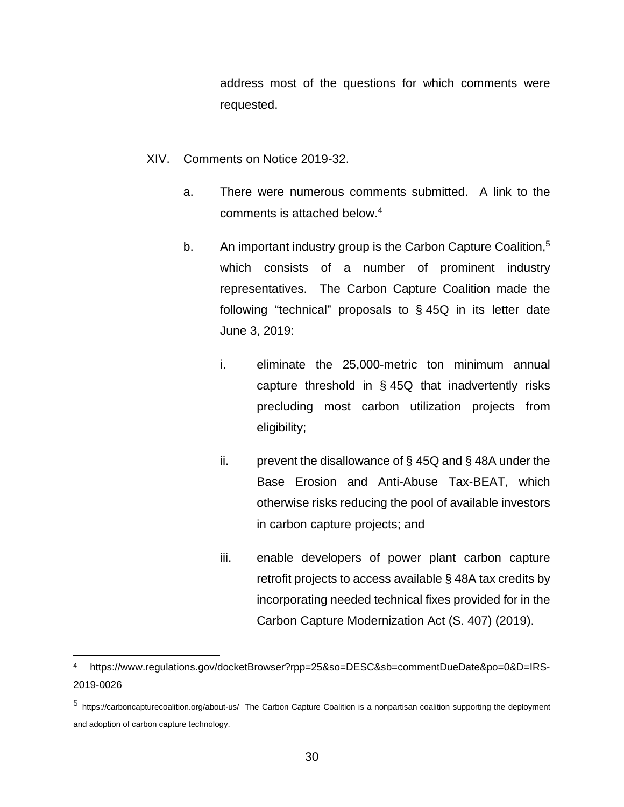address most of the questions for which comments were requested.

- <span id="page-31-0"></span>XIV. Comments on Notice 2019-32.
	- a. There were numerous comments submitted. A link to the comments is attached below.<sup>4</sup>
	- b. An important industry group is the Carbon Capture Coalition,<sup>5</sup> which consists of a number of prominent industry representatives. The Carbon Capture Coalition made the following "technical" proposals to § 45Q in its letter date June 3, 2019:
		- i. eliminate the 25,000-metric ton minimum annual capture threshold in § 45Q that inadvertently risks precluding most carbon utilization projects from eligibility;
		- ii. prevent the disallowance of  $\S$  45Q and  $\S$  48A under the Base Erosion and Anti-Abuse Tax-BEAT, which otherwise risks reducing the pool of available investors in carbon capture projects; and
		- iii. enable developers of power plant carbon capture retrofit projects to access available § 48A tax credits by incorporating needed technical fixes provided for in the Carbon Capture Modernization Act (S. 407) (2019).

<sup>4</sup> https://www.regulations.gov/docketBrowser?rpp=25&so=DESC&sb=commentDueDate&po=0&D=IRS-2019-0026

<sup>5</sup> https://carboncapturecoalition.org/about-us/ The Carbon Capture Coalition is a nonpartisan coalition supporting the deployment and adoption of carbon capture technology.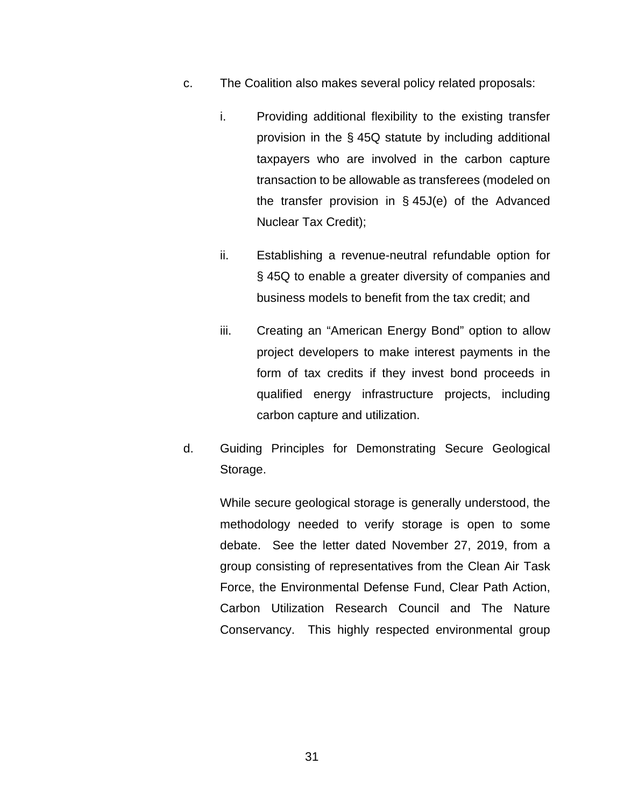- c. The Coalition also makes several policy related proposals:
	- i. Providing additional flexibility to the existing transfer provision in the § 45Q statute by including additional taxpayers who are involved in the carbon capture transaction to be allowable as transferees (modeled on the transfer provision in § 45J(e) of the Advanced Nuclear Tax Credit);
	- ii. Establishing a revenue-neutral refundable option for § 45Q to enable a greater diversity of companies and business models to benefit from the tax credit; and
	- iii. Creating an "American Energy Bond" option to allow project developers to make interest payments in the form of tax credits if they invest bond proceeds in qualified energy infrastructure projects, including carbon capture and utilization.
- d. Guiding Principles for Demonstrating Secure Geological Storage.

While secure geological storage is generally understood, the methodology needed to verify storage is open to some debate. See the letter dated November 27, 2019, from a group consisting of representatives from the Clean Air Task Force, the Environmental Defense Fund, Clear Path Action, Carbon Utilization Research Council and The Nature Conservancy. This highly respected environmental group

31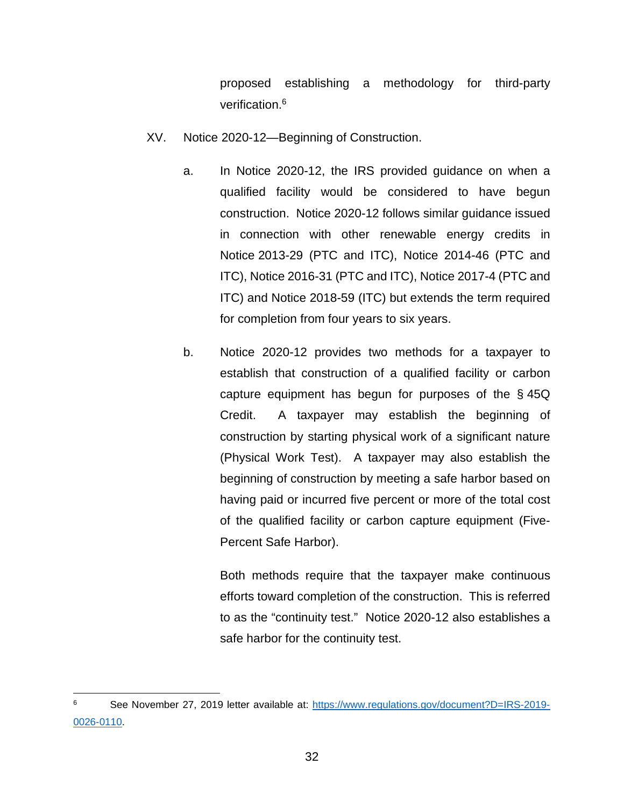proposed establishing a methodology for third-party verification.<sup>6</sup>

- <span id="page-33-0"></span>XV. Notice 2020-12—Beginning of Construction.
	- a. In Notice 2020-12, the IRS provided guidance on when a qualified facility would be considered to have begun construction. Notice 2020-12 follows similar guidance issued in connection with other renewable energy credits in Notice 2013-29 (PTC and ITC), Notice 2014-46 (PTC and ITC), Notice 2016-31 (PTC and ITC), Notice 2017-4 (PTC and ITC) and Notice 2018-59 (ITC) but extends the term required for completion from four years to six years.
	- b. Notice 2020-12 provides two methods for a taxpayer to establish that construction of a qualified facility or carbon capture equipment has begun for purposes of the § 45Q Credit. A taxpayer may establish the beginning of construction by starting physical work of a significant nature (Physical Work Test). A taxpayer may also establish the beginning of construction by meeting a safe harbor based on having paid or incurred five percent or more of the total cost of the qualified facility or carbon capture equipment (Five-Percent Safe Harbor).

Both methods require that the taxpayer make continuous efforts toward completion of the construction. This is referred to as the "continuity test." Notice 2020-12 also establishes a safe harbor for the continuity test.

<sup>6</sup> See November 27, 2019 letter available at: [https://www.regulations.gov/document?D=IRS-2019-](https://www.regulations.gov/document?D=IRS-2019-0026-0110) [0026-0110.](https://www.regulations.gov/document?D=IRS-2019-0026-0110)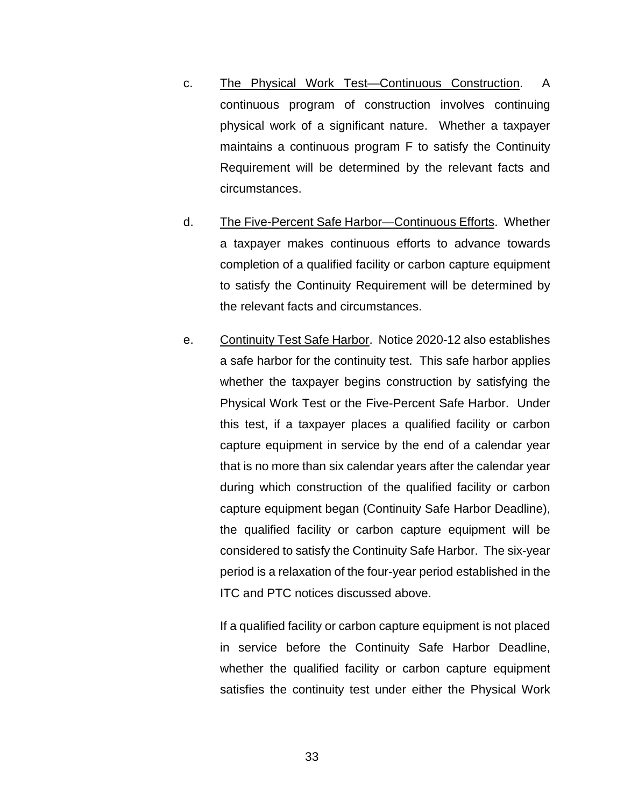- c. The Physical Work Test—Continuous Construction. A continuous program of construction involves continuing physical work of a significant nature. Whether a taxpayer maintains a continuous program F to satisfy the Continuity Requirement will be determined by the relevant facts and circumstances.
- d. The Five-Percent Safe Harbor—Continuous Efforts. Whether a taxpayer makes continuous efforts to advance towards completion of a qualified facility or carbon capture equipment to satisfy the Continuity Requirement will be determined by the relevant facts and circumstances.
- e. Continuity Test Safe Harbor. Notice 2020-12 also establishes a safe harbor for the continuity test. This safe harbor applies whether the taxpayer begins construction by satisfying the Physical Work Test or the Five-Percent Safe Harbor. Under this test, if a taxpayer places a qualified facility or carbon capture equipment in service by the end of a calendar year that is no more than six calendar years after the calendar year during which construction of the qualified facility or carbon capture equipment began (Continuity Safe Harbor Deadline), the qualified facility or carbon capture equipment will be considered to satisfy the Continuity Safe Harbor. The six-year period is a relaxation of the four-year period established in the ITC and PTC notices discussed above.

If a qualified facility or carbon capture equipment is not placed in service before the Continuity Safe Harbor Deadline, whether the qualified facility or carbon capture equipment satisfies the continuity test under either the Physical Work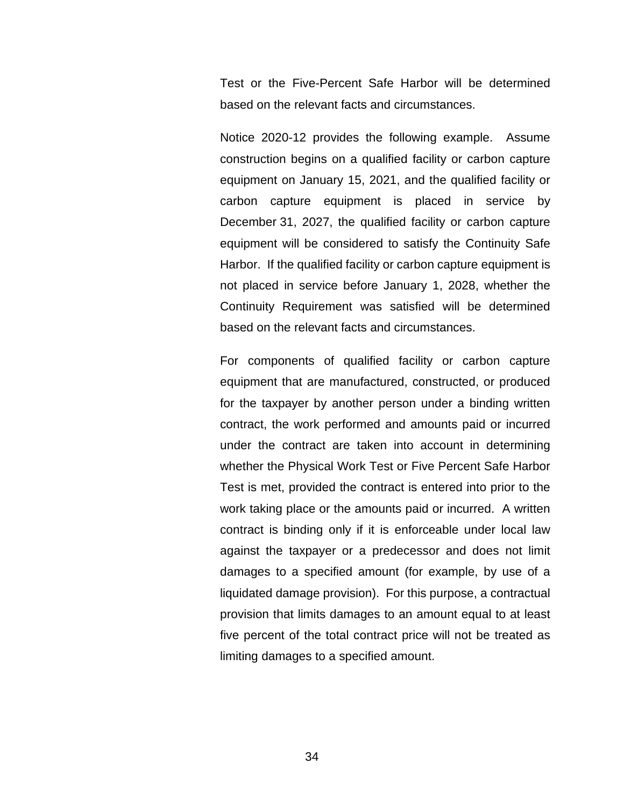Test or the Five-Percent Safe Harbor will be determined based on the relevant facts and circumstances.

Notice 2020-12 provides the following example. Assume construction begins on a qualified facility or carbon capture equipment on January 15, 2021, and the qualified facility or carbon capture equipment is placed in service by December 31, 2027, the qualified facility or carbon capture equipment will be considered to satisfy the Continuity Safe Harbor. If the qualified facility or carbon capture equipment is not placed in service before January 1, 2028, whether the Continuity Requirement was satisfied will be determined based on the relevant facts and circumstances.

For components of qualified facility or carbon capture equipment that are manufactured, constructed, or produced for the taxpayer by another person under a binding written contract, the work performed and amounts paid or incurred under the contract are taken into account in determining whether the Physical Work Test or Five Percent Safe Harbor Test is met, provided the contract is entered into prior to the work taking place or the amounts paid or incurred. A written contract is binding only if it is enforceable under local law against the taxpayer or a predecessor and does not limit damages to a specified amount (for example, by use of a liquidated damage provision). For this purpose, a contractual provision that limits damages to an amount equal to at least five percent of the total contract price will not be treated as limiting damages to a specified amount.

34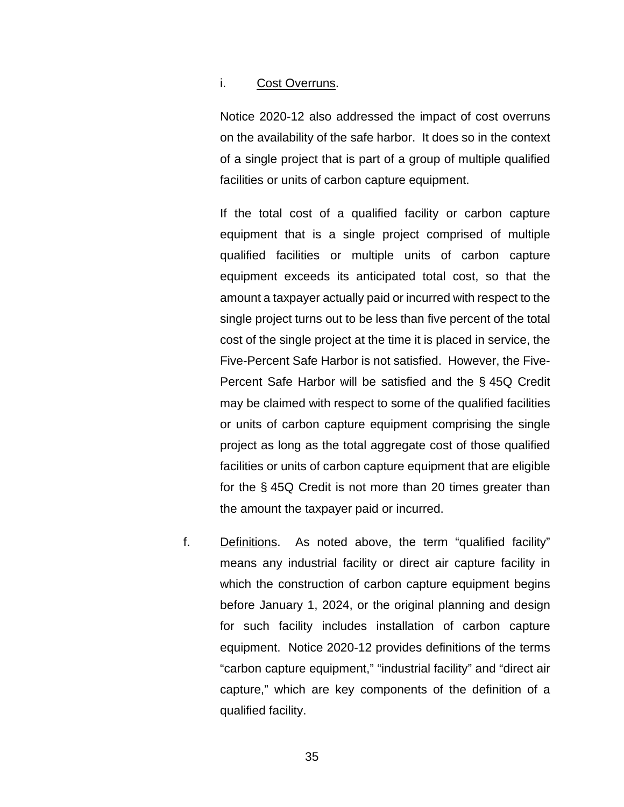## i. Cost Overruns.

Notice 2020-12 also addressed the impact of cost overruns on the availability of the safe harbor. It does so in the context of a single project that is part of a group of multiple qualified facilities or units of carbon capture equipment.

If the total cost of a qualified facility or carbon capture equipment that is a single project comprised of multiple qualified facilities or multiple units of carbon capture equipment exceeds its anticipated total cost, so that the amount a taxpayer actually paid or incurred with respect to the single project turns out to be less than five percent of the total cost of the single project at the time it is placed in service, the Five-Percent Safe Harbor is not satisfied. However, the Five-Percent Safe Harbor will be satisfied and the § 45Q Credit may be claimed with respect to some of the qualified facilities or units of carbon capture equipment comprising the single project as long as the total aggregate cost of those qualified facilities or units of carbon capture equipment that are eligible for the § 45Q Credit is not more than 20 times greater than the amount the taxpayer paid or incurred.

f. Definitions. As noted above, the term "qualified facility" means any industrial facility or direct air capture facility in which the construction of carbon capture equipment begins before January 1, 2024, or the original planning and design for such facility includes installation of carbon capture equipment. Notice 2020-12 provides definitions of the terms "carbon capture equipment," "industrial facility" and "direct air capture," which are key components of the definition of a qualified facility.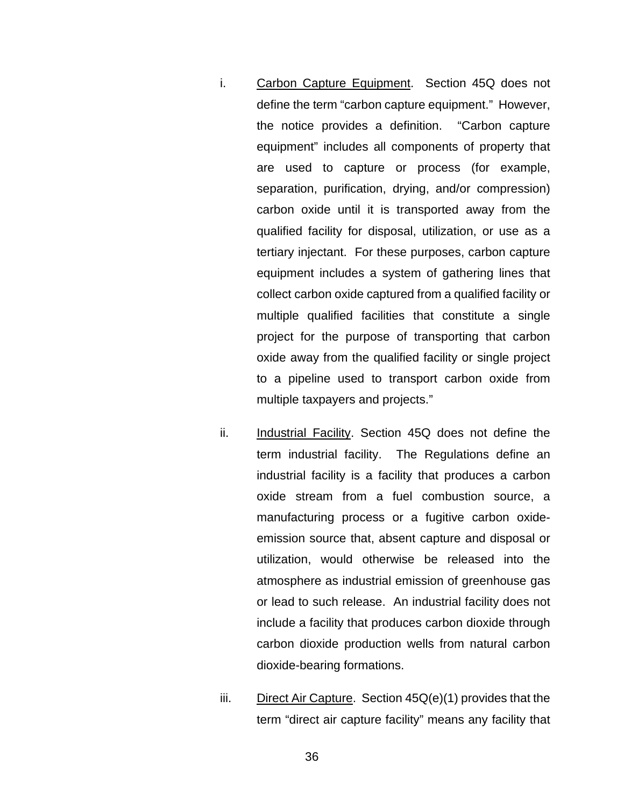- i. Carbon Capture Equipment. Section 45Q does not define the term "carbon capture equipment." However, the notice provides a definition. "Carbon capture equipment" includes all components of property that are used to capture or process (for example, separation, purification, drying, and/or compression) carbon oxide until it is transported away from the qualified facility for disposal, utilization, or use as a tertiary injectant. For these purposes, carbon capture equipment includes a system of gathering lines that collect carbon oxide captured from a qualified facility or multiple qualified facilities that constitute a single project for the purpose of transporting that carbon oxide away from the qualified facility or single project to a pipeline used to transport carbon oxide from multiple taxpayers and projects."
- ii. Industrial Facility. Section 45Q does not define the term industrial facility. The Regulations define an industrial facility is a facility that produces a carbon oxide stream from a fuel combustion source, a manufacturing process or a fugitive carbon oxideemission source that, absent capture and disposal or utilization, would otherwise be released into the atmosphere as industrial emission of greenhouse gas or lead to such release. An industrial facility does not include a facility that produces carbon dioxide through carbon dioxide production wells from natural carbon dioxide-bearing formations.
- iii. Direct Air Capture. Section 45Q(e)(1) provides that the term "direct air capture facility" means any facility that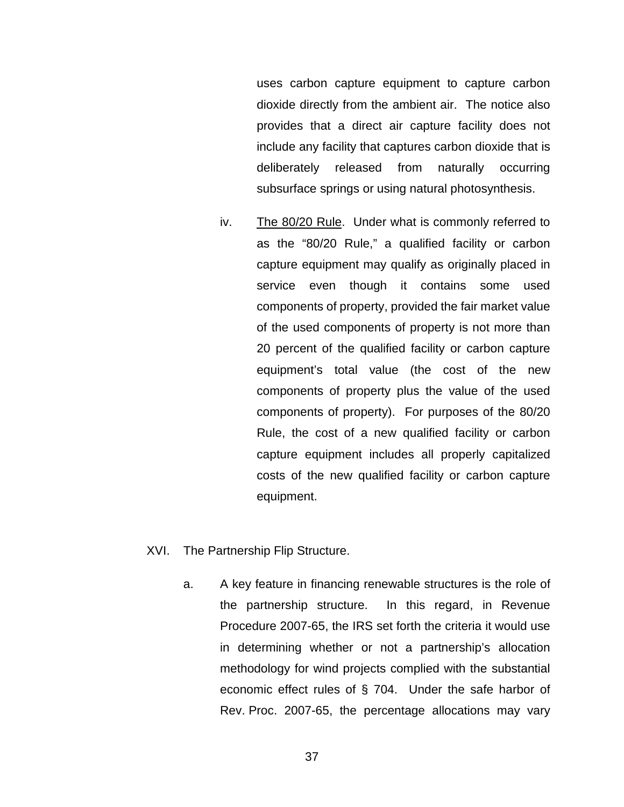uses carbon capture equipment to capture carbon dioxide directly from the ambient air. The notice also provides that a direct air capture facility does not include any facility that captures carbon dioxide that is deliberately released from naturally occurring subsurface springs or using natural photosynthesis.

- iv. The 80/20 Rule. Under what is commonly referred to as the "80/20 Rule," a qualified facility or carbon capture equipment may qualify as originally placed in service even though it contains some used components of property, provided the fair market value of the used components of property is not more than 20 percent of the qualified facility or carbon capture equipment's total value (the cost of the new components of property plus the value of the used components of property). For purposes of the 80/20 Rule, the cost of a new qualified facility or carbon capture equipment includes all properly capitalized costs of the new qualified facility or carbon capture equipment.
- XVI. The Partnership Flip Structure.
	- a. A key feature in financing renewable structures is the role of the partnership structure. In this regard, in Revenue Procedure 2007-65, the IRS set forth the criteria it would use in determining whether or not a partnership's allocation methodology for wind projects complied with the substantial economic effect rules of § 704. Under the safe harbor of Rev. Proc. 2007-65, the percentage allocations may vary
		- 37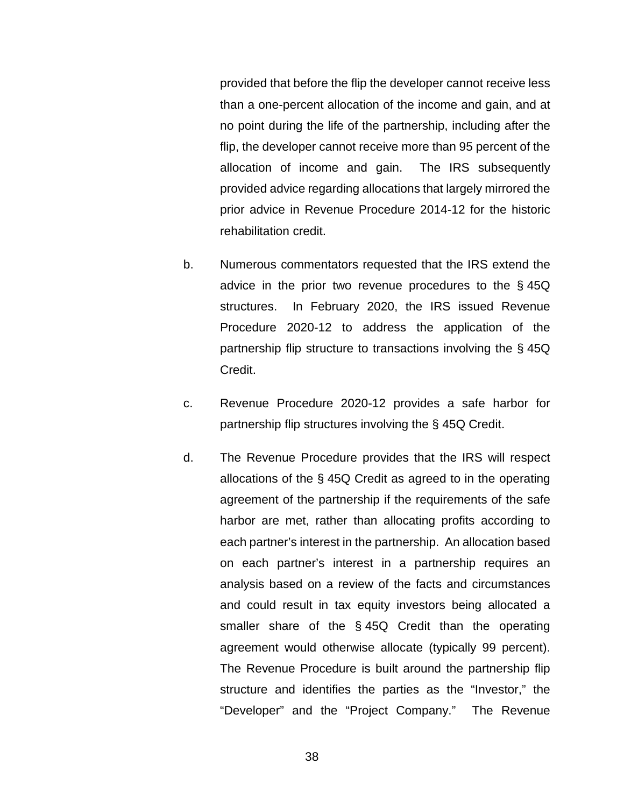provided that before the flip the developer cannot receive less than a one-percent allocation of the income and gain, and at no point during the life of the partnership, including after the flip, the developer cannot receive more than 95 percent of the allocation of income and gain. The IRS subsequently provided advice regarding allocations that largely mirrored the prior advice in Revenue Procedure 2014-12 for the historic rehabilitation credit.

- b. Numerous commentators requested that the IRS extend the advice in the prior two revenue procedures to the § 45Q structures. In February 2020, the IRS issued Revenue Procedure 2020-12 to address the application of the partnership flip structure to transactions involving the § 45Q Credit.
- c. Revenue Procedure 2020-12 provides a safe harbor for partnership flip structures involving the § 45Q Credit.
- d. The Revenue Procedure provides that the IRS will respect allocations of the § 45Q Credit as agreed to in the operating agreement of the partnership if the requirements of the safe harbor are met, rather than allocating profits according to each partner's interest in the partnership. An allocation based on each partner's interest in a partnership requires an analysis based on a review of the facts and circumstances and could result in tax equity investors being allocated a smaller share of the § 45Q Credit than the operating agreement would otherwise allocate (typically 99 percent). The Revenue Procedure is built around the partnership flip structure and identifies the parties as the "Investor," the "Developer" and the "Project Company." The Revenue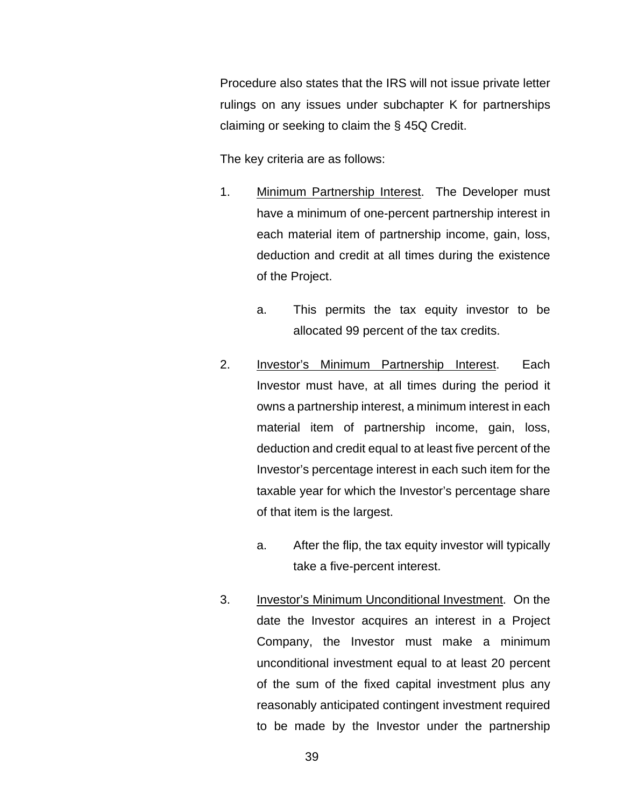Procedure also states that the IRS will not issue private letter rulings on any issues under subchapter K for partnerships claiming or seeking to claim the § 45Q Credit.

The key criteria are as follows:

- 1. Minimum Partnership Interest. The Developer must have a minimum of one-percent partnership interest in each material item of partnership income, gain, loss, deduction and credit at all times during the existence of the Project.
	- a. This permits the tax equity investor to be allocated 99 percent of the tax credits.
- 2. Investor's Minimum Partnership Interest. Each Investor must have, at all times during the period it owns a partnership interest, a minimum interest in each material item of partnership income, gain, loss, deduction and credit equal to at least five percent of the Investor's percentage interest in each such item for the taxable year for which the Investor's percentage share of that item is the largest.
	- a. After the flip, the tax equity investor will typically take a five-percent interest.
- 3. Investor's Minimum Unconditional Investment. On the date the Investor acquires an interest in a Project Company, the Investor must make a minimum unconditional investment equal to at least 20 percent of the sum of the fixed capital investment plus any reasonably anticipated contingent investment required to be made by the Investor under the partnership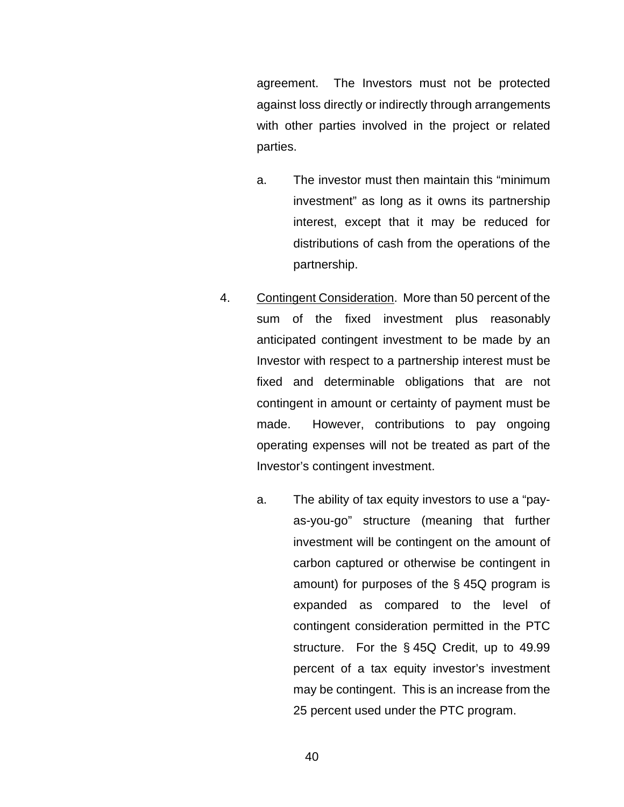agreement. The Investors must not be protected against loss directly or indirectly through arrangements with other parties involved in the project or related parties.

- a. The investor must then maintain this "minimum investment" as long as it owns its partnership interest, except that it may be reduced for distributions of cash from the operations of the partnership.
- 4. Contingent Consideration. More than 50 percent of the sum of the fixed investment plus reasonably anticipated contingent investment to be made by an Investor with respect to a partnership interest must be fixed and determinable obligations that are not contingent in amount or certainty of payment must be made. However, contributions to pay ongoing operating expenses will not be treated as part of the Investor's contingent investment.
	- a. The ability of tax equity investors to use a "payas-you-go" structure (meaning that further investment will be contingent on the amount of carbon captured or otherwise be contingent in amount) for purposes of the § 45Q program is expanded as compared to the level of contingent consideration permitted in the PTC structure. For the § 45Q Credit, up to 49.99 percent of a tax equity investor's investment may be contingent. This is an increase from the 25 percent used under the PTC program.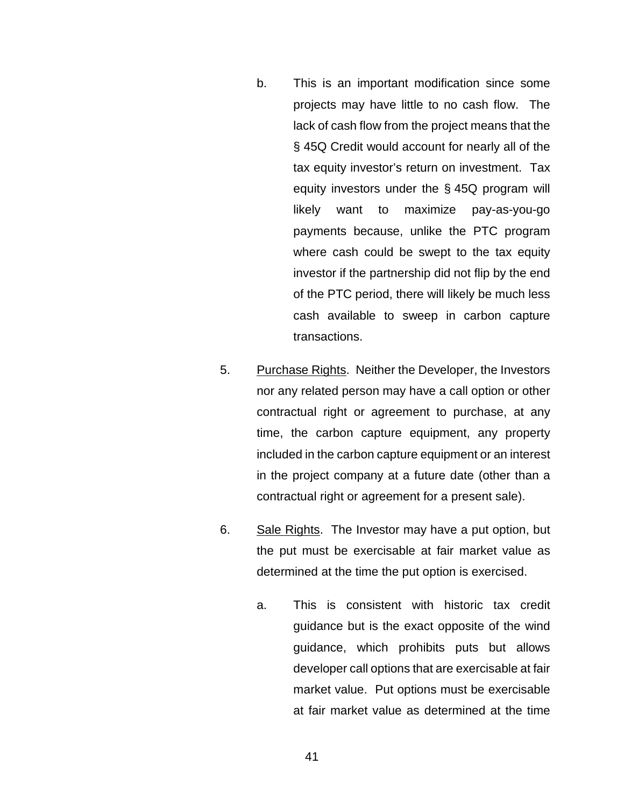- b. This is an important modification since some projects may have little to no cash flow. The lack of cash flow from the project means that the § 45Q Credit would account for nearly all of the tax equity investor's return on investment. Tax equity investors under the § 45Q program will likely want to maximize pay-as-you-go payments because, unlike the PTC program where cash could be swept to the tax equity investor if the partnership did not flip by the end of the PTC period, there will likely be much less cash available to sweep in carbon capture transactions.
- 5. Purchase Rights. Neither the Developer, the Investors nor any related person may have a call option or other contractual right or agreement to purchase, at any time, the carbon capture equipment, any property included in the carbon capture equipment or an interest in the project company at a future date (other than a contractual right or agreement for a present sale).
- 6. Sale Rights. The Investor may have a put option, but the put must be exercisable at fair market value as determined at the time the put option is exercised.
	- a. This is consistent with historic tax credit guidance but is the exact opposite of the wind guidance, which prohibits puts but allows developer call options that are exercisable at fair market value. Put options must be exercisable at fair market value as determined at the time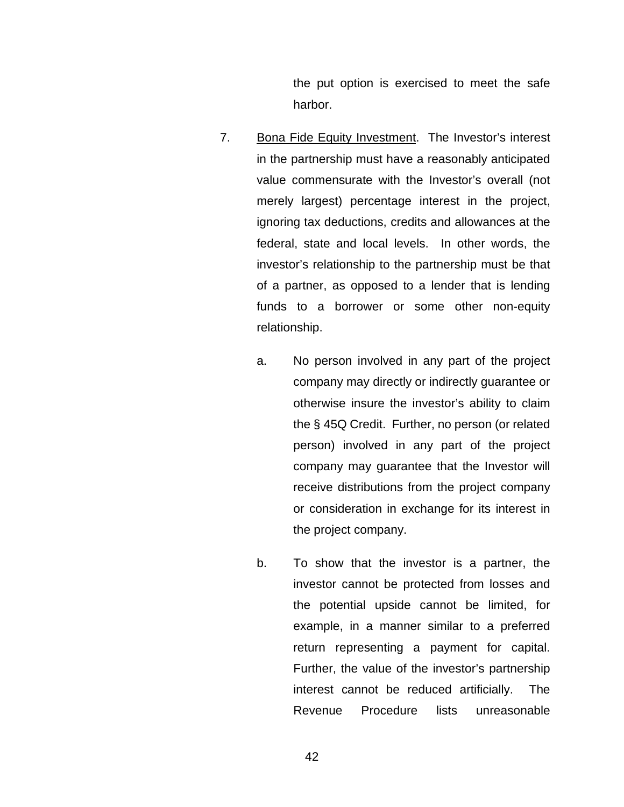the put option is exercised to meet the safe harbor.

- 7. Bona Fide Equity Investment. The Investor's interest in the partnership must have a reasonably anticipated value commensurate with the Investor's overall (not merely largest) percentage interest in the project, ignoring tax deductions, credits and allowances at the federal, state and local levels. In other words, the investor's relationship to the partnership must be that of a partner, as opposed to a lender that is lending funds to a borrower or some other non-equity relationship.
	- a. No person involved in any part of the project company may directly or indirectly guarantee or otherwise insure the investor's ability to claim the § 45Q Credit. Further, no person (or related person) involved in any part of the project company may guarantee that the Investor will receive distributions from the project company or consideration in exchange for its interest in the project company.
	- b. To show that the investor is a partner, the investor cannot be protected from losses and the potential upside cannot be limited, for example, in a manner similar to a preferred return representing a payment for capital. Further, the value of the investor's partnership interest cannot be reduced artificially. The Revenue Procedure lists unreasonable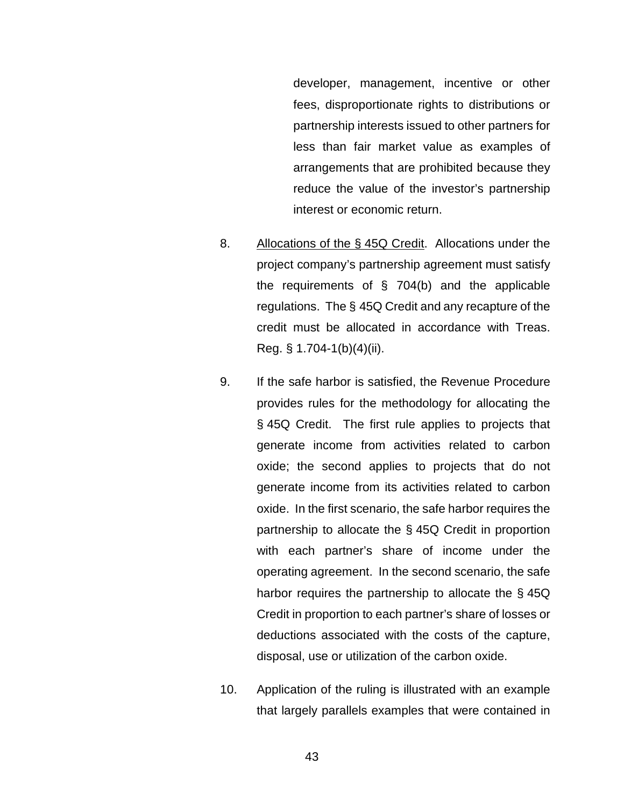developer, management, incentive or other fees, disproportionate rights to distributions or partnership interests issued to other partners for less than fair market value as examples of arrangements that are prohibited because they reduce the value of the investor's partnership interest or economic return.

- 8. Allocations of the § 45Q Credit. Allocations under the project company's partnership agreement must satisfy the requirements of § 704(b) and the applicable regulations. The § 45Q Credit and any recapture of the credit must be allocated in accordance with Treas. Reg. § 1.704-1(b)(4)(ii).
- 9. If the safe harbor is satisfied, the Revenue Procedure provides rules for the methodology for allocating the § 45Q Credit. The first rule applies to projects that generate income from activities related to carbon oxide; the second applies to projects that do not generate income from its activities related to carbon oxide. In the first scenario, the safe harbor requires the partnership to allocate the § 45Q Credit in proportion with each partner's share of income under the operating agreement. In the second scenario, the safe harbor requires the partnership to allocate the § 45Q Credit in proportion to each partner's share of losses or deductions associated with the costs of the capture, disposal, use or utilization of the carbon oxide.
- 10. Application of the ruling is illustrated with an example that largely parallels examples that were contained in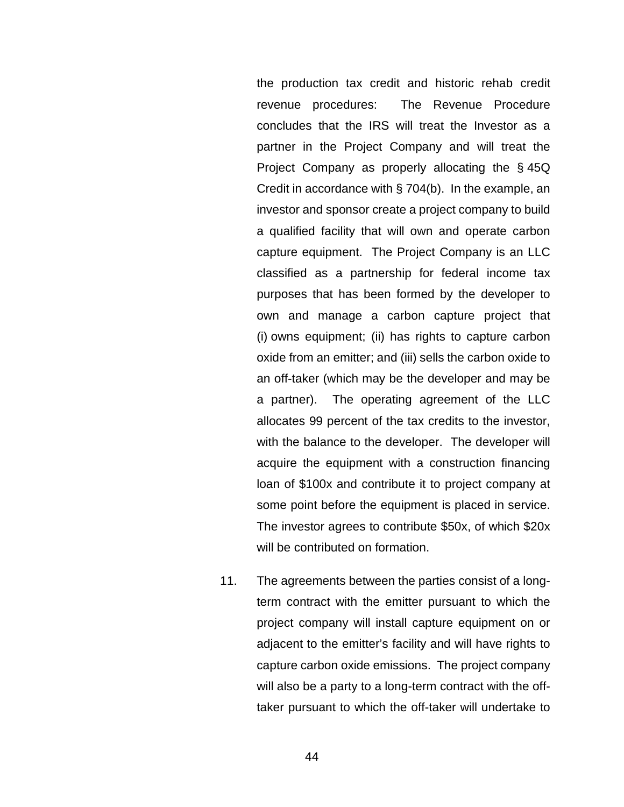the production tax credit and historic rehab credit revenue procedures: The Revenue Procedure concludes that the IRS will treat the Investor as a partner in the Project Company and will treat the Project Company as properly allocating the § 45Q Credit in accordance with § 704(b). In the example, an investor and sponsor create a project company to build a qualified facility that will own and operate carbon capture equipment. The Project Company is an LLC classified as a partnership for federal income tax purposes that has been formed by the developer to own and manage a carbon capture project that (i) owns equipment; (ii) has rights to capture carbon oxide from an emitter; and (iii) sells the carbon oxide to an off-taker (which may be the developer and may be a partner). The operating agreement of the LLC allocates 99 percent of the tax credits to the investor, with the balance to the developer. The developer will acquire the equipment with a construction financing loan of \$100x and contribute it to project company at some point before the equipment is placed in service. The investor agrees to contribute \$50x, of which \$20x will be contributed on formation.

11. The agreements between the parties consist of a longterm contract with the emitter pursuant to which the project company will install capture equipment on or adjacent to the emitter's facility and will have rights to capture carbon oxide emissions. The project company will also be a party to a long-term contract with the offtaker pursuant to which the off-taker will undertake to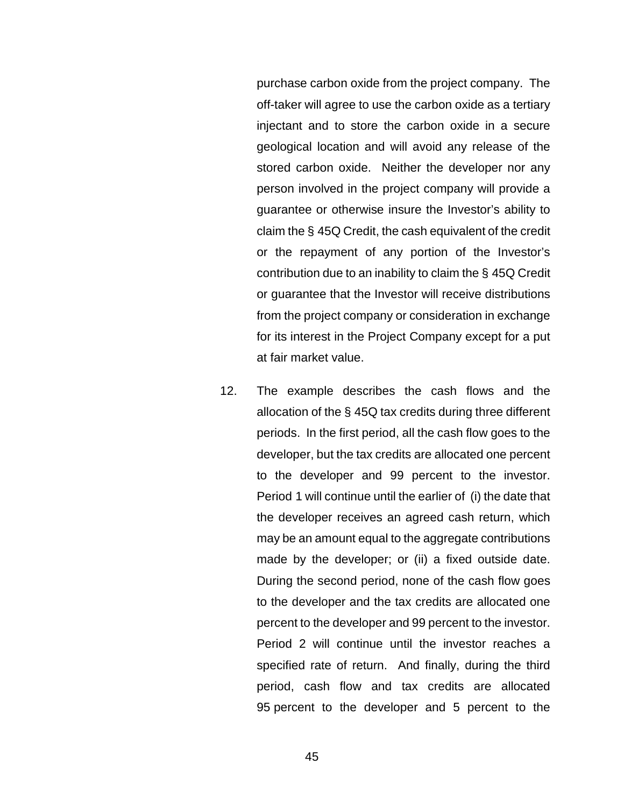purchase carbon oxide from the project company. The off-taker will agree to use the carbon oxide as a tertiary injectant and to store the carbon oxide in a secure geological location and will avoid any release of the stored carbon oxide. Neither the developer nor any person involved in the project company will provide a guarantee or otherwise insure the Investor's ability to claim the § 45Q Credit, the cash equivalent of the credit or the repayment of any portion of the Investor's contribution due to an inability to claim the § 45Q Credit or guarantee that the Investor will receive distributions from the project company or consideration in exchange for its interest in the Project Company except for a put at fair market value.

12. The example describes the cash flows and the allocation of the § 45Q tax credits during three different periods. In the first period, all the cash flow goes to the developer, but the tax credits are allocated one percent to the developer and 99 percent to the investor. Period 1 will continue until the earlier of (i) the date that the developer receives an agreed cash return, which may be an amount equal to the aggregate contributions made by the developer; or (ii) a fixed outside date. During the second period, none of the cash flow goes to the developer and the tax credits are allocated one percent to the developer and 99 percent to the investor. Period 2 will continue until the investor reaches a specified rate of return. And finally, during the third period, cash flow and tax credits are allocated 95 percent to the developer and 5 percent to the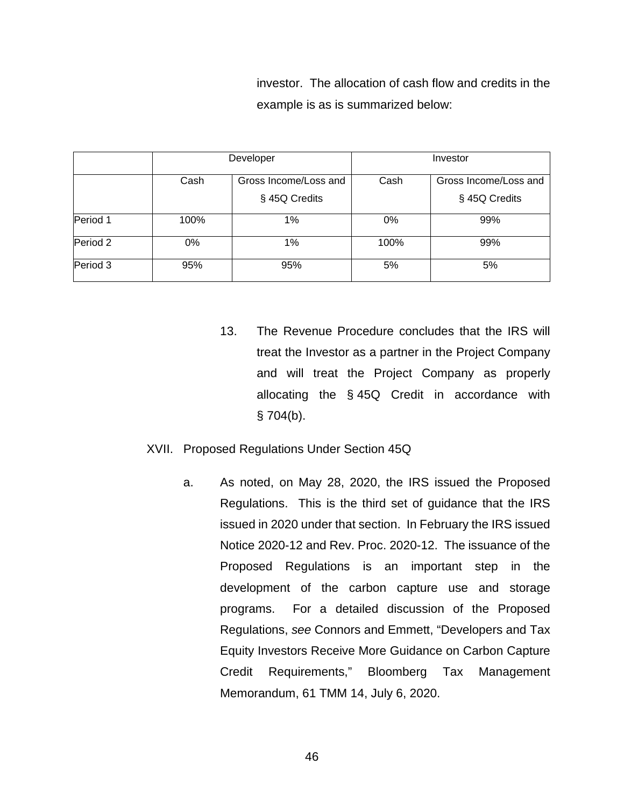investor. The allocation of cash flow and credits in the example is as is summarized below:

|                     | Developer |                       | Investor |                       |
|---------------------|-----------|-----------------------|----------|-----------------------|
|                     | Cash      | Gross Income/Loss and | Cash     | Gross Income/Loss and |
|                     |           | § 45Q Credits         |          | § 45Q Credits         |
| Period 1            | 100%      | 1%                    | 0%       | 99%                   |
| Period <sub>2</sub> | $0\%$     | 1%                    | 100%     | 99%                   |
| Period 3            | 95%       | 95%                   | 5%       | 5%                    |

13. The Revenue Procedure concludes that the IRS will treat the Investor as a partner in the Project Company and will treat the Project Company as properly allocating the § 45Q Credit in accordance with  $§ 704(b).$ 

## XVII. Proposed Regulations Under Section 45Q

a. As noted, on May 28, 2020, the IRS issued the Proposed Regulations. This is the third set of guidance that the IRS issued in 2020 under that section. In February the IRS issued Notice 2020-12 and Rev. Proc. 2020-12. The issuance of the Proposed Regulations is an important step in the development of the carbon capture use and storage programs. For a detailed discussion of the Proposed Regulations, *see* Connors and Emmett, "Developers and Tax Equity Investors Receive More Guidance on Carbon Capture Credit Requirements," Bloomberg Tax Management Memorandum, 61 TMM 14, July 6, 2020.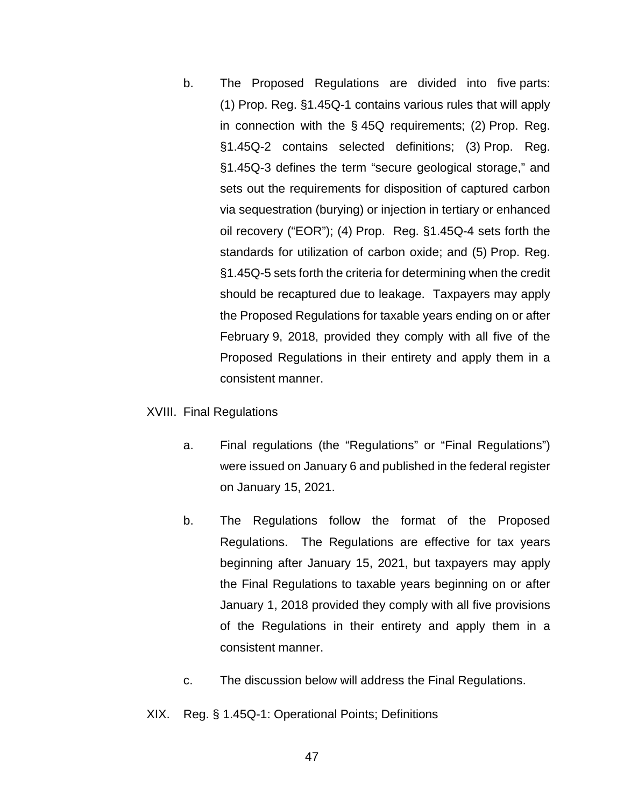b. The Proposed Regulations are divided into five parts: (1) Prop. Reg. §1.45Q-1 contains various rules that will apply in connection with the § 45Q requirements; (2) Prop. Reg. §1.45Q-2 contains selected definitions; (3) Prop. Reg. §1.45Q-3 defines the term "secure geological storage," and sets out the requirements for disposition of captured carbon via sequestration (burying) or injection in tertiary or enhanced oil recovery ("EOR"); (4) Prop. Reg. §1.45Q-4 sets forth the standards for utilization of carbon oxide; and (5) Prop. Reg. §1.45Q-5 sets forth the criteria for determining when the credit should be recaptured due to leakage. Taxpayers may apply the Proposed Regulations for taxable years ending on or after February 9, 2018, provided they comply with all five of the Proposed Regulations in their entirety and apply them in a consistent manner.

## XVIII. Final Regulations

- a. Final regulations (the "Regulations" or "Final Regulations") were issued on January 6 and published in the federal register on January 15, 2021.
- b. The Regulations follow the format of the Proposed Regulations. The Regulations are effective for tax years beginning after January 15, 2021, but taxpayers may apply the Final Regulations to taxable years beginning on or after January 1, 2018 provided they comply with all five provisions of the Regulations in their entirety and apply them in a consistent manner.
- c. The discussion below will address the Final Regulations.
- XIX. Reg. § 1.45Q-1: Operational Points; Definitions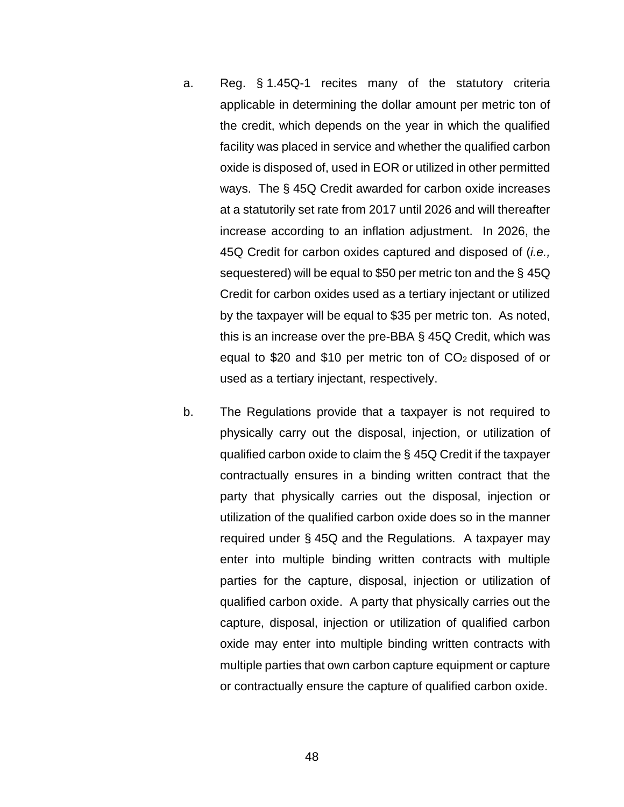- a. Reg. § 1.45Q-1 recites many of the statutory criteria applicable in determining the dollar amount per metric ton of the credit, which depends on the year in which the qualified facility was placed in service and whether the qualified carbon oxide is disposed of, used in EOR or utilized in other permitted ways. The § 45Q Credit awarded for carbon oxide increases at a statutorily set rate from 2017 until 2026 and will thereafter increase according to an inflation adjustment. In 2026, the 45Q Credit for carbon oxides captured and disposed of (*i.e.,* sequestered) will be equal to \$50 per metric ton and the § 45Q Credit for carbon oxides used as a tertiary injectant or utilized by the taxpayer will be equal to \$35 per metric ton. As noted, this is an increase over the pre-BBA § 45Q Credit, which was equal to \$20 and \$10 per metric ton of CO2 disposed of or used as a tertiary injectant, respectively.
- b. The Regulations provide that a taxpayer is not required to physically carry out the disposal, injection, or utilization of qualified carbon oxide to claim the § 45Q Credit if the taxpayer contractually ensures in a binding written contract that the party that physically carries out the disposal, injection or utilization of the qualified carbon oxide does so in the manner required under § 45Q and the Regulations. A taxpayer may enter into multiple binding written contracts with multiple parties for the capture, disposal, injection or utilization of qualified carbon oxide. A party that physically carries out the capture, disposal, injection or utilization of qualified carbon oxide may enter into multiple binding written contracts with multiple parties that own carbon capture equipment or capture or contractually ensure the capture of qualified carbon oxide.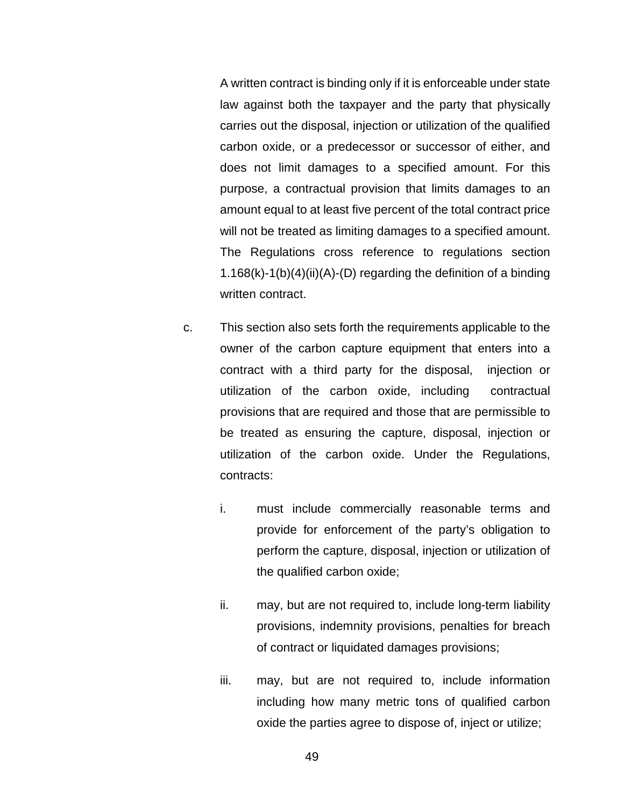A written contract is binding only if it is enforceable under state law against both the taxpayer and the party that physically carries out the disposal, injection or utilization of the qualified carbon oxide, or a predecessor or successor of either, and does not limit damages to a specified amount. For this purpose, a contractual provision that limits damages to an amount equal to at least five percent of the total contract price will not be treated as limiting damages to a specified amount. The Regulations cross reference to regulations section 1.168 $(k)$ -1(b) $(4)(ii)(A)$ - $(D)$  regarding the definition of a binding written contract.

- c. This section also sets forth the requirements applicable to the owner of the carbon capture equipment that enters into a contract with a third party for the disposal, injection or utilization of the carbon oxide, including contractual provisions that are required and those that are permissible to be treated as ensuring the capture, disposal, injection or utilization of the carbon oxide. Under the Regulations, contracts:
	- i. must include commercially reasonable terms and provide for enforcement of the party's obligation to perform the capture, disposal, injection or utilization of the qualified carbon oxide;
	- ii. may, but are not required to, include long-term liability provisions, indemnity provisions, penalties for breach of contract or liquidated damages provisions;
	- iii. may, but are not required to, include information including how many metric tons of qualified carbon oxide the parties agree to dispose of, inject or utilize;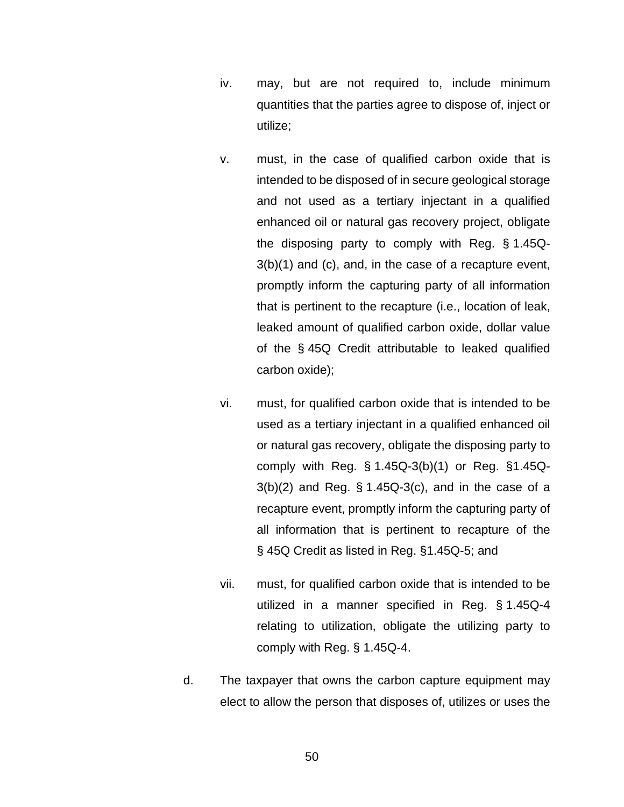- iv. may, but are not required to, include minimum quantities that the parties agree to dispose of, inject or utilize;
- v. must, in the case of qualified carbon oxide that is intended to be disposed of in secure geological storage and not used as a tertiary injectant in a qualified enhanced oil or natural gas recovery project, obligate the disposing party to comply with Reg. § 1.45Q-3(b)(1) and (c), and, in the case of a recapture event, promptly inform the capturing party of all information that is pertinent to the recapture (i.e., location of leak, leaked amount of qualified carbon oxide, dollar value of the § 45Q Credit attributable to leaked qualified carbon oxide);
- vi. must, for qualified carbon oxide that is intended to be used as a tertiary injectant in a qualified enhanced oil or natural gas recovery, obligate the disposing party to comply with Reg. § 1.45Q-3(b)(1) or Reg. §1.45Q- $3(b)(2)$  and Reg. § 1.45Q-3(c), and in the case of a recapture event, promptly inform the capturing party of all information that is pertinent to recapture of the § 45Q Credit as listed in Reg. §1.45Q-5; and
- vii. must, for qualified carbon oxide that is intended to be utilized in a manner specified in Reg. § 1.45Q-4 relating to utilization, obligate the utilizing party to comply with Reg. § 1.45Q-4.
- d. The taxpayer that owns the carbon capture equipment may elect to allow the person that disposes of, utilizes or uses the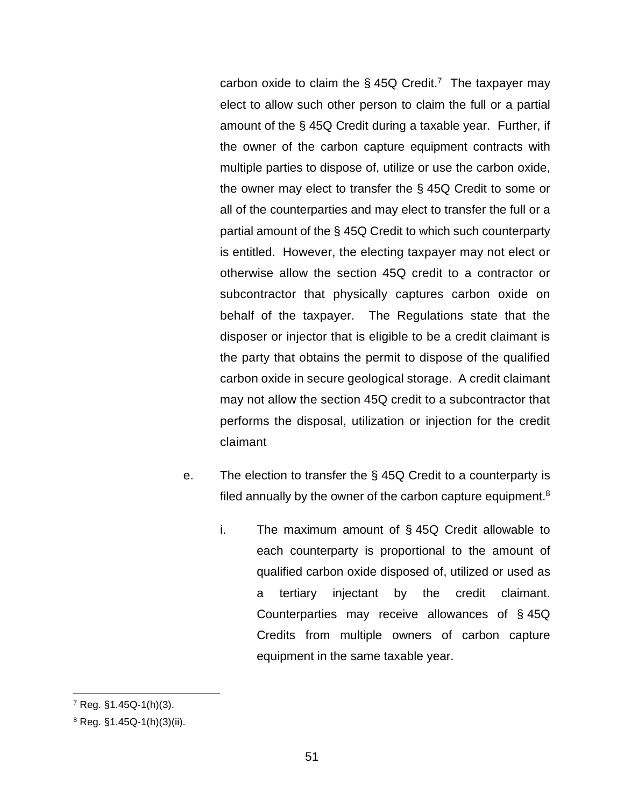carbon oxide to claim the  $\S$  45Q Credit.<sup>7</sup> The taxpayer may elect to allow such other person to claim the full or a partial amount of the § 45Q Credit during a taxable year. Further, if the owner of the carbon capture equipment contracts with multiple parties to dispose of, utilize or use the carbon oxide, the owner may elect to transfer the § 45Q Credit to some or all of the counterparties and may elect to transfer the full or a partial amount of the § 45Q Credit to which such counterparty is entitled. However, the electing taxpayer may not elect or otherwise allow the section 45Q credit to a contractor or subcontractor that physically captures carbon oxide on behalf of the taxpayer. The Regulations state that the disposer or injector that is eligible to be a credit claimant is the party that obtains the permit to dispose of the qualified carbon oxide in secure geological storage. A credit claimant may not allow the section 45Q credit to a subcontractor that performs the disposal, utilization or injection for the credit claimant

- e. The election to transfer the § 45Q Credit to a counterparty is filed annually by the owner of the carbon capture equipment. $8$ 
	- i. The maximum amount of § 45Q Credit allowable to each counterparty is proportional to the amount of qualified carbon oxide disposed of, utilized or used as a tertiary injectant by the credit claimant. Counterparties may receive allowances of § 45Q Credits from multiple owners of carbon capture equipment in the same taxable year.

<sup>7</sup> Reg. §1.45Q-1(h)(3).

<sup>8</sup> Reg. §1.45Q-1(h)(3)(ii).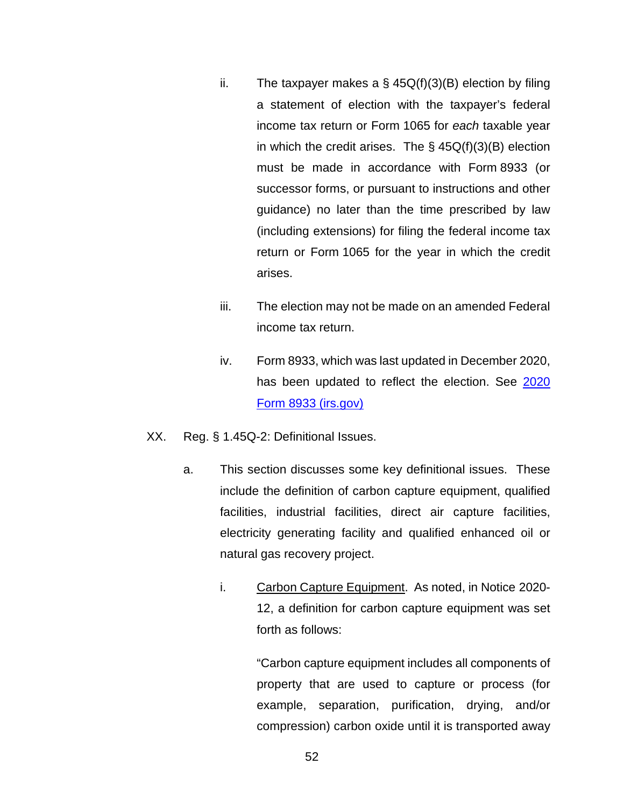- ii. The taxpayer makes a  $\S$  45Q(f)(3)(B) election by filing a statement of election with the taxpayer's federal income tax return or Form 1065 for *each* taxable year in which the credit arises. The  $\S$  45Q(f)(3)(B) election must be made in accordance with Form 8933 (or successor forms, or pursuant to instructions and other guidance) no later than the time prescribed by law (including extensions) for filing the federal income tax return or Form 1065 for the year in which the credit arises.
- iii. The election may not be made on an amended Federal income tax return.
- iv. Form 8933, which was last updated in December 2020, has been updated to reflect the election. See [2020](https://www.irs.gov/pub/irs-pdf/f8933.pdf)  [Form 8933 \(irs.gov\)](https://www.irs.gov/pub/irs-pdf/f8933.pdf)
- XX. Reg. § 1.45Q-2: Definitional Issues.
	- a. This section discusses some key definitional issues. These include the definition of carbon capture equipment, qualified facilities, industrial facilities, direct air capture facilities, electricity generating facility and qualified enhanced oil or natural gas recovery project.
		- i. Carbon Capture Equipment. As noted, in Notice 2020- 12, a definition for carbon capture equipment was set forth as follows:

"Carbon capture equipment includes all components of property that are used to capture or process (for example, separation, purification, drying, and/or compression) carbon oxide until it is transported away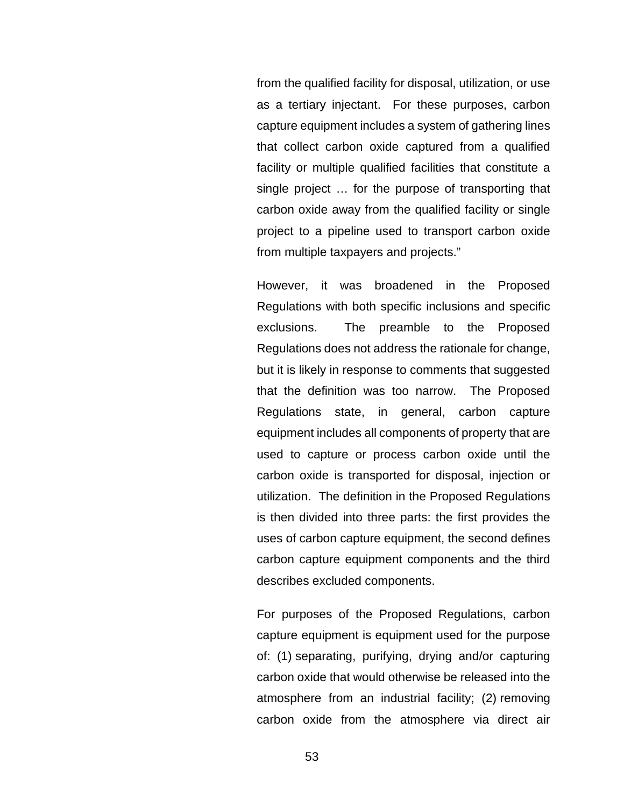from the qualified facility for disposal, utilization, or use as a tertiary injectant. For these purposes, carbon capture equipment includes a system of gathering lines that collect carbon oxide captured from a qualified facility or multiple qualified facilities that constitute a single project … for the purpose of transporting that carbon oxide away from the qualified facility or single project to a pipeline used to transport carbon oxide from multiple taxpayers and projects."

However, it was broadened in the Proposed Regulations with both specific inclusions and specific exclusions. The preamble to the Proposed Regulations does not address the rationale for change, but it is likely in response to comments that suggested that the definition was too narrow. The Proposed Regulations state, in general, carbon capture equipment includes all components of property that are used to capture or process carbon oxide until the carbon oxide is transported for disposal, injection or utilization. The definition in the Proposed Regulations is then divided into three parts: the first provides the uses of carbon capture equipment, the second defines carbon capture equipment components and the third describes excluded components.

For purposes of the Proposed Regulations, carbon capture equipment is equipment used for the purpose of: (1) separating, purifying, drying and/or capturing carbon oxide that would otherwise be released into the atmosphere from an industrial facility; (2) removing carbon oxide from the atmosphere via direct air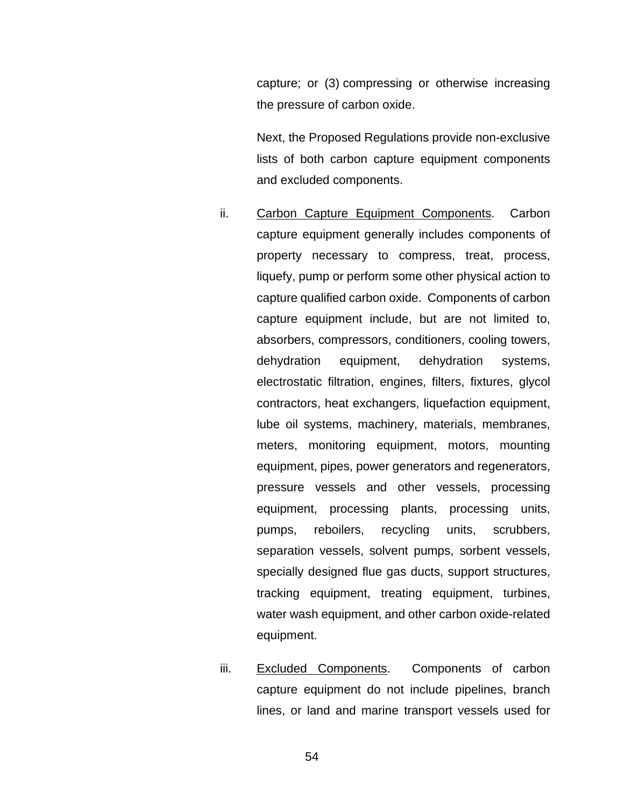capture; or (3) compressing or otherwise increasing the pressure of carbon oxide.

Next, the Proposed Regulations provide non-exclusive lists of both carbon capture equipment components and excluded components.

- ii. Carbon Capture Equipment Components. Carbon capture equipment generally includes components of property necessary to compress, treat, process, liquefy, pump or perform some other physical action to capture qualified carbon oxide. Components of carbon capture equipment include, but are not limited to, absorbers, compressors, conditioners, cooling towers, dehydration equipment, dehydration systems, electrostatic filtration, engines, filters, fixtures, glycol contractors, heat exchangers, liquefaction equipment, lube oil systems, machinery, materials, membranes, meters, monitoring equipment, motors, mounting equipment, pipes, power generators and regenerators, pressure vessels and other vessels, processing equipment, processing plants, processing units, pumps, reboilers, recycling units, scrubbers, separation vessels, solvent pumps, sorbent vessels, specially designed flue gas ducts, support structures, tracking equipment, treating equipment, turbines, water wash equipment, and other carbon oxide-related equipment.
- iii. Excluded Components. Components of carbon capture equipment do not include pipelines, branch lines, or land and marine transport vessels used for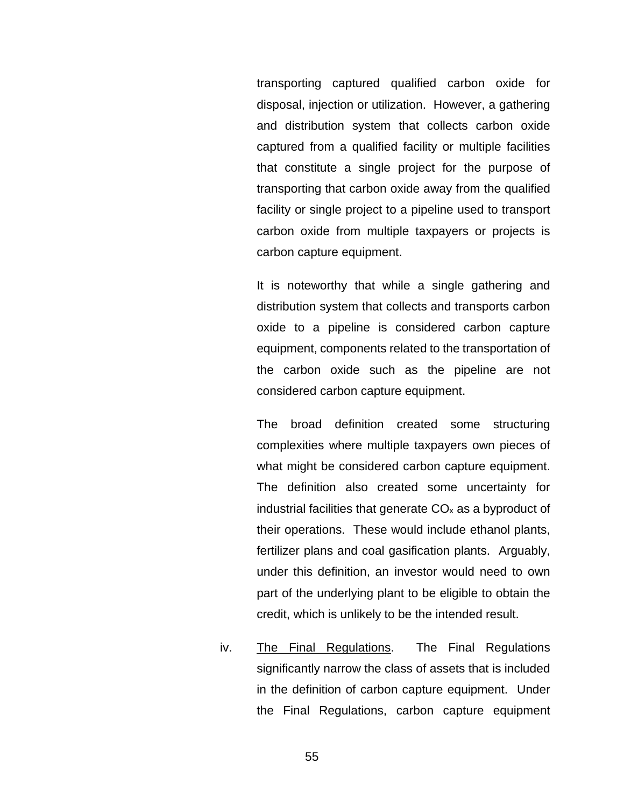transporting captured qualified carbon oxide for disposal, injection or utilization. However, a gathering and distribution system that collects carbon oxide captured from a qualified facility or multiple facilities that constitute a single project for the purpose of transporting that carbon oxide away from the qualified facility or single project to a pipeline used to transport carbon oxide from multiple taxpayers or projects is carbon capture equipment.

It is noteworthy that while a single gathering and distribution system that collects and transports carbon oxide to a pipeline is considered carbon capture equipment, components related to the transportation of the carbon oxide such as the pipeline are not considered carbon capture equipment.

The broad definition created some structuring complexities where multiple taxpayers own pieces of what might be considered carbon capture equipment. The definition also created some uncertainty for industrial facilities that generate  $CO<sub>x</sub>$  as a byproduct of their operations. These would include ethanol plants, fertilizer plans and coal gasification plants. Arguably, under this definition, an investor would need to own part of the underlying plant to be eligible to obtain the credit, which is unlikely to be the intended result.

iv. The Final Regulations. The Final Regulations significantly narrow the class of assets that is included in the definition of carbon capture equipment. Under the Final Regulations, carbon capture equipment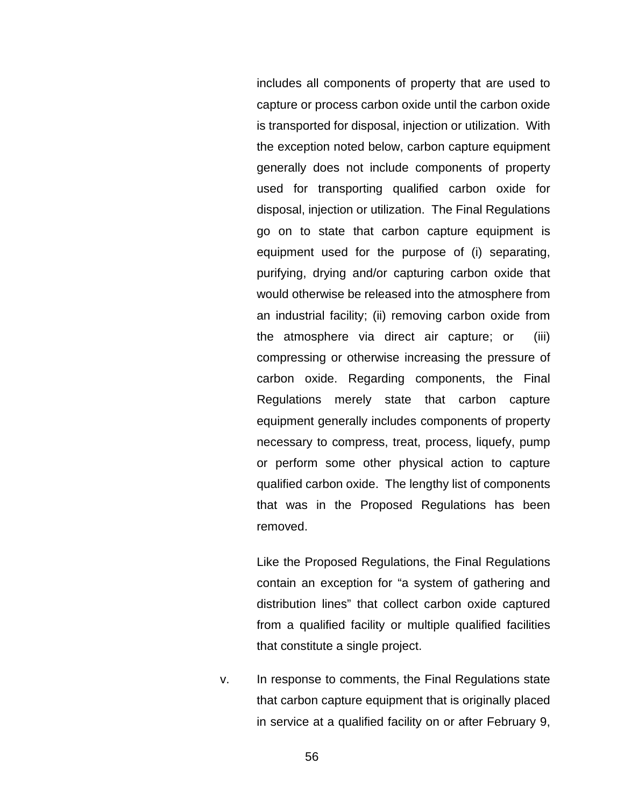includes all components of property that are used to capture or process carbon oxide until the carbon oxide is transported for disposal, injection or utilization. With the exception noted below, carbon capture equipment generally does not include components of property used for transporting qualified carbon oxide for disposal, injection or utilization. The Final Regulations go on to state that carbon capture equipment is equipment used for the purpose of (i) separating, purifying, drying and/or capturing carbon oxide that would otherwise be released into the atmosphere from an industrial facility; (ii) removing carbon oxide from the atmosphere via direct air capture; or (iii) compressing or otherwise increasing the pressure of carbon oxide. Regarding components, the Final Regulations merely state that carbon capture equipment generally includes components of property necessary to compress, treat, process, liquefy, pump or perform some other physical action to capture qualified carbon oxide. The lengthy list of components that was in the Proposed Regulations has been removed.

Like the Proposed Regulations, the Final Regulations contain an exception for "a system of gathering and distribution lines" that collect carbon oxide captured from a qualified facility or multiple qualified facilities that constitute a single project.

v. In response to comments, the Final Regulations state that carbon capture equipment that is originally placed in service at a qualified facility on or after February 9,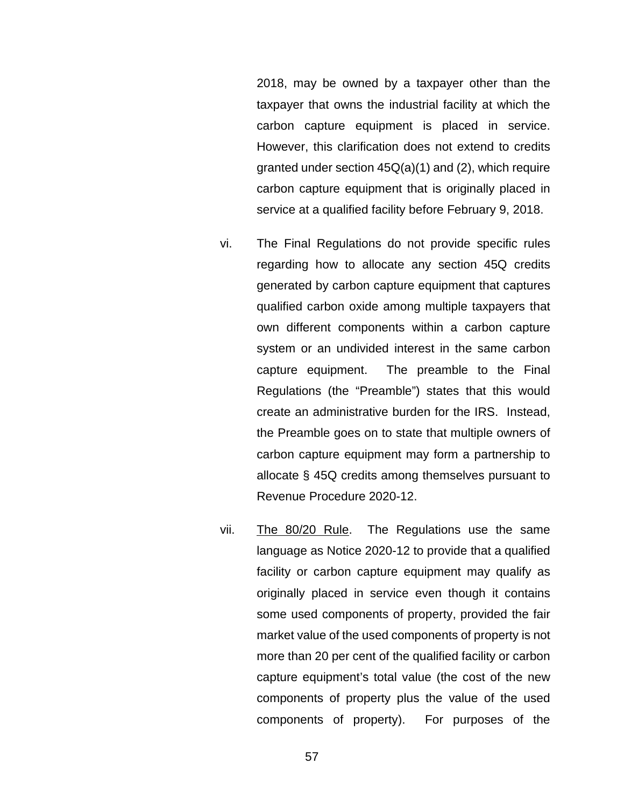2018, may be owned by a taxpayer other than the taxpayer that owns the industrial facility at which the carbon capture equipment is placed in service. However, this clarification does not extend to credits granted under section 45Q(a)(1) and (2), which require carbon capture equipment that is originally placed in service at a qualified facility before February 9, 2018.

- vi. The Final Regulations do not provide specific rules regarding how to allocate any section 45Q credits generated by carbon capture equipment that captures qualified carbon oxide among multiple taxpayers that own different components within a carbon capture system or an undivided interest in the same carbon capture equipment. The preamble to the Final Regulations (the "Preamble") states that this would create an administrative burden for the IRS. Instead, the Preamble goes on to state that multiple owners of carbon capture equipment may form a partnership to allocate § 45Q credits among themselves pursuant to Revenue Procedure 2020-12.
- vii. The 80/20 Rule. The Regulations use the same language as Notice 2020-12 to provide that a qualified facility or carbon capture equipment may qualify as originally placed in service even though it contains some used components of property, provided the fair market value of the used components of property is not more than 20 per cent of the qualified facility or carbon capture equipment's total value (the cost of the new components of property plus the value of the used components of property). For purposes of the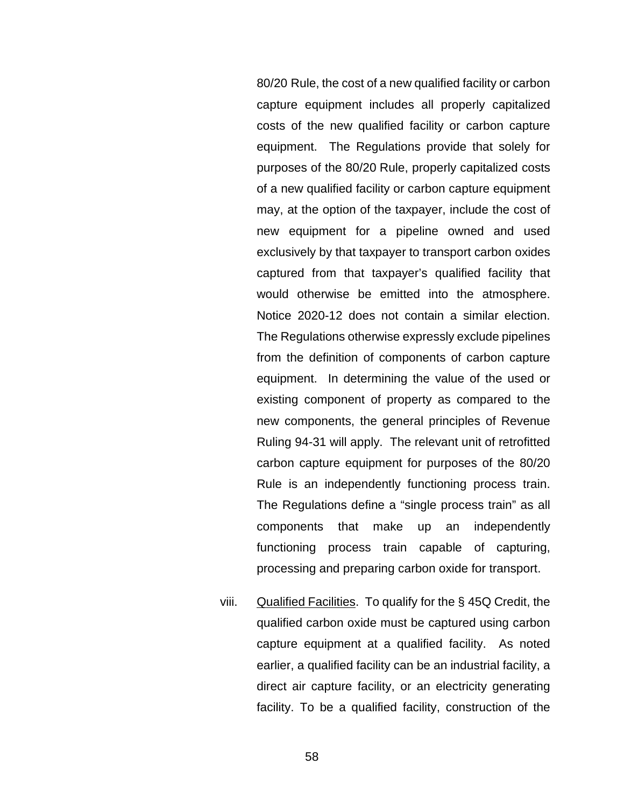80/20 Rule, the cost of a new qualified facility or carbon capture equipment includes all properly capitalized costs of the new qualified facility or carbon capture equipment. The Regulations provide that solely for purposes of the 80/20 Rule, properly capitalized costs of a new qualified facility or carbon capture equipment may, at the option of the taxpayer, include the cost of new equipment for a pipeline owned and used exclusively by that taxpayer to transport carbon oxides captured from that taxpayer's qualified facility that would otherwise be emitted into the atmosphere. Notice 2020-12 does not contain a similar election. The Regulations otherwise expressly exclude pipelines from the definition of components of carbon capture equipment. In determining the value of the used or existing component of property as compared to the new components, the general principles of Revenue Ruling 94-31 will apply. The relevant unit of retrofitted carbon capture equipment for purposes of the 80/20 Rule is an independently functioning process train. The Regulations define a "single process train" as all components that make up an independently functioning process train capable of capturing, processing and preparing carbon oxide for transport.

viii. Qualified Facilities. To qualify for the  $\S$  45Q Credit, the qualified carbon oxide must be captured using carbon capture equipment at a qualified facility. As noted earlier, a qualified facility can be an industrial facility, a direct air capture facility, or an electricity generating facility. To be a qualified facility, construction of the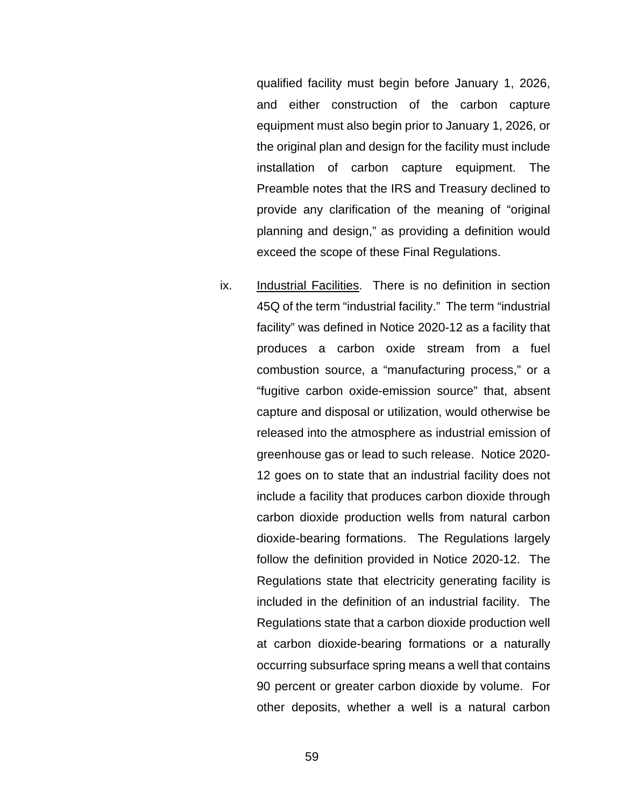qualified facility must begin before January 1, 2026, and either construction of the carbon capture equipment must also begin prior to January 1, 2026, or the original plan and design for the facility must include installation of carbon capture equipment. The Preamble notes that the IRS and Treasury declined to provide any clarification of the meaning of "original planning and design," as providing a definition would exceed the scope of these Final Regulations.

ix. Industrial Facilities. There is no definition in section 45Q of the term "industrial facility." The term "industrial facility" was defined in Notice 2020-12 as a facility that produces a carbon oxide stream from a fuel combustion source, a "manufacturing process," or a "fugitive carbon oxide-emission source" that, absent capture and disposal or utilization, would otherwise be released into the atmosphere as industrial emission of greenhouse gas or lead to such release. Notice 2020- 12 goes on to state that an industrial facility does not include a facility that produces carbon dioxide through carbon dioxide production wells from natural carbon dioxide-bearing formations. The Regulations largely follow the definition provided in Notice 2020-12. The Regulations state that electricity generating facility is included in the definition of an industrial facility. The Regulations state that a carbon dioxide production well at carbon dioxide-bearing formations or a naturally occurring subsurface spring means a well that contains 90 percent or greater carbon dioxide by volume. For other deposits, whether a well is a natural carbon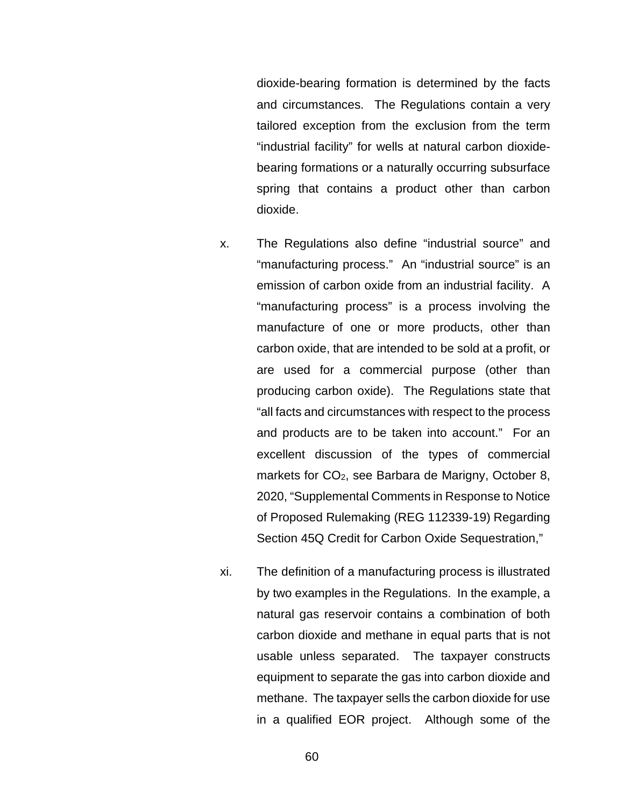dioxide-bearing formation is determined by the facts and circumstances. The Regulations contain a very tailored exception from the exclusion from the term "industrial facility" for wells at natural carbon dioxidebearing formations or a naturally occurring subsurface spring that contains a product other than carbon dioxide.

- x. The Regulations also define "industrial source" and "manufacturing process." An "industrial source" is an emission of carbon oxide from an industrial facility. A "manufacturing process" is a process involving the manufacture of one or more products, other than carbon oxide, that are intended to be sold at a profit, or are used for a commercial purpose (other than producing carbon oxide). The Regulations state that "all facts and circumstances with respect to the process and products are to be taken into account." For an excellent discussion of the types of commercial markets for CO<sub>2</sub>, see Barbara de Marigny, October 8, 2020, "Supplemental Comments in Response to Notice of Proposed Rulemaking (REG 112339-19) Regarding Section 45Q Credit for Carbon Oxide Sequestration,"
- xi. The definition of a manufacturing process is illustrated by two examples in the Regulations. In the example, a natural gas reservoir contains a combination of both carbon dioxide and methane in equal parts that is not usable unless separated. The taxpayer constructs equipment to separate the gas into carbon dioxide and methane. The taxpayer sells the carbon dioxide for use in a qualified EOR project. Although some of the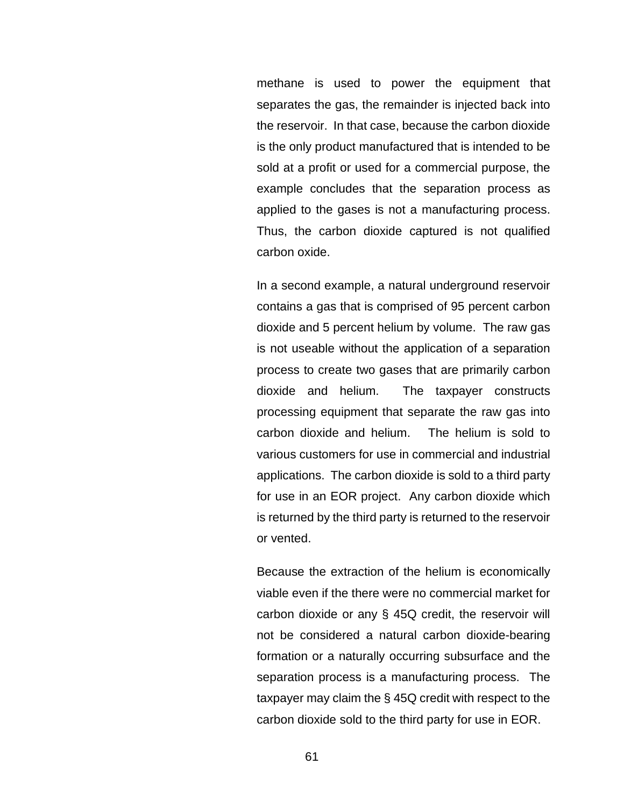methane is used to power the equipment that separates the gas, the remainder is injected back into the reservoir. In that case, because the carbon dioxide is the only product manufactured that is intended to be sold at a profit or used for a commercial purpose, the example concludes that the separation process as applied to the gases is not a manufacturing process. Thus, the carbon dioxide captured is not qualified carbon oxide.

In a second example, a natural underground reservoir contains a gas that is comprised of 95 percent carbon dioxide and 5 percent helium by volume. The raw gas is not useable without the application of a separation process to create two gases that are primarily carbon dioxide and helium. The taxpayer constructs processing equipment that separate the raw gas into carbon dioxide and helium. The helium is sold to various customers for use in commercial and industrial applications. The carbon dioxide is sold to a third party for use in an EOR project. Any carbon dioxide which is returned by the third party is returned to the reservoir or vented.

Because the extraction of the helium is economically viable even if the there were no commercial market for carbon dioxide or any § 45Q credit, the reservoir will not be considered a natural carbon dioxide-bearing formation or a naturally occurring subsurface and the separation process is a manufacturing process. The taxpayer may claim the § 45Q credit with respect to the carbon dioxide sold to the third party for use in EOR.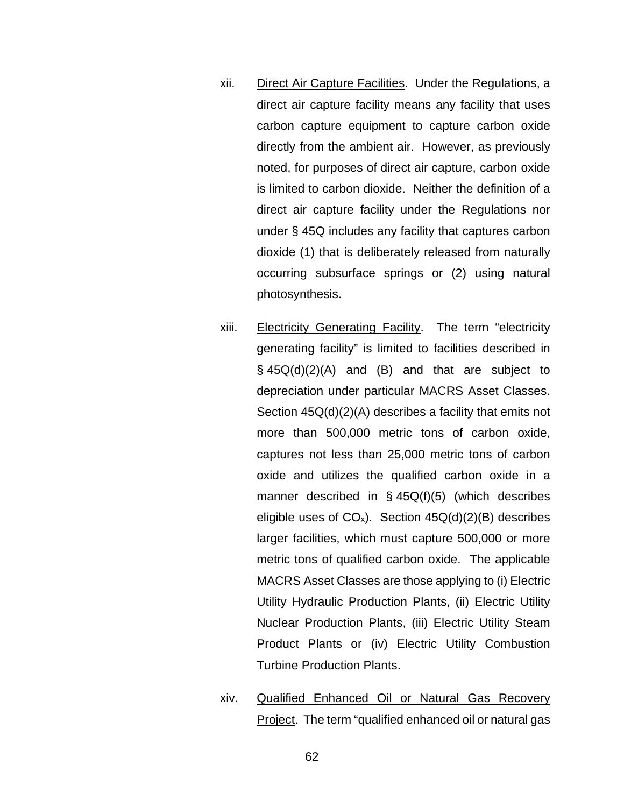- xii. Direct Air Capture Facilities. Under the Regulations, a direct air capture facility means any facility that uses carbon capture equipment to capture carbon oxide directly from the ambient air. However, as previously noted, for purposes of direct air capture, carbon oxide is limited to carbon dioxide. Neither the definition of a direct air capture facility under the Regulations nor under § 45Q includes any facility that captures carbon dioxide (1) that is deliberately released from naturally occurring subsurface springs or (2) using natural photosynthesis.
- xiii. Electricity Generating Facility. The term "electricity generating facility" is limited to facilities described in  $\S$  45Q(d)(2)(A) and (B) and that are subject to depreciation under particular MACRS Asset Classes. Section 45Q(d)(2)(A) describes a facility that emits not more than 500,000 metric tons of carbon oxide, captures not less than 25,000 metric tons of carbon oxide and utilizes the qualified carbon oxide in a manner described in  $\S$  45Q(f)(5) (which describes eligible uses of  $CO_x$ ). Section  $45Q(d)(2)(B)$  describes larger facilities, which must capture 500,000 or more metric tons of qualified carbon oxide. The applicable MACRS Asset Classes are those applying to (i) Electric Utility Hydraulic Production Plants, (ii) Electric Utility Nuclear Production Plants, (iii) Electric Utility Steam Product Plants or (iv) Electric Utility Combustion Turbine Production Plants.
- xiv. Qualified Enhanced Oil or Natural Gas Recovery Project. The term "qualified enhanced oil or natural gas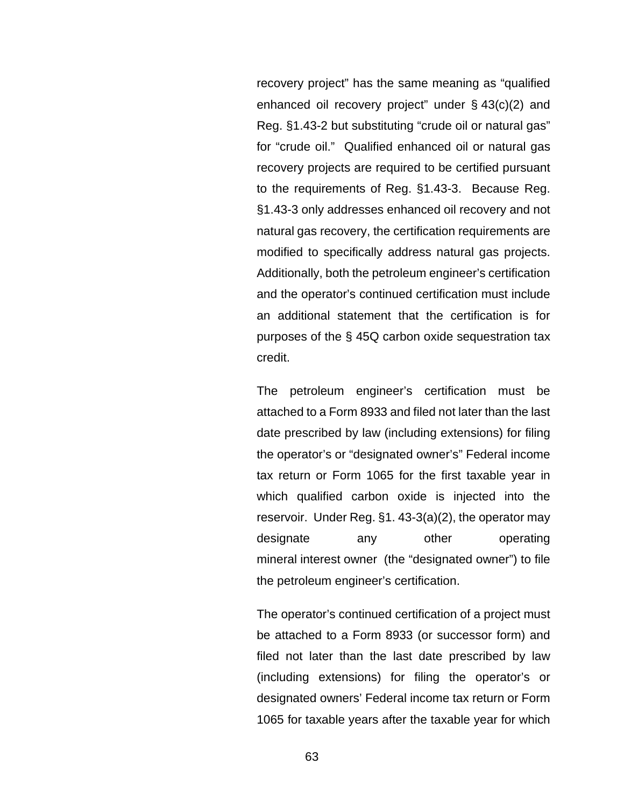recovery project" has the same meaning as "qualified enhanced oil recovery project" under  $\S$  43(c)(2) and Reg. §1.43-2 but substituting "crude oil or natural gas" for "crude oil." Qualified enhanced oil or natural gas recovery projects are required to be certified pursuant to the requirements of Reg. §1.43-3. Because Reg. §1.43-3 only addresses enhanced oil recovery and not natural gas recovery, the certification requirements are modified to specifically address natural gas projects. Additionally, both the petroleum engineer's certification and the operator's continued certification must include an additional statement that the certification is for purposes of the § 45Q carbon oxide sequestration tax credit.

The petroleum engineer's certification must be attached to a Form 8933 and filed not later than the last date prescribed by law (including extensions) for filing the operator's or "designated owner's" Federal income tax return or Form 1065 for the first taxable year in which qualified carbon oxide is injected into the reservoir. Under Reg. §1. 43-3(a)(2), the operator may designate any other operating mineral [interest](https://www.law.cornell.edu/definitions/index.php?width=840&height=800&iframe=true&def_id=43231b255e6518283ee8fca043359569&term_occur=999&term_src=Title:26:Chapter:I:Subchapter:A:Part:1:Subjgrp:5:1.43-3) [owner](https://www.law.cornell.edu/definitions/index.php?width=840&height=800&iframe=true&def_id=85307a11a6f904ecc097fcc4cd8a417f&term_occur=999&term_src=Title:26:Chapter:I:Subchapter:A:Part:1:Subjgrp:5:1.43-3) (the "designated owner") to file the petroleum engineer's [certification.](https://www.law.cornell.edu/definitions/index.php?width=840&height=800&iframe=true&def_id=5a53697bc5bee883c608532a76014cdc&term_occur=999&term_src=Title:26:Chapter:I:Subchapter:A:Part:1:Subjgrp:5:1.43-3)

The operator's continued certification of a project must be attached to a Form 8933 (or successor form) and filed not later than the last date prescribed by law (including extensions) for filing the operator's or designated owners' Federal income tax return or Form 1065 for taxable years after the taxable year for which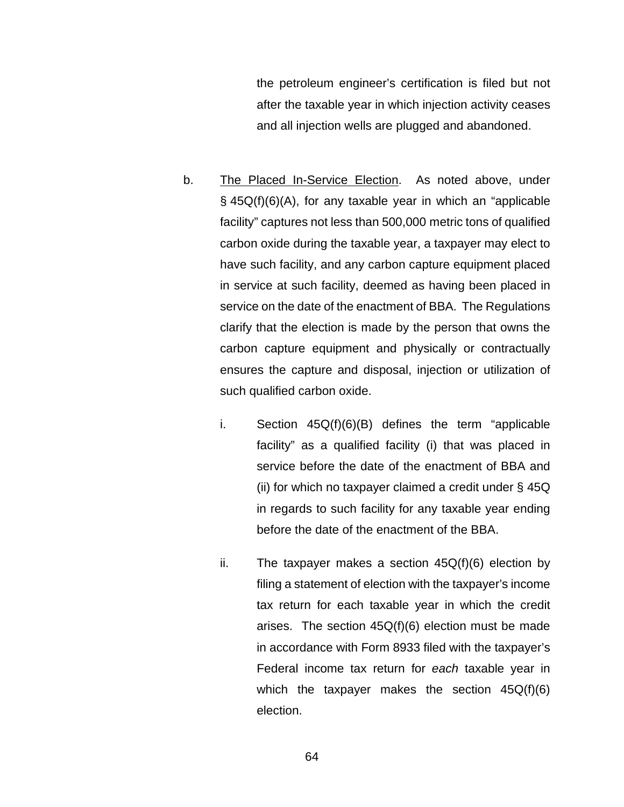the petroleum engineer's certification is filed but not after the taxable year in which injection activity ceases and all injection wells are plugged and abandoned.

- b. The Placed In-Service Election. As noted above, under § 45Q(f)(6)(A), for any taxable year in which an "applicable facility" captures not less than 500,000 metric tons of qualified carbon oxide during the taxable year, a taxpayer may elect to have such facility, and any carbon capture equipment placed in service at such facility, deemed as having been placed in service on the date of the enactment of BBA. The Regulations clarify that the election is made by the person that owns the carbon capture equipment and physically or contractually ensures the capture and disposal, injection or utilization of such qualified carbon oxide.
	- i. Section  $45Q(f)(6)(B)$  defines the term "applicable facility" as a qualified facility (i) that was placed in service before the date of the enactment of BBA and (ii) for which no taxpayer claimed a credit under § 45Q in regards to such facility for any taxable year ending before the date of the enactment of the BBA.
	- ii. The taxpayer makes a section  $45Q(f)(6)$  election by filing a statement of election with the taxpayer's income tax return for each taxable year in which the credit arises. The section  $45Q(f)(6)$  election must be made in accordance with Form 8933 filed with the taxpayer's Federal income tax return for *each* taxable year in which the taxpayer makes the section 45Q(f)(6) election.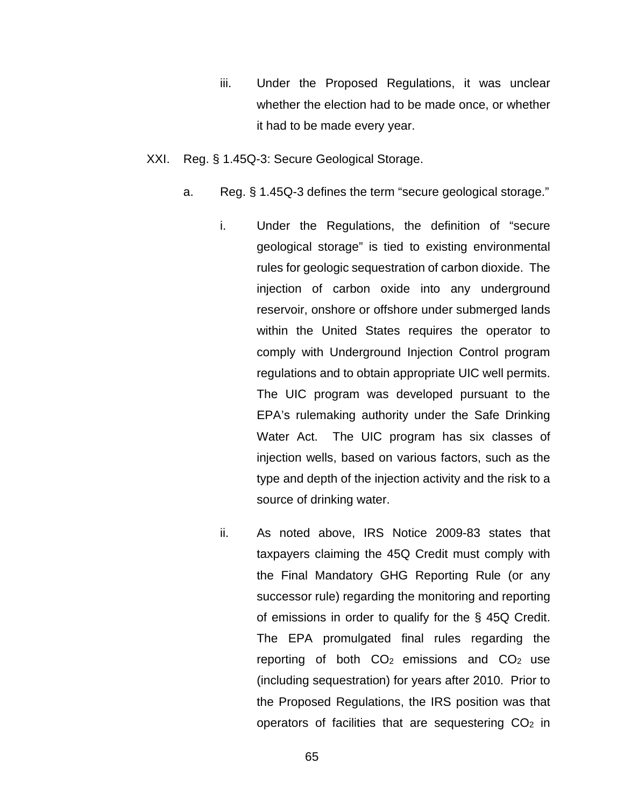- iii. Under the Proposed Regulations, it was unclear whether the election had to be made once, or whether it had to be made every year.
- XXI. Reg. § 1.45Q-3: Secure Geological Storage.
	- a. Reg. § 1.45Q-3 defines the term "secure geological storage."
		- i. Under the Regulations, the definition of "secure geological storage" is tied to existing environmental rules for geologic sequestration of carbon dioxide. The injection of carbon oxide into any underground reservoir, onshore or offshore under submerged lands within the United States requires the operator to comply with Underground Injection Control program regulations and to obtain appropriate UIC well permits. The UIC program was developed pursuant to the EPA's rulemaking authority under the Safe Drinking Water Act. The UIC program has six classes of injection wells, based on various factors, such as the type and depth of the injection activity and the risk to a source of drinking water.
		- ii. As noted above, IRS Notice 2009-83 states that taxpayers claiming the 45Q Credit must comply with the Final Mandatory GHG Reporting Rule (or any successor rule) regarding the monitoring and reporting of emissions in order to qualify for the § 45Q Credit. The EPA promulgated final rules regarding the reporting of both  $CO<sub>2</sub>$  emissions and  $CO<sub>2</sub>$  use (including sequestration) for years after 2010. Prior to the Proposed Regulations, the IRS position was that operators of facilities that are sequestering  $CO<sub>2</sub>$  in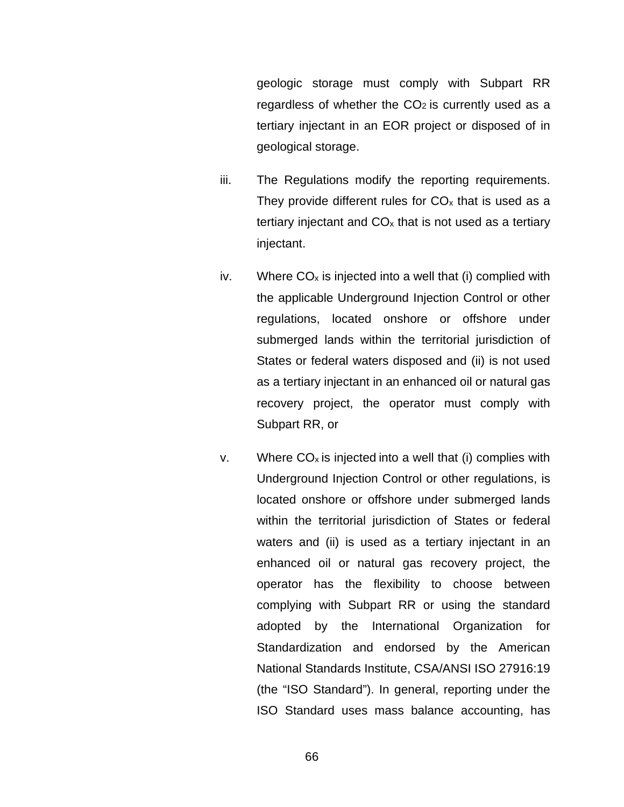geologic storage must comply with Subpart RR regardless of whether the  $CO<sub>2</sub>$  is currently used as a tertiary injectant in an EOR project or disposed of in geological storage.

- iii. The Regulations modify the reporting requirements. They provide different rules for  $CO<sub>x</sub>$  that is used as a tertiary injectant and  $CO<sub>x</sub>$  that is not used as a tertiary injectant.
- iv. Where  $CO<sub>x</sub>$  is injected into a well that (i) complied with the applicable Underground Injection Control or other regulations, located onshore or offshore under submerged lands within the territorial jurisdiction of States or federal waters disposed and (ii) is not used as a tertiary injectant in an enhanced oil or natural gas recovery project, the operator must comply with Subpart RR, or
- v. Where  $CO_x$  is injected into a well that (i) complies with Underground Injection Control or other regulations, is located onshore or offshore under submerged lands within the territorial jurisdiction of States or federal waters and (ii) is used as a tertiary injectant in an enhanced oil or natural gas recovery project, the operator has the flexibility to choose between complying with Subpart RR or using the standard adopted by the International Organization for Standardization and endorsed by the American National Standards Institute, CSA/ANSI ISO 27916:19 (the "ISO Standard"). In general, reporting under the ISO Standard uses mass balance accounting, has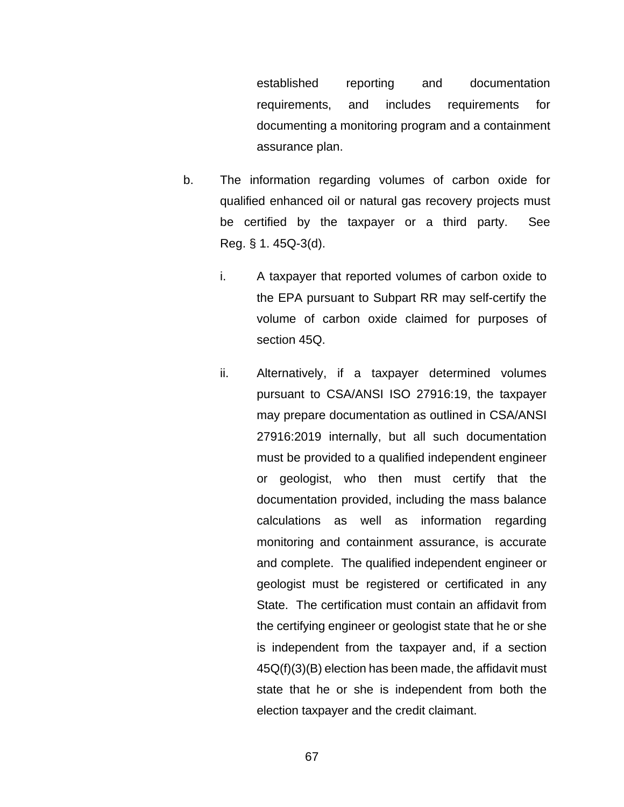established reporting and documentation requirements, and includes requirements for documenting a monitoring program and a containment assurance plan.

- b. The information regarding volumes of carbon oxide for qualified enhanced oil or natural gas recovery projects must be certified by the taxpayer or a third party. See Reg. § 1. 45Q-3(d).
	- i. A taxpayer that reported volumes of carbon oxide to the EPA pursuant to Subpart RR may self-certify the volume of carbon oxide claimed for purposes of section 45Q.
	- ii. Alternatively, if a taxpayer determined volumes pursuant to CSA/ANSI ISO 27916:19, the taxpayer may prepare documentation as outlined in CSA/ANSI 27916:2019 internally, but all such documentation must be provided to a qualified independent engineer or geologist, who then must certify that the documentation provided, including the mass balance calculations as well as information regarding monitoring and containment assurance, is accurate and complete. The qualified independent engineer or geologist must be registered or certificated in any State. The certification must contain an affidavit from the certifying engineer or geologist state that he or she is independent from the taxpayer and, if a section 45Q(f)(3)(B) election has been made, the affidavit must state that he or she is independent from both the election taxpayer and the credit claimant.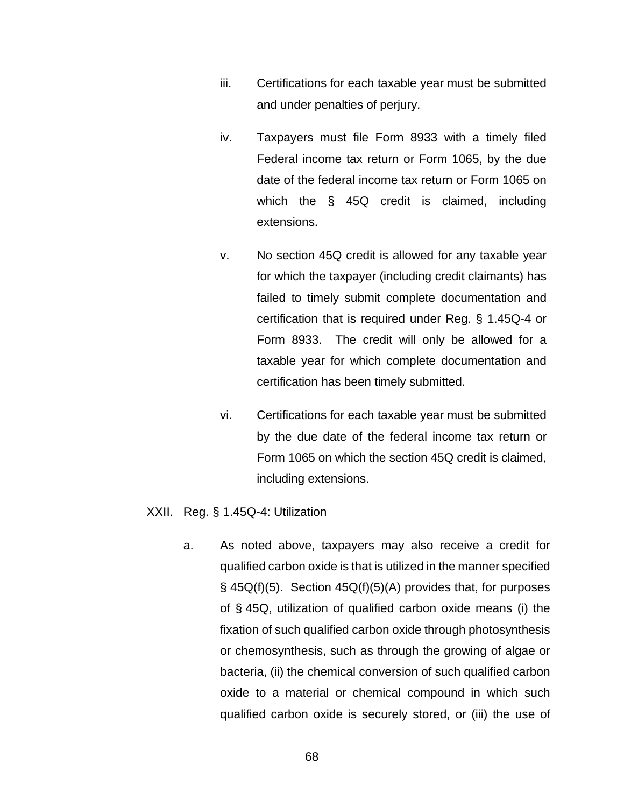- iii. Certifications for each taxable year must be submitted and under penalties of perjury.
- iv. Taxpayers must file Form 8933 with a timely filed Federal income tax return or Form 1065, by the due date of the federal income tax return or Form 1065 on which the § 45Q credit is claimed, including extensions.
- v. No section 45Q credit is allowed for any taxable year for which the taxpayer (including credit claimants) has failed to timely submit complete documentation and certification that is required under Reg. § 1.45Q-4 or Form 8933. The credit will only be allowed for a taxable year for which complete documentation and certification has been timely submitted.
- vi. Certifications for each taxable year must be submitted by the due date of the federal income tax return or Form 1065 on which the section 45Q credit is claimed, including extensions.

## XXII. Reg. § 1.45Q-4: Utilization

a. As noted above, taxpayers may also receive a credit for qualified carbon oxide is that is utilized in the manner specified § 45Q(f)(5). Section 45Q(f)(5)(A) provides that, for purposes of § 45Q, utilization of qualified carbon oxide means (i) the fixation of such qualified carbon oxide through photosynthesis or chemosynthesis, such as through the growing of algae or bacteria, (ii) the chemical conversion of such qualified carbon oxide to a material or chemical compound in which such qualified carbon oxide is securely stored, or (iii) the use of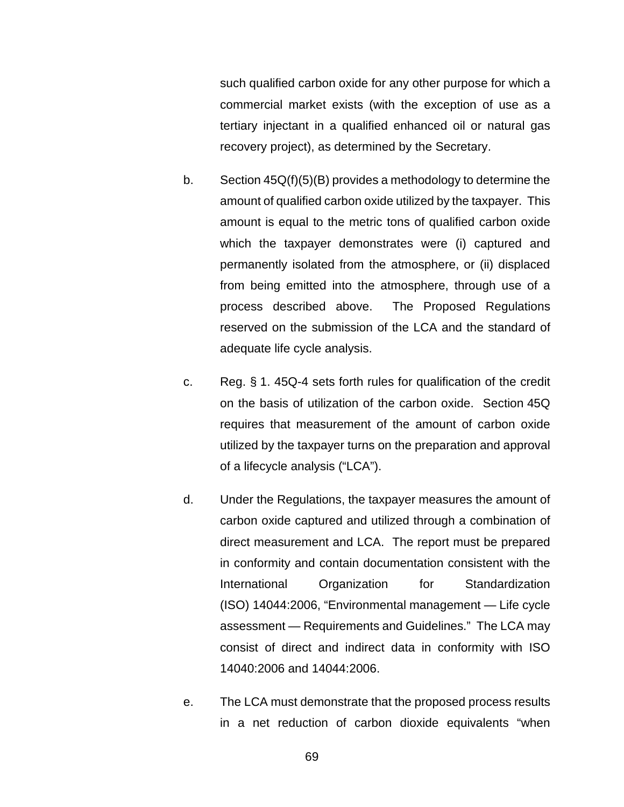such qualified carbon oxide for any other purpose for which a commercial market exists (with the exception of use as a tertiary injectant in a qualified enhanced oil or natural gas recovery project), as determined by the Secretary.

- b. Section 45Q(f)(5)(B) provides a methodology to determine the amount of qualified carbon oxide utilized by the taxpayer. This amount is equal to the metric tons of qualified carbon oxide which the taxpayer demonstrates were (i) captured and permanently isolated from the atmosphere, or (ii) displaced from being emitted into the atmosphere, through use of a process described above. The Proposed Regulations reserved on the submission of the LCA and the standard of adequate life cycle analysis.
- c. Reg. § 1. 45Q-4 sets forth rules for qualification of the credit on the basis of utilization of the carbon oxide. Section 45Q requires that measurement of the amount of carbon oxide utilized by the taxpayer turns on the preparation and approval of a lifecycle analysis ("LCA").
- d. Under the Regulations, the taxpayer measures the amount of carbon oxide captured and utilized through a combination of direct measurement and LCA. The report must be prepared in conformity and contain documentation consistent with the International Organization for Standardization (ISO) 14044:2006, "Environmental management — Life cycle assessment — Requirements and Guidelines." The LCA may consist of direct and indirect data in conformity with ISO 14040:2006 and 14044:2006.
- e. The LCA must demonstrate that the proposed process results in a net reduction of carbon dioxide equivalents "when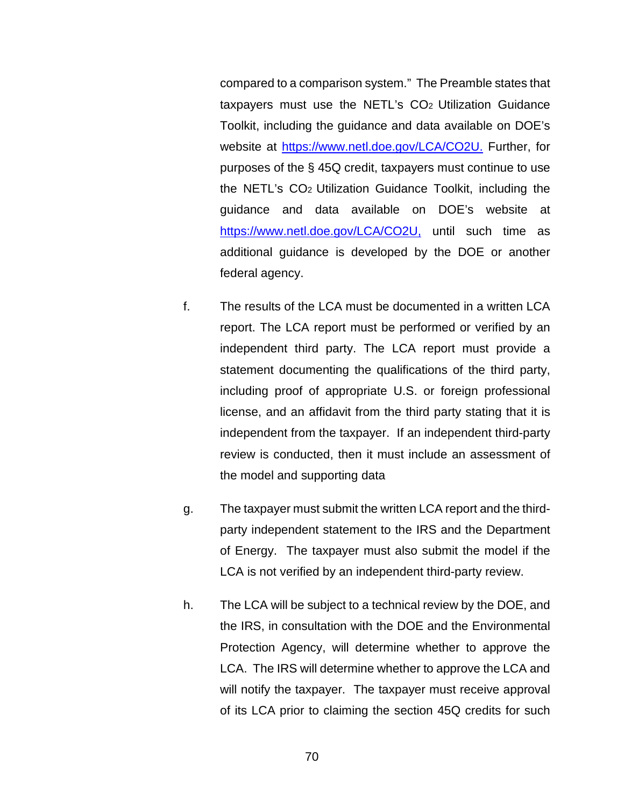compared to a comparison system." The Preamble states that taxpayers must use the NETL's CO2 Utilization Guidance Toolkit, including the guidance and data available on DOE's website at [https://www.netl.doe.gov/LCA/CO2U.](https://www.netl.doe.gov/LCA/CO2U) Further, for purposes of the § 45Q credit, taxpayers must continue to use the NETL's CO2 Utilization Guidance Toolkit, including the guidance and data available on DOE's website at [https://www.netl.doe.gov/LCA/CO2U,](https://www.netl.doe.gov/LCA/CO2U) until such time as additional guidance is developed by the DOE or another federal agency.

- f. The results of the LCA must be documented in a written LCA report. The LCA report must be performed or verified by an independent third party. The LCA report must provide a statement documenting the qualifications of the third party, including proof of appropriate U.S. or foreign professional license, and an affidavit from the third party stating that it is independent from the taxpayer. If an independent third-party review is conducted, then it must include an assessment of the model and supporting data
- g. The taxpayer must submit the written LCA report and the thirdparty independent statement to the IRS and the Department of Energy. The taxpayer must also submit the model if the LCA is not verified by an independent third-party review.
- h. The LCA will be subject to a technical review by the DOE, and the IRS, in consultation with the DOE and the Environmental Protection Agency, will determine whether to approve the LCA. The IRS will determine whether to approve the LCA and will notify the taxpayer. The taxpayer must receive approval of its LCA prior to claiming the section 45Q credits for such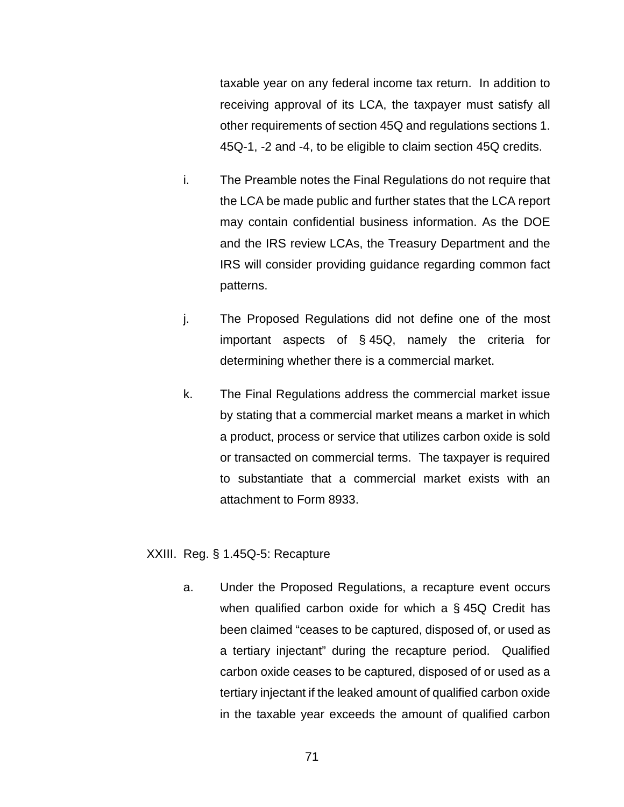taxable year on any federal income tax return. In addition to receiving approval of its LCA, the taxpayer must satisfy all other requirements of section 45Q and regulations sections 1. 45Q-1, -2 and -4, to be eligible to claim section 45Q credits.

- i. The Preamble notes the Final Regulations do not require that the LCA be made public and further states that the LCA report may contain confidential business information. As the DOE and the IRS review LCAs, the Treasury Department and the IRS will consider providing guidance regarding common fact patterns.
- j. The Proposed Regulations did not define one of the most important aspects of § 45Q, namely the criteria for determining whether there is a commercial market.
- k. The Final Regulations address the commercial market issue by stating that a commercial market means a market in which a product, process or service that utilizes carbon oxide is sold or transacted on commercial terms. The taxpayer is required to substantiate that a commercial market exists with an attachment to Form 8933.

## XXIII. Reg. § 1.45Q-5: Recapture

a. Under the Proposed Regulations, a recapture event occurs when qualified carbon oxide for which a § 45Q Credit has been claimed "ceases to be captured, disposed of, or used as a tertiary injectant" during the recapture period. Qualified carbon oxide ceases to be captured, disposed of or used as a tertiary injectant if the leaked amount of qualified carbon oxide in the taxable year exceeds the amount of qualified carbon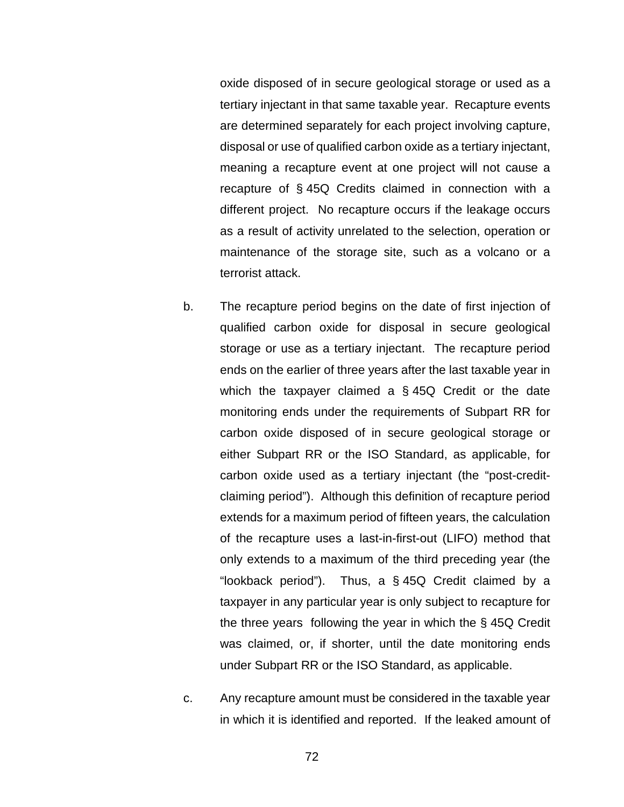oxide disposed of in secure geological storage or used as a tertiary injectant in that same taxable year. Recapture events are determined separately for each project involving capture, disposal or use of qualified carbon oxide as a tertiary injectant, meaning a recapture event at one project will not cause a recapture of § 45Q Credits claimed in connection with a different project. No recapture occurs if the leakage occurs as a result of activity unrelated to the selection, operation or maintenance of the storage site, such as a volcano or a terrorist attack.

- b. The recapture period begins on the date of first injection of qualified carbon oxide for disposal in secure geological storage or use as a tertiary injectant. The recapture period ends on the earlier of three years after the last taxable year in which the taxpayer claimed a § 45Q Credit or the date monitoring ends under the requirements of Subpart RR for carbon oxide disposed of in secure geological storage or either Subpart RR or the ISO Standard, as applicable, for carbon oxide used as a tertiary injectant (the "post-creditclaiming period"). Although this definition of recapture period extends for a maximum period of fifteen years, the calculation of the recapture uses a last-in-first-out (LIFO) method that only extends to a maximum of the third preceding year (the "lookback period"). Thus, a § 45Q Credit claimed by a taxpayer in any particular year is only subject to recapture for the three years following the year in which the § 45Q Credit was claimed, or, if shorter, until the date monitoring ends under Subpart RR or the ISO Standard, as applicable.
- c. Any recapture amount must be considered in the taxable year in which it is identified and reported. If the leaked amount of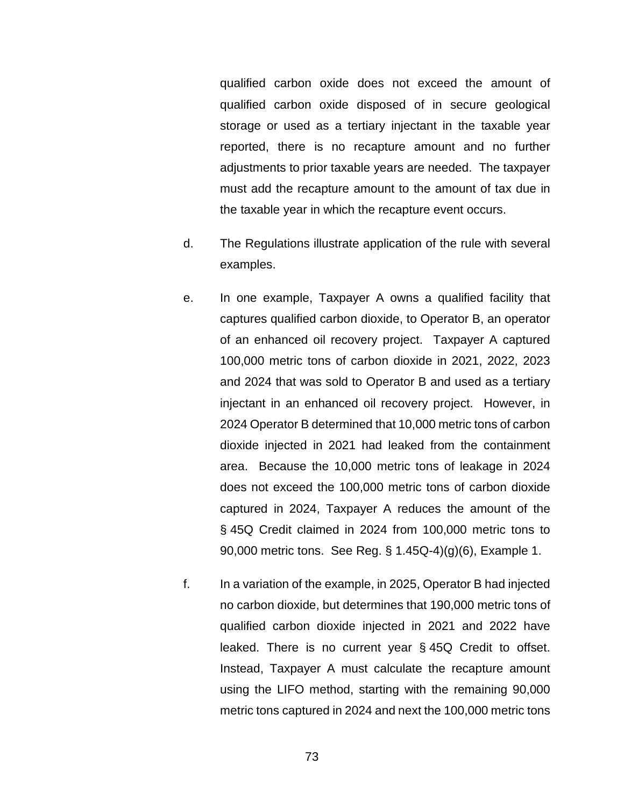qualified carbon oxide does not exceed the amount of qualified carbon oxide disposed of in secure geological storage or used as a tertiary injectant in the taxable year reported, there is no recapture amount and no further adjustments to prior taxable years are needed. The taxpayer must add the recapture amount to the amount of tax due in the taxable year in which the recapture event occurs.

- d. The Regulations illustrate application of the rule with several examples.
- e. In one example, Taxpayer A owns a qualified facility that captures qualified carbon dioxide, to Operator B, an operator of an enhanced oil recovery project. Taxpayer A captured 100,000 metric tons of carbon dioxide in 2021, 2022, 2023 and 2024 that was sold to Operator B and used as a tertiary injectant in an enhanced oil recovery project. However, in 2024 Operator B determined that 10,000 metric tons of carbon dioxide injected in 2021 had leaked from the containment area. Because the 10,000 metric tons of leakage in 2024 does not exceed the 100,000 metric tons of carbon dioxide captured in 2024, Taxpayer A reduces the amount of the § 45Q Credit claimed in 2024 from 100,000 metric tons to 90,000 metric tons. See Reg. § 1.45Q-4)(g)(6), Example 1.
- f. In a variation of the example, in 2025, Operator B had injected no carbon dioxide, but determines that 190,000 metric tons of qualified carbon dioxide injected in 2021 and 2022 have leaked. There is no current year § 45Q Credit to offset. Instead, Taxpayer A must calculate the recapture amount using the LIFO method, starting with the remaining 90,000 metric tons captured in 2024 and next the 100,000 metric tons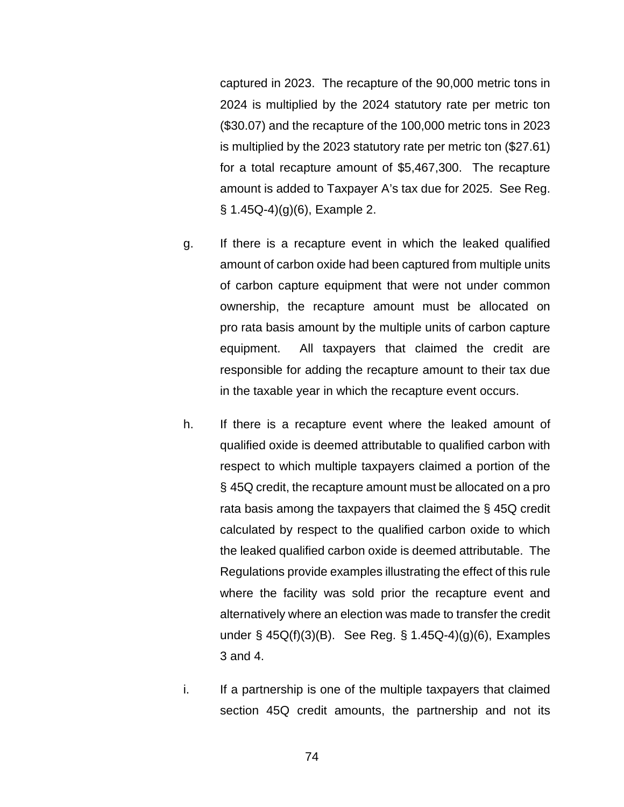captured in 2023. The recapture of the 90,000 metric tons in 2024 is multiplied by the 2024 statutory rate per metric ton (\$30.07) and the recapture of the 100,000 metric tons in 2023 is multiplied by the 2023 statutory rate per metric ton (\$27.61) for a total recapture amount of \$5,467,300. The recapture amount is added to Taxpayer A's tax due for 2025. See Reg. § 1.45Q-4)(g)(6), Example 2.

- g. If there is a recapture event in which the leaked qualified amount of carbon oxide had been captured from multiple units of carbon capture equipment that were not under common ownership, the recapture amount must be allocated on pro rata basis amount by the multiple units of carbon capture equipment. All taxpayers that claimed the credit are responsible for adding the recapture amount to their tax due in the taxable year in which the recapture event occurs.
- h. If there is a recapture event where the leaked amount of qualified oxide is deemed attributable to qualified carbon with respect to which multiple taxpayers claimed a portion of the § 45Q credit, the recapture amount must be allocated on a pro rata basis among the taxpayers that claimed the § 45Q credit calculated by respect to the qualified carbon oxide to which the leaked qualified carbon oxide is deemed attributable. The Regulations provide examples illustrating the effect of this rule where the facility was sold prior the recapture event and alternatively where an election was made to transfer the credit under § 45Q(f)(3)(B). See Reg. § 1.45Q-4)(g)(6), Examples 3 and 4.
- i. If a partnership is one of the multiple taxpayers that claimed section 45Q credit amounts, the partnership and not its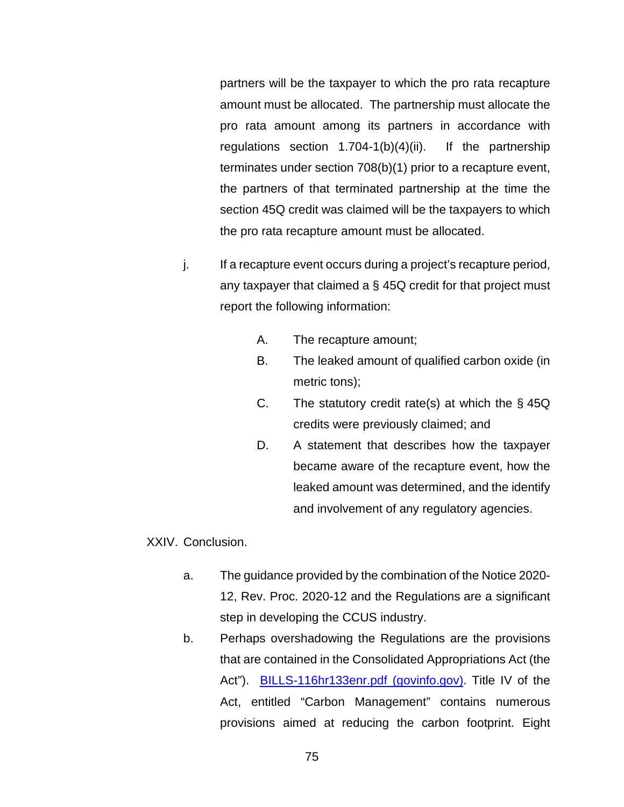partners will be the taxpayer to which the pro rata recapture amount must be allocated. The partnership must allocate the pro rata amount among its partners in accordance with regulations section 1.704-1(b)(4)(ii). If the partnership terminates under section 708(b)(1) prior to a recapture event, the partners of that terminated partnership at the time the section 45Q credit was claimed will be the taxpayers to which the pro rata recapture amount must be allocated.

- j. If a recapture event occurs during a project's recapture period, any taxpayer that claimed a  $\S$  45Q credit for that project must report the following information:
	- A. The recapture amount;
	- B. The leaked amount of qualified carbon oxide (in metric tons);
	- C. The statutory credit rate(s) at which the  $\S$  45Q credits were previously claimed; and
	- D. A statement that describes how the taxpayer became aware of the recapture event, how the leaked amount was determined, and the identify and involvement of any regulatory agencies.

XXIV. Conclusion.

- a. The guidance provided by the combination of the Notice 2020- 12, Rev. Proc. 2020-12 and the Regulations are a significant step in developing the CCUS industry.
- b. Perhaps overshadowing the Regulations are the provisions that are contained in the Consolidated Appropriations Act (the Act"). [BILLS-116hr133enr.pdf \(govinfo.gov\).](https://www.govinfo.gov/content/pkg/BILLS-116hr133enr/pdf/BILLS-116hr133enr.pdf) Title IV of the Act, entitled "Carbon Management" contains numerous provisions aimed at reducing the carbon footprint. Eight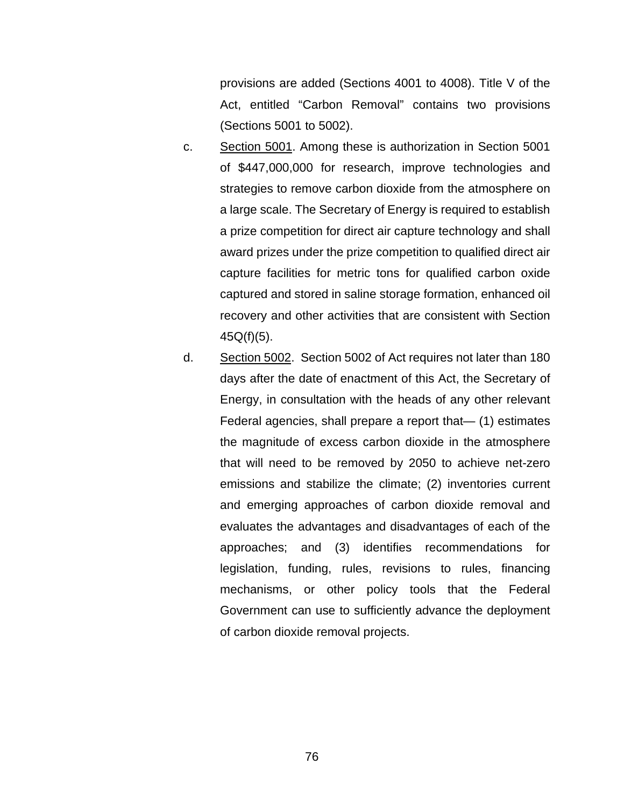provisions are added (Sections 4001 to 4008). Title V of the Act, entitled "Carbon Removal" contains two provisions (Sections 5001 to 5002).

- c. Section 5001. Among these is authorization in Section 5001 of \$447,000,000 for research, improve technologies and strategies to remove carbon dioxide from the atmosphere on a large scale. The Secretary of Energy is required to establish a prize competition for direct air capture technology and shall award prizes under the prize competition to qualified direct air capture facilities for metric tons for qualified carbon oxide captured and stored in saline storage formation, enhanced oil recovery and other activities that are consistent with Section 45Q(f)(5).
- d. Section 5002. Section 5002 of Act requires not later than 180 days after the date of enactment of this Act, the Secretary of Energy, in consultation with the heads of any other relevant Federal agencies, shall prepare a report that— (1) estimates the magnitude of excess carbon dioxide in the atmosphere that will need to be removed by 2050 to achieve net-zero emissions and stabilize the climate; (2) inventories current and emerging approaches of carbon dioxide removal and evaluates the advantages and disadvantages of each of the approaches; and (3) identifies recommendations for legislation, funding, rules, revisions to rules, financing mechanisms, or other policy tools that the Federal Government can use to sufficiently advance the deployment of carbon dioxide removal projects.